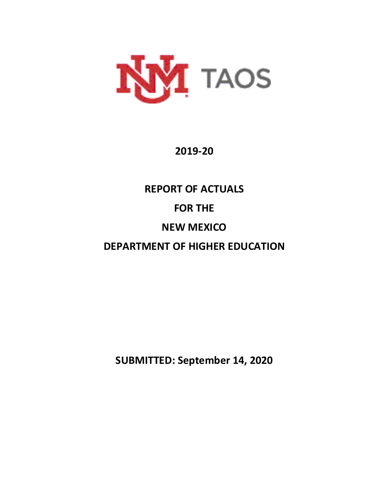

## **2019-20**

# **REPORT OF ACTUALS FOR THE NEW MEXICO DEPARTMENT OF HIGHER EDUCATION**

**SUBMITTED: September 14, 2020**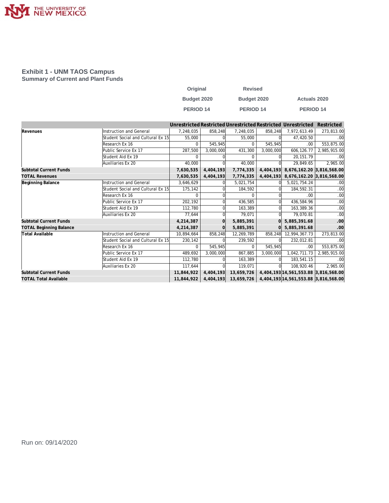

#### **Exhibit 1 - UNM TAOS Campus Summary of Current and Plant Funds**

| Original         | <b>Revised</b>   |                      |
|------------------|------------------|----------------------|
| Budget 2020      | Budget 2020      | <b>Actuals 2020</b>  |
| <b>PERIOD 14</b> | <b>PERIOD 14</b> | PERIOD <sub>14</sub> |

|                                |                                   |              |           |                      |           | Unrestricted Restricted Unrestricted Restricted Unrestricted | Restricted   |
|--------------------------------|-----------------------------------|--------------|-----------|----------------------|-----------|--------------------------------------------------------------|--------------|
| Revenues                       | <b>Instruction and General</b>    | 7,248,035    | 858,248   | 7,248,035            | 858,248   | 7,972,613.49                                                 | 273,813.00   |
|                                | Student Social and Cultural Ex 15 | 55,000       |           | 55,000               |           | 47,420.50                                                    | .00          |
|                                | Research Ex 16                    | <sup>n</sup> | 545.945   | $\Omega$             | 545,945   | .00                                                          | 553,875.00   |
|                                | Public Service Ex 17              | 287,500      | 3,000,000 | 431,300              | 3,000,000 | 606,126.77                                                   | 2,985,915.00 |
|                                | Student Aid Ex 19                 | $\Omega$     |           | <sup>n</sup>         |           | 20.151.79                                                    | .00          |
|                                | Auxiliaries Ex 20                 | 40,000       |           | 40,000               |           | 29.849.65                                                    | 2,965.00     |
| <b>Subtotal Current Funds</b>  |                                   | 7,630,535    | 4,404,193 | 7,774,335            | 4,404,193 | 8,676,162.20 3,816,568.00                                    |              |
| <b>TOTAL Revenues</b>          |                                   | 7,630,535    | 4,404,193 | 7,774,335            | 4,404,193 | 8,676,162.20 3,816,568.00                                    |              |
| Beginning Balance              | <b>Instruction and General</b>    | 3,646,629    |           | 5,021,754            |           | 5,021,754.24                                                 | .00          |
|                                | Student Social and Cultural Ex 15 | 175,142      |           | 184,592              |           | 184,592.31                                                   | .00          |
|                                | Research Ex 16                    | <sup>n</sup> |           | $\Omega$             |           | .00                                                          | .00          |
|                                | Public Service Ex 17              | 202,192      |           | 436,585              |           | 436,584.96                                                   | .00          |
|                                | Student Aid Ex 19                 | 112,780      |           | 163,389              |           | 163,389.36                                                   | .00          |
|                                | Auxiliaries Ex 20                 | 77,644       |           | 79,071               |           | 79,070.81                                                    | .00          |
| <b>Subtotal Current Funds</b>  |                                   | 4,214,387    |           | 5,885,391            |           | 5,885,391.68                                                 | .00          |
| <b>TOTAL Beginning Balance</b> |                                   | 4,214,387    |           | 5,885,391            |           | 5.885.391.68                                                 | .00          |
| <b>Total Available</b>         | <b>Instruction and General</b>    | 10,894,664   | 858,248   | 12,269,789           | 858,248   | 12,994,367.73                                                | 273,813.00   |
|                                | Student Social and Cultural Ex 15 | 230,142      |           | 239,592              |           | 232,012.81                                                   | .00          |
|                                | Research Ex 16                    | $\Omega$     | 545,945   | $\Omega$             | 545,945   | .00                                                          | 553,875.00   |
|                                | Public Service Ex 17              | 489,692      | 3,000,000 | 867,885              | 3,000,000 | 1,042,711.73                                                 | 2,985,915.00 |
|                                | Student Aid Ex 19                 | 112,780      |           | 163,389              |           | 183,541.15                                                   | .00          |
|                                | Auxiliaries Ex 20                 | 117,644      |           | 119,071              |           | 108,920.46                                                   | 2,965.00     |
| <b>Subtotal Current Funds</b>  |                                   | 11,844,922   | 4,404,193 | 13,659,726           |           | 4,404,193 14,561,553.88 3,816,568.00                         |              |
| <b>TOTAL Total Available</b>   |                                   | 11,844,922   |           | 4,404,193 13,659,726 |           | 4,404,193 14,561,553.88 3,816,568.00                         |              |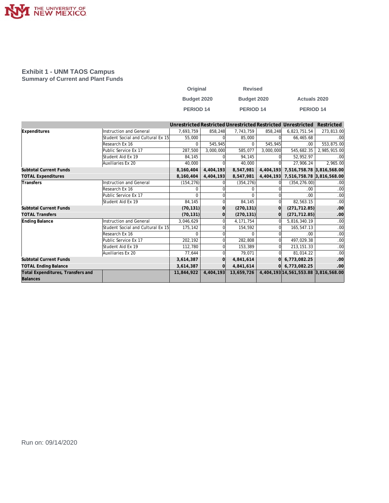

#### **Exhibit 1 - UNM TAOS Campus Summary of Current and Plant Funds**

| Original           | <b>Revised</b> |                     |
|--------------------|----------------|---------------------|
| <b>Budget 2020</b> | Budget 2020    | <b>Actuals 2020</b> |
| <b>PERIOD 14</b>   | PERIOD 14      | <b>PERIOD 14</b>    |

|                                   |                                   |            |           |             |           | Unrestricted Restricted Unrestricted Restricted Unrestricted | Restricted   |
|-----------------------------------|-----------------------------------|------------|-----------|-------------|-----------|--------------------------------------------------------------|--------------|
| Expenditures                      | <b>Instruction and General</b>    | 7,693,759  | 858,248   | 7,743,759   | 858,248   | 6,823,751.54                                                 | 273,813.00   |
|                                   | Student Social and Cultural Ex 15 | 55,000     |           | 85,000      |           | 66,465.68                                                    | .00          |
|                                   | Research Ex 16                    | $\Omega$   | 545.945   | $\Omega$    | 545,945   | .00.                                                         | 553,875.00   |
|                                   | Public Service Ex 17              | 287,500    | 3,000,000 | 585,077     | 3,000,000 | 545,682.35                                                   | 2,985,915.00 |
|                                   | Student Aid Ex 19                 | 84,145     |           | 94.145      |           | 52,952.97                                                    | .00          |
|                                   | Auxiliaries Ex 20                 | 40,000     |           | 40,000      |           | 27,906.24                                                    | 2,965.00     |
| <b>Subtotal Current Funds</b>     |                                   | 8,160,404  | 4,404,193 | 8,547,981   |           | 4,404,193 7,516,758.78 3,816,568.00                          |              |
| <b>TOTAL Expenditures</b>         |                                   | 8,160,404  | 4,404,193 | 8,547,981   |           | 4,404,193 7,516,758.78 3,816,568.00                          |              |
| Transfers                         | <b>Instruction and General</b>    | (154, 276) |           | (354, 276)  |           | (354, 276.00)                                                | .00          |
|                                   | Research Ex 16                    | $\Omega$   |           | $\Omega$    |           | .00                                                          | .00          |
|                                   | Public Service Ex 17              | $\Omega$   |           | $\Omega$    |           | .00                                                          | .00          |
|                                   | Student Aid Ex 19                 | 84,145     |           | 84,145      |           | 82,563.15                                                    | .00          |
| <b>Subtotal Current Funds</b>     |                                   | (70, 131)  |           | (270, 131)  |           | (271, 712.85)                                                | .00          |
| <b>TOTAL Transfers</b>            |                                   | (70, 131)  |           | (270, 131)  |           | (271, 712.85)                                                | .00          |
| Ending Balance                    | <b>Instruction and General</b>    | 3,046,629  |           | 4, 171, 754 |           | 5,816,340.19                                                 | .00          |
|                                   | Student Social and Cultural Ex 15 | 175,142    |           | 154,592     |           | 165,547.13                                                   | .00          |
|                                   | Research Ex 16                    | $\Omega$   |           | $\Omega$    |           | .00                                                          | .00          |
|                                   | Public Service Ex 17              | 202,192    |           | 282,808     |           | 497,029.38                                                   | .00          |
|                                   | Student Aid Ex 19                 | 112,780    |           | 153,389     |           | 213, 151. 33                                                 | .00          |
|                                   | Auxiliaries Ex 20                 | 77,644     |           | 79,071      |           | 81,014.22                                                    | .00          |
| <b>Subtotal Current Funds</b>     |                                   | 3,614,387  |           | 4,841,614   |           | 6,773,082.25                                                 | .00          |
| <b>TOTAL Ending Balance</b>       |                                   | 3,614,387  |           | 4,841,614   |           | $0 $ 6,773,082.25                                            | .00          |
| Total Expenditures, Transfers and |                                   | 11,844,922 | 4,404,193 | 13,659,726  |           | 4,404,193 14,561,553.88 3,816,568.00                         |              |
| Balances                          |                                   |            |           |             |           |                                                              |              |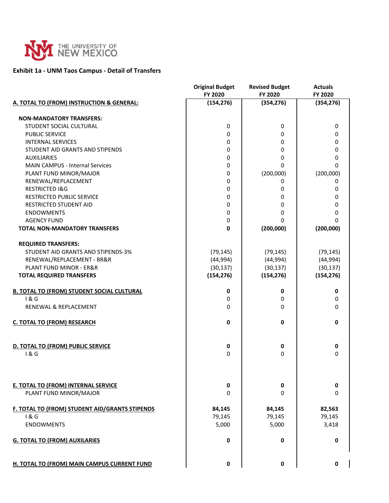

### **Exhibit 1a - UNM Taos Campus - Detail of Transfers**

|                                                   | <b>Original Budget</b> | <b>Revised Budget</b> | <b>Actuals</b> |
|---------------------------------------------------|------------------------|-----------------------|----------------|
|                                                   | FY 2020                | FY 2020               | FY 2020        |
| A. TOTAL TO (FROM) INSTRUCTION & GENERAL:         | (154, 276)             | (354, 276)            | (354, 276)     |
| <b>NON-MANDATORY TRANSFERS:</b>                   |                        |                       |                |
| STUDENT SOCIAL CULTURAL                           | 0                      | 0                     | 0              |
| <b>PUBLIC SERVICE</b>                             | 0                      | 0                     | 0              |
| <b>INTERNAL SERVICES</b>                          | 0                      | 0                     | 0              |
| STUDENT AID GRANTS AND STIPENDS                   | 0                      | 0                     | 0              |
| <b>AUXILIARIES</b>                                | 0                      | 0                     | 0              |
| <b>MAIN CAMPUS - Internal Services</b>            | 0                      | $\Omega$              | 0              |
| PLANT FUND MINOR/MAJOR                            | 0                      | (200,000)             | (200,000)      |
| RENEWAL/REPLACEMENT                               | 0                      | 0                     | 0              |
| <b>RESTRICTED I&amp;G</b>                         | 0                      | 0                     | 0              |
| <b>RESTRICTED PUBLIC SERVICE</b>                  | 0                      | 0                     | 0              |
| <b>RESTRICTED STUDENT AID</b>                     | 0                      | 0                     | 0              |
| <b>ENDOWMENTS</b>                                 | 0                      | 0                     | 0              |
| <b>AGENCY FUND</b>                                | 0                      | O                     | 0              |
| TOTAL NON-MANDATORY TRANSFERS                     | 0                      | (200,000)             | (200,000)      |
| <b>REQUIRED TRANSFERS:</b>                        |                        |                       |                |
| STUDENT AID GRANTS AND STIPENDS-3%                | (79, 145)              | (79, 145)             | (79, 145)      |
| RENEWAL/REPLACEMENT - BR&R                        | (44, 994)              | (44, 994)             | (44, 994)      |
| <b>PLANT FUND MINOR - ER&amp;R</b>                | (30, 137)              | (30, 137)             | (30, 137)      |
| <b>TOTAL REQUIRED TRANSFERS</b>                   | (154, 276)             | (154, 276)            | (154, 276)     |
| <b>B. TOTAL TO (FROM) STUDENT SOCIAL CULTURAL</b> | $\mathbf 0$            | 0                     | 0              |
| 1 & G                                             | 0                      | 0                     | 0              |
| RENEWAL & REPLACEMENT                             | 0                      | 0                     | 0              |
| <b>C. TOTAL TO (FROM) RESEARCH</b>                | $\mathbf 0$            | 0                     | 0              |
| D. TOTAL TO (FROM) PUBLIC SERVICE                 | 0                      | 0                     | 0              |
| 1&6                                               | 0                      | 0                     | 0              |
|                                                   |                        |                       |                |
| <b>E. TOTAL TO (FROM) INTERNAL SERVICE</b>        | 0                      | 0                     | 0              |
| PLANT FUND MINOR/MAJOR                            | 0                      | $\Omega$              | 0              |
| F. TOTAL TO (FROM) STUDENT AID/GRANTS STIPENDS    | 84,145                 | 84,145                | 82,563         |
| 1&G                                               | 79,145                 | 79,145                | 79,145         |
| <b>ENDOWMENTS</b>                                 | 5,000                  | 5,000                 | 3,418          |
| <b>G. TOTAL TO (FROM) AUXILARIES</b>              | 0                      | 0                     | 0              |
| H. TOTAL TO (FROM) MAIN CAMPUS CURRENT FUND       | 0                      | 0                     | 0              |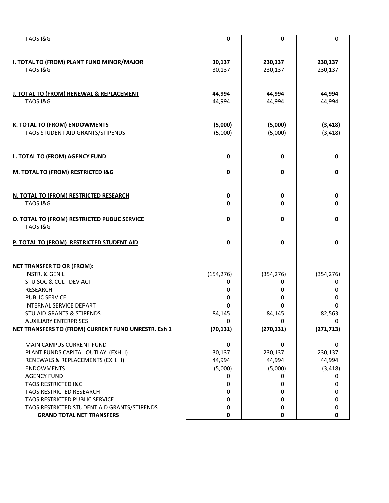| <b>TAOS I&amp;G</b>                                                                                                                                                                                                          | $\pmb{0}$                                     | 0                                                     | $\mathbf 0$                                          |
|------------------------------------------------------------------------------------------------------------------------------------------------------------------------------------------------------------------------------|-----------------------------------------------|-------------------------------------------------------|------------------------------------------------------|
| <b>I. TOTAL TO (FROM) PLANT FUND MINOR/MAJOR</b><br><b>TAOS I&amp;G</b>                                                                                                                                                      | 30,137<br>30,137                              | 230,137<br>230,137                                    | 230,137<br>230,137                                   |
| J. TOTAL TO (FROM) RENEWAL & REPLACEMENT<br><b>TAOS I&amp;G</b>                                                                                                                                                              | 44,994<br>44,994                              | 44,994<br>44,994                                      | 44,994<br>44,994                                     |
| K. TOTAL TO (FROM) ENDOWMENTS<br>TAOS STUDENT AID GRANTS/STIPENDS                                                                                                                                                            | (5,000)<br>(5,000)                            | (5,000)<br>(5,000)                                    | (3, 418)<br>(3, 418)                                 |
| L. TOTAL TO (FROM) AGENCY FUND                                                                                                                                                                                               | 0                                             | 0                                                     | $\mathbf 0$                                          |
| M. TOTAL TO (FROM) RESTRICTED I&G                                                                                                                                                                                            | $\pmb{0}$                                     | $\pmb{0}$                                             | $\mathbf 0$                                          |
| N. TOTAL TO (FROM) RESTRICTED RESEARCH<br><b>TAOS I&amp;G</b>                                                                                                                                                                | 0<br>0                                        | 0<br>0                                                | 0<br>0                                               |
| <b>O. TOTAL TO (FROM) RESTRICTED PUBLIC SERVICE</b><br><b>TAOS I&amp;G</b>                                                                                                                                                   | 0                                             | $\mathbf 0$                                           | 0                                                    |
| P. TOTAL TO (FROM) RESTRICTED STUDENT AID                                                                                                                                                                                    | 0                                             | 0                                                     | $\mathbf 0$                                          |
| <b>NET TRANSFER TO OR (FROM):</b><br>INSTR. & GEN'L<br>STU SOC & CULT DEV ACT<br><b>RESEARCH</b><br><b>PUBLIC SERVICE</b><br>INTERNAL SERVICE DEPART<br><b>STU AID GRANTS &amp; STIPENDS</b><br><b>AUXILIARY ENTERPRISES</b> | (154, 276)<br>0<br>0<br>0<br>0<br>84,145<br>0 | (354, 276)<br>0<br>0<br>0<br>0<br>84,145<br>0         | (354, 276)<br>0<br>0<br>0<br>$\Omega$<br>82,563<br>0 |
| NET TRANSFERS TO (FROM) CURRENT FUND UNRESTR. Exh 1                                                                                                                                                                          | (70, 131)                                     | (270, 131)                                            | (271, 713)                                           |
| MAIN CAMPUS CURRENT FUND<br>PLANT FUNDS CAPITAL OUTLAY (EXH. I)<br>RENEWALS & REPLACEMENTS (EXH. II)<br><b>ENDOWMENTS</b><br><b>AGENCY FUND</b><br><b>TAOS RESTRICTED I&amp;G</b>                                            | 0<br>30,137<br>44,994<br>(5,000)<br>0<br>0    | $\mathbf 0$<br>230,137<br>44,994<br>(5,000)<br>0<br>0 | 0<br>230,137<br>44,994<br>(3, 418)<br>0<br>0         |
| <b>TAOS RESTRICTED RESEARCH</b><br>TAOS RESTRICTED PUBLIC SERVICE<br>TAOS RESTRICTED STUDENT AID GRANTS/STIPENDS<br><b>GRAND TOTAL NET TRANSFERS</b>                                                                         | 0<br>0<br>0<br>0                              | 0<br>0<br>0<br>0                                      | 0<br>0<br>0<br>0                                     |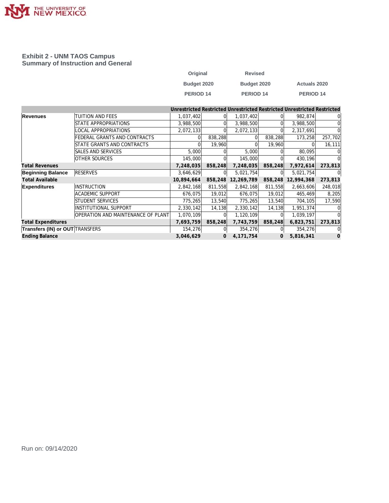

#### **Exhibit 2 - UNM TAOS Campus Summary of Instruction and General**

| Original         | <b>Revised</b> |                     |
|------------------|----------------|---------------------|
| Budget 2020      | Budget 2020    | <b>Actuals 2020</b> |
| <b>PERIOD 14</b> | PERIOD 14      | PERIOD 14           |

|                                        |                                    |            |         |             |         | Unrestricted Restricted Unrestricted Restricted Unrestricted Restricted |          |
|----------------------------------------|------------------------------------|------------|---------|-------------|---------|-------------------------------------------------------------------------|----------|
| <b>Revenues</b>                        | TUITION AND FEES                   | 1,037,402  |         | 1,037,402   |         | 982,874                                                                 | 01       |
|                                        | STATE APPROPRIATIONS               | 3,988,500  |         | 3,988,500   |         | 3,988,500                                                               | $\Omega$ |
|                                        | LOCAL APPROPRIATIONS               | 2,072,133  |         | 2,072,133   |         | 2,317,691                                                               |          |
|                                        | FEDERAL GRANTS AND CONTRACTS       |            | 838,288 |             | 838,288 | 173,258                                                                 | 257,702  |
|                                        | STATE GRANTS AND CONTRACTS         |            | 19,960  |             | 19,960  | $\Omega$                                                                | 16, 111  |
|                                        | SALES AND SERVICES                 | 5,000      |         | 5,000       |         | 80,095                                                                  |          |
|                                        | <b>OTHER SOURCES</b>               | 145,000    |         | 145,000     |         | 430,196                                                                 |          |
| <b>Total Revenues</b>                  |                                    | 7,248,035  | 858,248 | 7,248,035   | 858,248 | 7,972,614                                                               | 273,813  |
| <b>Beginning Balance</b>               | <b>RESERVES</b>                    | 3,646,629  | 0l      | 5,021,754   |         | 5,021,754                                                               | $\Omega$ |
| <b>Total Available</b>                 |                                    | 10,894,664 | 858,248 | 12,269,789  | 858,248 | 12,994,368                                                              | 273,813  |
| <b>Expenditures</b>                    | <b>INSTRUCTION</b>                 | 2,842,168  | 811,558 | 2,842,168   | 811,558 | 2,663,606                                                               | 248,018  |
|                                        | <b>ACADEMIC SUPPORT</b>            | 676,075    | 19,012  | 676,075     | 19,012  | 465,469                                                                 | 8,205    |
|                                        | STUDENT SERVICES                   | 775,265    | 13,540  | 775,265     | 13,540  | 704,105                                                                 | 17,590   |
|                                        | <b>INSTITUTIONAL SUPPORT</b>       | 2,330,142  | 14,138  | 2,330,142   | 14,138  | 1,951,374                                                               |          |
|                                        | OPERATION AND MAINTENANCE OF PLANT | 1,070,109  |         | 1,120,109   |         | 1,039,197                                                               |          |
| <b>Total Expenditures</b>              |                                    | 7,693,759  | 858,248 | 7,743,759   | 858,248 | 6,823,751                                                               | 273,813  |
| <b>Transfers (IN) or OUT TRANSFERS</b> |                                    | 154,276    |         | 354,276     |         | 354,276                                                                 | $\Omega$ |
| <b>Ending Balance</b>                  |                                    | 3,046,629  | 0       | 4, 171, 754 | 0       | 5,816,341                                                               | 0        |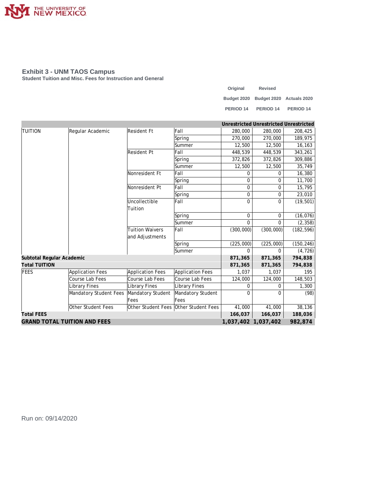

#### **Exhibit 3 - UNM TAOS Campus**

**Student Tuition and Misc. Fees for Instruction and General**

| Original             | <b>Revised</b>                       |                      |
|----------------------|--------------------------------------|----------------------|
|                      | Budget 2020 Budget 2020 Actuals 2020 |                      |
| PERIOD <sub>14</sub> | PERIOD <sub>14</sub>                 | PERIOD <sub>14</sub> |

|                                     |                         |                         |                                       |                     | Unrestricted Unrestricted Unrestricted |            |
|-------------------------------------|-------------------------|-------------------------|---------------------------------------|---------------------|----------------------------------------|------------|
| <b>TUITION</b>                      | Regular Academic        | Resident Ft             | Fall                                  | 280,000             | 280,000                                | 208,425    |
|                                     |                         |                         | Spring                                | 270,000             | 270,000                                | 189,975    |
|                                     |                         |                         | Summer                                | 12,500              | 12,500                                 | 16,163     |
|                                     |                         | <b>Resident Pt</b>      | Fall                                  | 448,539             | 448,539                                | 343,261    |
|                                     |                         |                         | Spring                                | 372,826             | 372,826                                | 309,886    |
|                                     |                         |                         | Summer                                | 12,500              | 12,500                                 | 35,749     |
|                                     |                         | Nonresident Ft          | Fall                                  | 0                   | 0                                      | 16,380     |
|                                     |                         |                         | Spring                                | $\overline{0}$      | 0                                      | 11,700     |
|                                     |                         | Nonresident Pt          | Fall                                  | $\overline{0}$      | 0                                      | 15,795     |
|                                     |                         |                         | Spring                                | $\Omega$            | 0                                      | 23,010     |
|                                     |                         | Uncollectible           | Fall                                  | $\Omega$            | 0                                      | (19, 501)  |
|                                     |                         | Tuition                 |                                       |                     |                                        |            |
|                                     |                         |                         | Spring                                | $\mathbf 0$         | $\mathbf 0$                            | (16, 076)  |
|                                     |                         |                         | Summer                                | $\Omega$            | $\Omega$                               | (2, 358)   |
|                                     |                         | <b>Tuition Waivers</b>  | Fall                                  | (300,000)           | (300, 000)                             | (182, 596) |
|                                     |                         | and Adjustments         |                                       |                     |                                        |            |
|                                     |                         |                         | Spring                                | (225,000)           | (225,000)                              | (150, 246) |
|                                     |                         |                         | Summer                                | $\Omega$            | $\Omega$                               | (4, 726)   |
| Subtotal Regular Academic           |                         |                         |                                       | 871,365             | 871,365                                | 794,838    |
| <b>Total TUITION</b>                |                         |                         |                                       | 871,365             | 871,365                                | 794,838    |
| FEES                                | <b>Application Fees</b> | <b>Application Fees</b> | Application Fees                      | 1,037               | 1,037                                  | 195        |
|                                     | Course Lab Fees         | Course Lab Fees         | Course Lab Fees                       | 124,000             | 124,000                                | 148,503    |
|                                     | Library Fines           | <b>Library Fines</b>    | <b>Library Fines</b>                  | $\Omega$            | $\Omega$                               | 1,300      |
|                                     | Mandatory Student Fees  | Mandatory Student       | Mandatory Student                     | $\Omega$            | 0                                      | (98)       |
|                                     |                         | Fees                    | Fees                                  |                     |                                        |            |
|                                     | Other Student Fees      |                         | Other Student Fees Other Student Fees | 41,000              | 41,000                                 | 38,136     |
| <b>Total FEES</b>                   |                         |                         |                                       | 166.037             | 166,037                                | 188,036    |
| <b>GRAND TOTAL TUITION AND FEES</b> |                         |                         |                                       | 1,037,402 1,037,402 |                                        | 982,874    |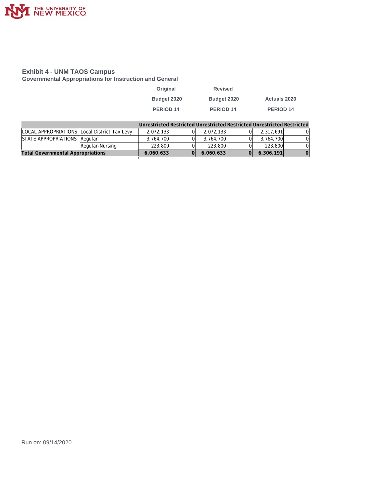

#### **Exhibit 4 - UNM TAOS Campus**

**Governmental Appropriations for Instruction and General**

| Original         | <b>Revised</b>   |                     |
|------------------|------------------|---------------------|
| Budget 2020      | Budget 2020      | <b>Actuals 2020</b> |
| <b>PERIOD 14</b> | <b>PERIOD 14</b> | PERIOD 14           |

|                                              |                 | Unrestricted Restricted Unrestricted Restricted Unrestricted Restricted |           |           |   |
|----------------------------------------------|-----------------|-------------------------------------------------------------------------|-----------|-----------|---|
| LOCAL APPROPRIATIONS Local District Tax Levy |                 | 2.072.133                                                               | 2.072.133 | 2.317.691 | 0 |
| STATE APPROPRIATIONS Regular                 |                 | 3.764.700                                                               | 3.764.700 | 3.764.700 |   |
|                                              | Regular-Nursing | 223,800                                                                 | 223,800   | 223,800   | 0 |
| <b>Total Governmental Appropriations</b>     |                 | 6,060,633                                                               | 6,060,633 | 6,306,191 |   |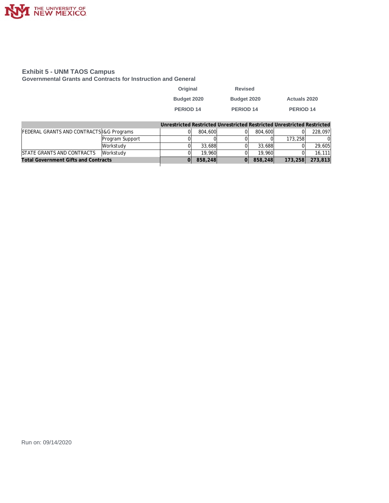

#### **Exhibit 5 - UNM TAOS Campus**

**Governmental Grants and Contracts for Instruction and General**

| Original    | <b>Revised</b> |                     |
|-------------|----------------|---------------------|
| Budget 2020 | Budget 2020    | <b>Actuals 2020</b> |
| PERIOD 14   | PERIOD 14      | PERIOD 14           |

|                                             |                 |         |         | Unrestricted Restricted Unrestricted Restricted Unrestricted Restricted |         |
|---------------------------------------------|-----------------|---------|---------|-------------------------------------------------------------------------|---------|
| FEDERAL GRANTS AND CONTRACTS I& G Programs  |                 | 804,600 | 804,600 | ΩI                                                                      | 228.097 |
|                                             | Program Support |         |         | 173.258                                                                 |         |
|                                             | Workstudv       | 33,688  | 33,688  | $\Omega$                                                                | 29,605  |
| STATE GRANTS AND CONTRACTS                  | Workstudy       | 19.960  | 19.960  |                                                                         | 16.111  |
| <b>Total Government Gifts and Contracts</b> |                 | 858,248 | 858,248 | 173,258                                                                 | 273,813 |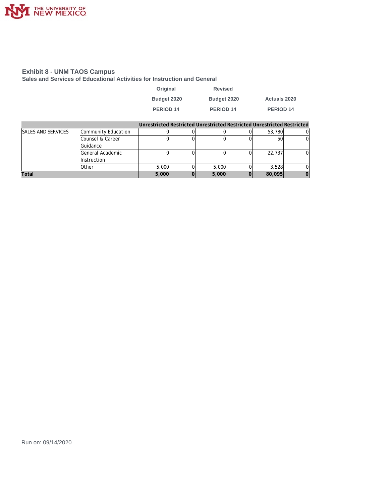

#### **Exhibit 8 - UNM TAOS Campus**

**Sales and Services of Educational Activities for Instruction and General**

| Original    | <b>Revised</b>   |                     |
|-------------|------------------|---------------------|
| Budget 2020 | Budget 2020      | <b>Actuals 2020</b> |
| PERIOD 14   | <b>PERIOD 14</b> | <b>PERIOD 14</b>    |

|                           |                     |       | Unrestricted Restricted Unrestricted Restricted Unrestricted Restricted |        |  |
|---------------------------|---------------------|-------|-------------------------------------------------------------------------|--------|--|
| <b>SALES AND SERVICES</b> | Community Education |       |                                                                         | 53,780 |  |
|                           | Counsel & Career    |       |                                                                         | 50     |  |
|                           | Guidance            |       |                                                                         |        |  |
|                           | General Academic    |       |                                                                         | 22,737 |  |
|                           | Instruction         |       |                                                                         |        |  |
|                           | <b>Other</b>        | 5,000 | 5,000                                                                   | 3.528  |  |
| Total                     |                     | 5,000 | 5,000                                                                   | 80,095 |  |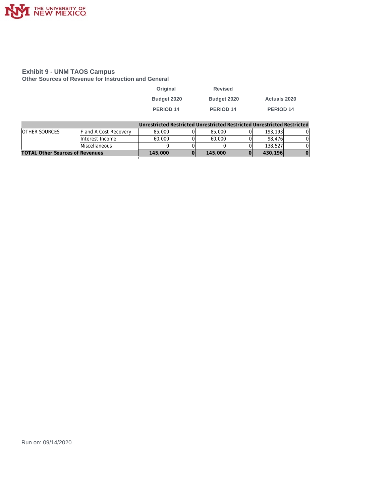

#### **Exhibit 9 - UNM TAOS Campus**

**Other Sources of Revenue for Instruction and General**

| Original    | <b>Revised</b>   |                                                                         |
|-------------|------------------|-------------------------------------------------------------------------|
| Budget 2020 | Budget 2020      | <b>Actuals 2020</b>                                                     |
| PERIOD 14   | <b>PERIOD 14</b> | <b>PERIOD 14</b>                                                        |
|             |                  | Unrestricted Destricted Unrestricted Destricted Unrestricted Destricted |

|                                        |                        |         |         | Unrestricted Restricted Unrestricted Restricted Unrestricted Restricted. |  |
|----------------------------------------|------------------------|---------|---------|--------------------------------------------------------------------------|--|
| <b>OTHER SOURCES</b>                   | IF and A Cost Recoverv | 85,000  | 85,000  | 193.193                                                                  |  |
|                                        | Interest Income        | 60,000  | 60,000  | 98.476                                                                   |  |
|                                        | Miscellaneous          |         |         | 138,527                                                                  |  |
| <b>TOTAL Other Sources of Revenues</b> |                        | 145,000 | 145,000 | 430.196                                                                  |  |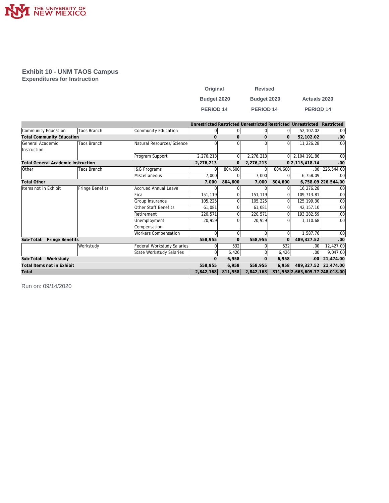

## **Exhibit 10 - UNM TAOS Campus**

**Expenditures for Instruction**

| Original         | <b>Revised</b>       |                      |
|------------------|----------------------|----------------------|
| Budget 2020      | Budget 2020          | <b>Actuals 2020</b>  |
| <b>PERIOD 14</b> | PERIOD <sub>14</sub> | PERIOD <sub>14</sub> |

|                                           |                    |                            |           |                |              |                | Unrestricted Restricted Unrestricted Restricted Unrestricted | Restricted             |
|-------------------------------------------|--------------------|----------------------------|-----------|----------------|--------------|----------------|--------------------------------------------------------------|------------------------|
| Community Education                       | <b>Taos Branch</b> | Community Education        | $\Omega$  | $\overline{0}$ | 0            | 0l             | 52,102.02                                                    | .00 <sub>1</sub>       |
| <b>Total Community Education</b>          |                    |                            |           | $\Omega$       | $\mathbf{0}$ | $\mathbf 0$    | 52,102.02                                                    | .00.                   |
| General Academic                          | Taos Branch        | Natural Resources/Science  | U         | 0              | ΩI           | $\Omega$       | 11,226.28                                                    | .00                    |
| Instruction                               |                    |                            |           |                |              |                |                                                              |                        |
|                                           |                    | Program Support            | 2,276,213 | $\Omega$       | 2,276,213    | $\Omega$       | 2, 104, 191.86                                               | .00                    |
| <b>Total General Academic Instruction</b> |                    |                            | 2,276,213 | 0              | 2,276,213    |                | 0 2, 115, 418.14                                             | .00                    |
| Other                                     | <b>Taos Branch</b> | <b>I&amp;G Programs</b>    |           | 804,600        | 0            | 804,600        | .00 <sub>1</sub>                                             | 226,544.00             |
|                                           |                    | Miscellaneous              | 7,000     | 0              | 7,000        | $\Omega$       | 6,758.09                                                     | .00 <sub>1</sub>       |
| <b>Total Other</b>                        |                    |                            | 7,000     | 804,600        | 7,000        | 804,600        |                                                              | 6,758.09 226,544.00    |
| Items not in Exhibit                      | Fringe Benefits    | Accrued Annual Leave       |           |                |              | 0              | 16,276.28                                                    | .00 <sub>1</sub>       |
|                                           |                    | <b>Fica</b>                | 151,119   |                | 151,119      | U              | 109,713.81                                                   | .00                    |
|                                           |                    | Group Insurance            | 105,225   |                | 105,225      | O              | 125, 199. 30                                                 | .00 <sub>1</sub>       |
|                                           |                    | Other Staff Benefits       | 61,081    |                | 61,081       | U              | 42, 157. 10                                                  | .00                    |
|                                           |                    | <b>Retirement</b>          | 220,571   |                | 220,571      | O              | 193,282.59                                                   | .00                    |
|                                           |                    | Unemployment               | 20,959    | 0              | 20,959       | $\Omega$       | 1,110.68                                                     | .00 <sub>1</sub>       |
|                                           |                    | Compensation               |           |                |              |                |                                                              |                        |
|                                           |                    | Workers Compensation       |           | $\Omega$       | <sup>0</sup> | $\Omega$       | 1,587.76                                                     | .00                    |
| Sub-Total: Fringe Benefits                |                    |                            | 558,955   | 0              | 558,955      | $\overline{0}$ | 489,327.52                                                   | .00                    |
|                                           | Workstudy          | Federal Workstudy Salaries |           | 532            | $\Omega$     | 532            | .00 <sub>1</sub>                                             | 12,427.00              |
|                                           |                    | State Workstudy Salaries   | $\Omega$  | 6,426          | 0l           | 6,426          | .00                                                          | 9,047.00               |
| Sub-Total: Workstudy                      |                    |                            | $\Omega$  | 6,958          | $\mathbf{O}$ | 6,958          | .00.                                                         | 21,474.00              |
| Total Items not in Exhibit                |                    |                            | 558,955   | 6,958          | 558,955      | 6,958          |                                                              | 489, 327.52 21, 474.00 |
| Total                                     |                    |                            | 2,842,168 | 811,558        | 2,842,168    |                | 811,558 2,663,605.77 248,018.00                              |                        |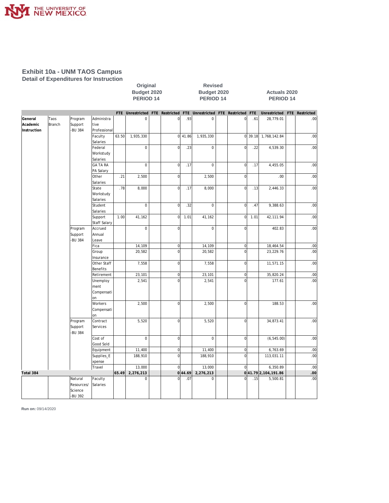

#### **Exhibit 10a - UNM TAOS Campus Detail of Expenditures for Instruction**

| FTE Unrestricted FTE Restricted FTE Unrestricted FTE Restricted FTE<br>Unrestricted<br>FTE Restricted<br>Program<br>Administra<br>.93<br>Taos<br>$\mathbf 0$<br>$\mathbf 0$<br>$\mathbf 0$<br>.61<br>28,779.01<br>.00 <sub>1</sub><br>$\overline{0}$<br>Branch<br>Support<br>tive<br>-BU 384<br>Professional<br>Faculty<br>63.50<br>1,935,330<br>$0$ 41.86<br>1,935,330<br>$\overline{0}$<br>39.18<br>1,768,142.84<br>.00<br>Salaries<br>Federal<br>$\mathbf 0$<br>$\overline{0}$<br>.23<br>$\mathbf 0$<br>$\mathbf 0$<br>.22<br>.00<br>4,539.30<br>Workstudy<br>Salaries<br>$\mathbf 0$<br>$\mathbf 0$<br>$\overline{0}$<br>GA TA RA<br>$\mathbf 0$<br>.17<br>.17<br>4,455.05<br>.00<br>PA Salary<br>Other<br>.00<br>.21<br>2,500<br>$\mathbf 0$<br>2,500<br>$\overline{0}$<br>.00<br>Salaries<br>State<br>.78<br>$\mathbf 0$<br>.17<br>$\mathbf 0$<br>.00<br>8,000<br>.13<br>2,446.33<br>8,000<br>Workstudy<br>Salaries<br>$\mathbf 0$<br>$\mathbf 0$<br>Student<br>$\overline{0}$<br>.32<br>$\overline{0}$<br>9,388.63<br>.00<br>.47<br>Salaries<br>1.00<br>41,162<br>.00<br>Support<br>41,162<br>$\mathbf 0$<br>1.01<br>$\overline{0}$<br>1.01<br>42, 111.94<br><b>Staff Salary</b><br>$\mathbf 0$<br>$\mathbf 0$<br>$\mathbf 0$<br>.00<br>Accrued<br>$\mathbf{0}$<br>402.83<br>Program<br>Support<br>Annual<br>-BU 384<br>Leave<br>Fica<br>14,109<br>$\mathbf 0$<br>14,109<br>$\overline{0}$<br>18,464.54<br>.00<br>$\mathbf 0$<br>$\overline{0}$<br>23, 229. 76<br>.00<br>Group<br>20,582<br>20,582<br>Insurance<br>Other Staff<br>$\overline{0}$<br>$\overline{0}$<br>.00<br>7,558<br>7,558<br>11,571.15<br><b>Benefits</b><br>$\overline{0}$<br>.00<br>Retirement<br>23,101<br>0<br>23,101<br>35,820.24<br>.00<br>Unemploy<br>2,541<br>$\mathbf 0$<br>2,541<br>$\mathbf 0$<br>177.61<br>ment<br>Compensati<br>on<br>Workers<br>2,500<br>2,500<br>188.53<br>$\mathbf 0$<br>$\overline{0}$<br>.00<br>Compensati<br>on<br>Program<br>Contract<br>5,520<br>0<br>5,520<br>$\overline{0}$<br>34,873.41<br>.00<br>Support<br>Services<br>-BU 384<br>$\mathbf 0$<br>$\overline{0}$<br>.00<br>Cost of<br>$\mathbf 0$<br>$\mathbf 0$<br>(6, 545.00)<br>Good Sold<br>Equipment<br>$\mathbf{0}$<br>$\overline{0}$<br>6,763.69<br>.00<br>11,400<br>11,400<br>$\overline{0}$<br>$\overline{0}$<br>.00<br>Supplies_E<br>188,910<br>188,910<br>113,031.11<br>xpense<br>Travel<br>13,000<br>13,000<br>6,350.89<br>.00<br>$\Omega$<br>$\Omega$<br>65.49<br>2,276,213<br>0 44.69 <br>041.792,104,191.86<br>Total 384<br>2,276,213<br>.00<br>Natural<br>$\overline{0}$<br>$\mathbf 0$<br>$\overline{0}$<br>5,500.81<br>.00<br>Faculty<br>$\mathbf 0$<br>.07<br>.15<br>Resources/<br>Salaries<br>Science |             |         |  | PERIOD 14 |  | PERIOD <sub>14</sub> |  | PERIOD 14 |  |  |  |
|---------------------------------------------------------------------------------------------------------------------------------------------------------------------------------------------------------------------------------------------------------------------------------------------------------------------------------------------------------------------------------------------------------------------------------------------------------------------------------------------------------------------------------------------------------------------------------------------------------------------------------------------------------------------------------------------------------------------------------------------------------------------------------------------------------------------------------------------------------------------------------------------------------------------------------------------------------------------------------------------------------------------------------------------------------------------------------------------------------------------------------------------------------------------------------------------------------------------------------------------------------------------------------------------------------------------------------------------------------------------------------------------------------------------------------------------------------------------------------------------------------------------------------------------------------------------------------------------------------------------------------------------------------------------------------------------------------------------------------------------------------------------------------------------------------------------------------------------------------------------------------------------------------------------------------------------------------------------------------------------------------------------------------------------------------------------------------------------------------------------------------------------------------------------------------------------------------------------------------------------------------------------------------------------------------------------------------------------------------------------------------------------------------------------------------------------------------------------------------------------------------------------------------------------------------------------------------------------------------------------------------------------------------------------------------------------|-------------|---------|--|-----------|--|----------------------|--|-----------|--|--|--|
|                                                                                                                                                                                                                                                                                                                                                                                                                                                                                                                                                                                                                                                                                                                                                                                                                                                                                                                                                                                                                                                                                                                                                                                                                                                                                                                                                                                                                                                                                                                                                                                                                                                                                                                                                                                                                                                                                                                                                                                                                                                                                                                                                                                                                                                                                                                                                                                                                                                                                                                                                                                                                                                                                             |             |         |  |           |  |                      |  |           |  |  |  |
|                                                                                                                                                                                                                                                                                                                                                                                                                                                                                                                                                                                                                                                                                                                                                                                                                                                                                                                                                                                                                                                                                                                                                                                                                                                                                                                                                                                                                                                                                                                                                                                                                                                                                                                                                                                                                                                                                                                                                                                                                                                                                                                                                                                                                                                                                                                                                                                                                                                                                                                                                                                                                                                                                             | General     |         |  |           |  |                      |  |           |  |  |  |
|                                                                                                                                                                                                                                                                                                                                                                                                                                                                                                                                                                                                                                                                                                                                                                                                                                                                                                                                                                                                                                                                                                                                                                                                                                                                                                                                                                                                                                                                                                                                                                                                                                                                                                                                                                                                                                                                                                                                                                                                                                                                                                                                                                                                                                                                                                                                                                                                                                                                                                                                                                                                                                                                                             | Academic    |         |  |           |  |                      |  |           |  |  |  |
|                                                                                                                                                                                                                                                                                                                                                                                                                                                                                                                                                                                                                                                                                                                                                                                                                                                                                                                                                                                                                                                                                                                                                                                                                                                                                                                                                                                                                                                                                                                                                                                                                                                                                                                                                                                                                                                                                                                                                                                                                                                                                                                                                                                                                                                                                                                                                                                                                                                                                                                                                                                                                                                                                             | Instruction |         |  |           |  |                      |  |           |  |  |  |
|                                                                                                                                                                                                                                                                                                                                                                                                                                                                                                                                                                                                                                                                                                                                                                                                                                                                                                                                                                                                                                                                                                                                                                                                                                                                                                                                                                                                                                                                                                                                                                                                                                                                                                                                                                                                                                                                                                                                                                                                                                                                                                                                                                                                                                                                                                                                                                                                                                                                                                                                                                                                                                                                                             |             |         |  |           |  |                      |  |           |  |  |  |
|                                                                                                                                                                                                                                                                                                                                                                                                                                                                                                                                                                                                                                                                                                                                                                                                                                                                                                                                                                                                                                                                                                                                                                                                                                                                                                                                                                                                                                                                                                                                                                                                                                                                                                                                                                                                                                                                                                                                                                                                                                                                                                                                                                                                                                                                                                                                                                                                                                                                                                                                                                                                                                                                                             |             |         |  |           |  |                      |  |           |  |  |  |
|                                                                                                                                                                                                                                                                                                                                                                                                                                                                                                                                                                                                                                                                                                                                                                                                                                                                                                                                                                                                                                                                                                                                                                                                                                                                                                                                                                                                                                                                                                                                                                                                                                                                                                                                                                                                                                                                                                                                                                                                                                                                                                                                                                                                                                                                                                                                                                                                                                                                                                                                                                                                                                                                                             |             |         |  |           |  |                      |  |           |  |  |  |
|                                                                                                                                                                                                                                                                                                                                                                                                                                                                                                                                                                                                                                                                                                                                                                                                                                                                                                                                                                                                                                                                                                                                                                                                                                                                                                                                                                                                                                                                                                                                                                                                                                                                                                                                                                                                                                                                                                                                                                                                                                                                                                                                                                                                                                                                                                                                                                                                                                                                                                                                                                                                                                                                                             |             |         |  |           |  |                      |  |           |  |  |  |
|                                                                                                                                                                                                                                                                                                                                                                                                                                                                                                                                                                                                                                                                                                                                                                                                                                                                                                                                                                                                                                                                                                                                                                                                                                                                                                                                                                                                                                                                                                                                                                                                                                                                                                                                                                                                                                                                                                                                                                                                                                                                                                                                                                                                                                                                                                                                                                                                                                                                                                                                                                                                                                                                                             |             |         |  |           |  |                      |  |           |  |  |  |
|                                                                                                                                                                                                                                                                                                                                                                                                                                                                                                                                                                                                                                                                                                                                                                                                                                                                                                                                                                                                                                                                                                                                                                                                                                                                                                                                                                                                                                                                                                                                                                                                                                                                                                                                                                                                                                                                                                                                                                                                                                                                                                                                                                                                                                                                                                                                                                                                                                                                                                                                                                                                                                                                                             |             |         |  |           |  |                      |  |           |  |  |  |
|                                                                                                                                                                                                                                                                                                                                                                                                                                                                                                                                                                                                                                                                                                                                                                                                                                                                                                                                                                                                                                                                                                                                                                                                                                                                                                                                                                                                                                                                                                                                                                                                                                                                                                                                                                                                                                                                                                                                                                                                                                                                                                                                                                                                                                                                                                                                                                                                                                                                                                                                                                                                                                                                                             |             |         |  |           |  |                      |  |           |  |  |  |
|                                                                                                                                                                                                                                                                                                                                                                                                                                                                                                                                                                                                                                                                                                                                                                                                                                                                                                                                                                                                                                                                                                                                                                                                                                                                                                                                                                                                                                                                                                                                                                                                                                                                                                                                                                                                                                                                                                                                                                                                                                                                                                                                                                                                                                                                                                                                                                                                                                                                                                                                                                                                                                                                                             |             |         |  |           |  |                      |  |           |  |  |  |
|                                                                                                                                                                                                                                                                                                                                                                                                                                                                                                                                                                                                                                                                                                                                                                                                                                                                                                                                                                                                                                                                                                                                                                                                                                                                                                                                                                                                                                                                                                                                                                                                                                                                                                                                                                                                                                                                                                                                                                                                                                                                                                                                                                                                                                                                                                                                                                                                                                                                                                                                                                                                                                                                                             |             |         |  |           |  |                      |  |           |  |  |  |
|                                                                                                                                                                                                                                                                                                                                                                                                                                                                                                                                                                                                                                                                                                                                                                                                                                                                                                                                                                                                                                                                                                                                                                                                                                                                                                                                                                                                                                                                                                                                                                                                                                                                                                                                                                                                                                                                                                                                                                                                                                                                                                                                                                                                                                                                                                                                                                                                                                                                                                                                                                                                                                                                                             |             |         |  |           |  |                      |  |           |  |  |  |
|                                                                                                                                                                                                                                                                                                                                                                                                                                                                                                                                                                                                                                                                                                                                                                                                                                                                                                                                                                                                                                                                                                                                                                                                                                                                                                                                                                                                                                                                                                                                                                                                                                                                                                                                                                                                                                                                                                                                                                                                                                                                                                                                                                                                                                                                                                                                                                                                                                                                                                                                                                                                                                                                                             |             |         |  |           |  |                      |  |           |  |  |  |
|                                                                                                                                                                                                                                                                                                                                                                                                                                                                                                                                                                                                                                                                                                                                                                                                                                                                                                                                                                                                                                                                                                                                                                                                                                                                                                                                                                                                                                                                                                                                                                                                                                                                                                                                                                                                                                                                                                                                                                                                                                                                                                                                                                                                                                                                                                                                                                                                                                                                                                                                                                                                                                                                                             |             |         |  |           |  |                      |  |           |  |  |  |
|                                                                                                                                                                                                                                                                                                                                                                                                                                                                                                                                                                                                                                                                                                                                                                                                                                                                                                                                                                                                                                                                                                                                                                                                                                                                                                                                                                                                                                                                                                                                                                                                                                                                                                                                                                                                                                                                                                                                                                                                                                                                                                                                                                                                                                                                                                                                                                                                                                                                                                                                                                                                                                                                                             |             |         |  |           |  |                      |  |           |  |  |  |
|                                                                                                                                                                                                                                                                                                                                                                                                                                                                                                                                                                                                                                                                                                                                                                                                                                                                                                                                                                                                                                                                                                                                                                                                                                                                                                                                                                                                                                                                                                                                                                                                                                                                                                                                                                                                                                                                                                                                                                                                                                                                                                                                                                                                                                                                                                                                                                                                                                                                                                                                                                                                                                                                                             |             |         |  |           |  |                      |  |           |  |  |  |
|                                                                                                                                                                                                                                                                                                                                                                                                                                                                                                                                                                                                                                                                                                                                                                                                                                                                                                                                                                                                                                                                                                                                                                                                                                                                                                                                                                                                                                                                                                                                                                                                                                                                                                                                                                                                                                                                                                                                                                                                                                                                                                                                                                                                                                                                                                                                                                                                                                                                                                                                                                                                                                                                                             |             |         |  |           |  |                      |  |           |  |  |  |
|                                                                                                                                                                                                                                                                                                                                                                                                                                                                                                                                                                                                                                                                                                                                                                                                                                                                                                                                                                                                                                                                                                                                                                                                                                                                                                                                                                                                                                                                                                                                                                                                                                                                                                                                                                                                                                                                                                                                                                                                                                                                                                                                                                                                                                                                                                                                                                                                                                                                                                                                                                                                                                                                                             |             |         |  |           |  |                      |  |           |  |  |  |
|                                                                                                                                                                                                                                                                                                                                                                                                                                                                                                                                                                                                                                                                                                                                                                                                                                                                                                                                                                                                                                                                                                                                                                                                                                                                                                                                                                                                                                                                                                                                                                                                                                                                                                                                                                                                                                                                                                                                                                                                                                                                                                                                                                                                                                                                                                                                                                                                                                                                                                                                                                                                                                                                                             |             |         |  |           |  |                      |  |           |  |  |  |
|                                                                                                                                                                                                                                                                                                                                                                                                                                                                                                                                                                                                                                                                                                                                                                                                                                                                                                                                                                                                                                                                                                                                                                                                                                                                                                                                                                                                                                                                                                                                                                                                                                                                                                                                                                                                                                                                                                                                                                                                                                                                                                                                                                                                                                                                                                                                                                                                                                                                                                                                                                                                                                                                                             |             |         |  |           |  |                      |  |           |  |  |  |
|                                                                                                                                                                                                                                                                                                                                                                                                                                                                                                                                                                                                                                                                                                                                                                                                                                                                                                                                                                                                                                                                                                                                                                                                                                                                                                                                                                                                                                                                                                                                                                                                                                                                                                                                                                                                                                                                                                                                                                                                                                                                                                                                                                                                                                                                                                                                                                                                                                                                                                                                                                                                                                                                                             |             |         |  |           |  |                      |  |           |  |  |  |
|                                                                                                                                                                                                                                                                                                                                                                                                                                                                                                                                                                                                                                                                                                                                                                                                                                                                                                                                                                                                                                                                                                                                                                                                                                                                                                                                                                                                                                                                                                                                                                                                                                                                                                                                                                                                                                                                                                                                                                                                                                                                                                                                                                                                                                                                                                                                                                                                                                                                                                                                                                                                                                                                                             |             |         |  |           |  |                      |  |           |  |  |  |
|                                                                                                                                                                                                                                                                                                                                                                                                                                                                                                                                                                                                                                                                                                                                                                                                                                                                                                                                                                                                                                                                                                                                                                                                                                                                                                                                                                                                                                                                                                                                                                                                                                                                                                                                                                                                                                                                                                                                                                                                                                                                                                                                                                                                                                                                                                                                                                                                                                                                                                                                                                                                                                                                                             |             |         |  |           |  |                      |  |           |  |  |  |
|                                                                                                                                                                                                                                                                                                                                                                                                                                                                                                                                                                                                                                                                                                                                                                                                                                                                                                                                                                                                                                                                                                                                                                                                                                                                                                                                                                                                                                                                                                                                                                                                                                                                                                                                                                                                                                                                                                                                                                                                                                                                                                                                                                                                                                                                                                                                                                                                                                                                                                                                                                                                                                                                                             |             |         |  |           |  |                      |  |           |  |  |  |
|                                                                                                                                                                                                                                                                                                                                                                                                                                                                                                                                                                                                                                                                                                                                                                                                                                                                                                                                                                                                                                                                                                                                                                                                                                                                                                                                                                                                                                                                                                                                                                                                                                                                                                                                                                                                                                                                                                                                                                                                                                                                                                                                                                                                                                                                                                                                                                                                                                                                                                                                                                                                                                                                                             |             |         |  |           |  |                      |  |           |  |  |  |
|                                                                                                                                                                                                                                                                                                                                                                                                                                                                                                                                                                                                                                                                                                                                                                                                                                                                                                                                                                                                                                                                                                                                                                                                                                                                                                                                                                                                                                                                                                                                                                                                                                                                                                                                                                                                                                                                                                                                                                                                                                                                                                                                                                                                                                                                                                                                                                                                                                                                                                                                                                                                                                                                                             |             |         |  |           |  |                      |  |           |  |  |  |
|                                                                                                                                                                                                                                                                                                                                                                                                                                                                                                                                                                                                                                                                                                                                                                                                                                                                                                                                                                                                                                                                                                                                                                                                                                                                                                                                                                                                                                                                                                                                                                                                                                                                                                                                                                                                                                                                                                                                                                                                                                                                                                                                                                                                                                                                                                                                                                                                                                                                                                                                                                                                                                                                                             |             |         |  |           |  |                      |  |           |  |  |  |
|                                                                                                                                                                                                                                                                                                                                                                                                                                                                                                                                                                                                                                                                                                                                                                                                                                                                                                                                                                                                                                                                                                                                                                                                                                                                                                                                                                                                                                                                                                                                                                                                                                                                                                                                                                                                                                                                                                                                                                                                                                                                                                                                                                                                                                                                                                                                                                                                                                                                                                                                                                                                                                                                                             |             |         |  |           |  |                      |  |           |  |  |  |
|                                                                                                                                                                                                                                                                                                                                                                                                                                                                                                                                                                                                                                                                                                                                                                                                                                                                                                                                                                                                                                                                                                                                                                                                                                                                                                                                                                                                                                                                                                                                                                                                                                                                                                                                                                                                                                                                                                                                                                                                                                                                                                                                                                                                                                                                                                                                                                                                                                                                                                                                                                                                                                                                                             |             |         |  |           |  |                      |  |           |  |  |  |
|                                                                                                                                                                                                                                                                                                                                                                                                                                                                                                                                                                                                                                                                                                                                                                                                                                                                                                                                                                                                                                                                                                                                                                                                                                                                                                                                                                                                                                                                                                                                                                                                                                                                                                                                                                                                                                                                                                                                                                                                                                                                                                                                                                                                                                                                                                                                                                                                                                                                                                                                                                                                                                                                                             |             |         |  |           |  |                      |  |           |  |  |  |
|                                                                                                                                                                                                                                                                                                                                                                                                                                                                                                                                                                                                                                                                                                                                                                                                                                                                                                                                                                                                                                                                                                                                                                                                                                                                                                                                                                                                                                                                                                                                                                                                                                                                                                                                                                                                                                                                                                                                                                                                                                                                                                                                                                                                                                                                                                                                                                                                                                                                                                                                                                                                                                                                                             |             |         |  |           |  |                      |  |           |  |  |  |
|                                                                                                                                                                                                                                                                                                                                                                                                                                                                                                                                                                                                                                                                                                                                                                                                                                                                                                                                                                                                                                                                                                                                                                                                                                                                                                                                                                                                                                                                                                                                                                                                                                                                                                                                                                                                                                                                                                                                                                                                                                                                                                                                                                                                                                                                                                                                                                                                                                                                                                                                                                                                                                                                                             |             |         |  |           |  |                      |  |           |  |  |  |
|                                                                                                                                                                                                                                                                                                                                                                                                                                                                                                                                                                                                                                                                                                                                                                                                                                                                                                                                                                                                                                                                                                                                                                                                                                                                                                                                                                                                                                                                                                                                                                                                                                                                                                                                                                                                                                                                                                                                                                                                                                                                                                                                                                                                                                                                                                                                                                                                                                                                                                                                                                                                                                                                                             |             |         |  |           |  |                      |  |           |  |  |  |
|                                                                                                                                                                                                                                                                                                                                                                                                                                                                                                                                                                                                                                                                                                                                                                                                                                                                                                                                                                                                                                                                                                                                                                                                                                                                                                                                                                                                                                                                                                                                                                                                                                                                                                                                                                                                                                                                                                                                                                                                                                                                                                                                                                                                                                                                                                                                                                                                                                                                                                                                                                                                                                                                                             |             |         |  |           |  |                      |  |           |  |  |  |
|                                                                                                                                                                                                                                                                                                                                                                                                                                                                                                                                                                                                                                                                                                                                                                                                                                                                                                                                                                                                                                                                                                                                                                                                                                                                                                                                                                                                                                                                                                                                                                                                                                                                                                                                                                                                                                                                                                                                                                                                                                                                                                                                                                                                                                                                                                                                                                                                                                                                                                                                                                                                                                                                                             |             |         |  |           |  |                      |  |           |  |  |  |
|                                                                                                                                                                                                                                                                                                                                                                                                                                                                                                                                                                                                                                                                                                                                                                                                                                                                                                                                                                                                                                                                                                                                                                                                                                                                                                                                                                                                                                                                                                                                                                                                                                                                                                                                                                                                                                                                                                                                                                                                                                                                                                                                                                                                                                                                                                                                                                                                                                                                                                                                                                                                                                                                                             |             |         |  |           |  |                      |  |           |  |  |  |
|                                                                                                                                                                                                                                                                                                                                                                                                                                                                                                                                                                                                                                                                                                                                                                                                                                                                                                                                                                                                                                                                                                                                                                                                                                                                                                                                                                                                                                                                                                                                                                                                                                                                                                                                                                                                                                                                                                                                                                                                                                                                                                                                                                                                                                                                                                                                                                                                                                                                                                                                                                                                                                                                                             |             |         |  |           |  |                      |  |           |  |  |  |
|                                                                                                                                                                                                                                                                                                                                                                                                                                                                                                                                                                                                                                                                                                                                                                                                                                                                                                                                                                                                                                                                                                                                                                                                                                                                                                                                                                                                                                                                                                                                                                                                                                                                                                                                                                                                                                                                                                                                                                                                                                                                                                                                                                                                                                                                                                                                                                                                                                                                                                                                                                                                                                                                                             |             |         |  |           |  |                      |  |           |  |  |  |
|                                                                                                                                                                                                                                                                                                                                                                                                                                                                                                                                                                                                                                                                                                                                                                                                                                                                                                                                                                                                                                                                                                                                                                                                                                                                                                                                                                                                                                                                                                                                                                                                                                                                                                                                                                                                                                                                                                                                                                                                                                                                                                                                                                                                                                                                                                                                                                                                                                                                                                                                                                                                                                                                                             |             |         |  |           |  |                      |  |           |  |  |  |
|                                                                                                                                                                                                                                                                                                                                                                                                                                                                                                                                                                                                                                                                                                                                                                                                                                                                                                                                                                                                                                                                                                                                                                                                                                                                                                                                                                                                                                                                                                                                                                                                                                                                                                                                                                                                                                                                                                                                                                                                                                                                                                                                                                                                                                                                                                                                                                                                                                                                                                                                                                                                                                                                                             |             |         |  |           |  |                      |  |           |  |  |  |
|                                                                                                                                                                                                                                                                                                                                                                                                                                                                                                                                                                                                                                                                                                                                                                                                                                                                                                                                                                                                                                                                                                                                                                                                                                                                                                                                                                                                                                                                                                                                                                                                                                                                                                                                                                                                                                                                                                                                                                                                                                                                                                                                                                                                                                                                                                                                                                                                                                                                                                                                                                                                                                                                                             |             |         |  |           |  |                      |  |           |  |  |  |
|                                                                                                                                                                                                                                                                                                                                                                                                                                                                                                                                                                                                                                                                                                                                                                                                                                                                                                                                                                                                                                                                                                                                                                                                                                                                                                                                                                                                                                                                                                                                                                                                                                                                                                                                                                                                                                                                                                                                                                                                                                                                                                                                                                                                                                                                                                                                                                                                                                                                                                                                                                                                                                                                                             |             |         |  |           |  |                      |  |           |  |  |  |
|                                                                                                                                                                                                                                                                                                                                                                                                                                                                                                                                                                                                                                                                                                                                                                                                                                                                                                                                                                                                                                                                                                                                                                                                                                                                                                                                                                                                                                                                                                                                                                                                                                                                                                                                                                                                                                                                                                                                                                                                                                                                                                                                                                                                                                                                                                                                                                                                                                                                                                                                                                                                                                                                                             |             |         |  |           |  |                      |  |           |  |  |  |
|                                                                                                                                                                                                                                                                                                                                                                                                                                                                                                                                                                                                                                                                                                                                                                                                                                                                                                                                                                                                                                                                                                                                                                                                                                                                                                                                                                                                                                                                                                                                                                                                                                                                                                                                                                                                                                                                                                                                                                                                                                                                                                                                                                                                                                                                                                                                                                                                                                                                                                                                                                                                                                                                                             |             |         |  |           |  |                      |  |           |  |  |  |
|                                                                                                                                                                                                                                                                                                                                                                                                                                                                                                                                                                                                                                                                                                                                                                                                                                                                                                                                                                                                                                                                                                                                                                                                                                                                                                                                                                                                                                                                                                                                                                                                                                                                                                                                                                                                                                                                                                                                                                                                                                                                                                                                                                                                                                                                                                                                                                                                                                                                                                                                                                                                                                                                                             |             |         |  |           |  |                      |  |           |  |  |  |
|                                                                                                                                                                                                                                                                                                                                                                                                                                                                                                                                                                                                                                                                                                                                                                                                                                                                                                                                                                                                                                                                                                                                                                                                                                                                                                                                                                                                                                                                                                                                                                                                                                                                                                                                                                                                                                                                                                                                                                                                                                                                                                                                                                                                                                                                                                                                                                                                                                                                                                                                                                                                                                                                                             |             |         |  |           |  |                      |  |           |  |  |  |
|                                                                                                                                                                                                                                                                                                                                                                                                                                                                                                                                                                                                                                                                                                                                                                                                                                                                                                                                                                                                                                                                                                                                                                                                                                                                                                                                                                                                                                                                                                                                                                                                                                                                                                                                                                                                                                                                                                                                                                                                                                                                                                                                                                                                                                                                                                                                                                                                                                                                                                                                                                                                                                                                                             |             |         |  |           |  |                      |  |           |  |  |  |
|                                                                                                                                                                                                                                                                                                                                                                                                                                                                                                                                                                                                                                                                                                                                                                                                                                                                                                                                                                                                                                                                                                                                                                                                                                                                                                                                                                                                                                                                                                                                                                                                                                                                                                                                                                                                                                                                                                                                                                                                                                                                                                                                                                                                                                                                                                                                                                                                                                                                                                                                                                                                                                                                                             |             | -BU 392 |  |           |  |                      |  |           |  |  |  |

**Original Revised** 

**Budget 2020 Budget 2020 Actuals 2020**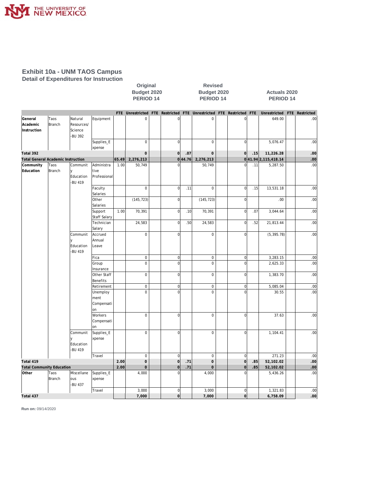

#### **Exhibit 10a - UNM TAOS Campus Detail of Expenditures for Instruction**

|                                           |                |                                             |                                      |       | Budget 2020<br>PERIOD <sub>14</sub> |                |         | Budget 2020<br>PERIOD <sub>14</sub>                |  |                |     | <b>Actuals 2020</b><br>PERIOD <sub>14</sub> |  |                  |  |  |
|-------------------------------------------|----------------|---------------------------------------------|--------------------------------------|-------|-------------------------------------|----------------|---------|----------------------------------------------------|--|----------------|-----|---------------------------------------------|--|------------------|--|--|
|                                           |                |                                             |                                      |       | FTE Unrestricted                    |                |         | FTE Restricted FTE Unrestricted FTE Restricted FTE |  |                |     | Unrestricted                                |  | FTE Restricted   |  |  |
| General<br>Academic<br>Instruction        | Taos<br>Branch | Natural<br>Resources/<br>Science<br>-BU 392 | Equipment                            |       | $\mathbf 0$                         | $\overline{0}$ |         | $\mathbf 0$                                        |  | $\overline{0}$ |     | 649.00                                      |  | .00              |  |  |
|                                           |                |                                             | Supplies_E<br>xpense                 |       | $\mathbf 0$                         | $\overline{0}$ |         | $\Omega$                                           |  | $\Omega$       |     | 5,076.47                                    |  | .00              |  |  |
| Total 392                                 |                |                                             |                                      |       | $\mathbf 0$                         | 0              | .07     | $\mathbf 0$                                        |  | 0              | .15 | 11,226.28                                   |  | .00              |  |  |
| <b>Total General Academic Instruction</b> |                |                                             |                                      | 65.49 | 2,276,213                           |                | 0 44.76 | 2,276,213                                          |  |                |     | 041.94 2, 115, 418.14                       |  | .00 <sub>1</sub> |  |  |
| Community<br>Education                    | Taos<br>Branch | Communit<br>lу<br>Education<br>-BU 419      | Administra<br>tive<br>Professional   | 1.00  | 50,749                              | $\overline{0}$ |         | 50,749                                             |  | $\overline{0}$ | .11 | 5,287.50                                    |  | .00              |  |  |
|                                           |                |                                             | Faculty<br>Salaries                  |       | $\mathbf 0$                         | $\overline{0}$ | .11     | $\mathbf 0$                                        |  | $\overline{0}$ | .15 | 13,531.18                                   |  | .00              |  |  |
|                                           |                |                                             | Other<br>Salaries                    |       | (145, 723)                          | $\vert$        |         | (145, 723)                                         |  | $\overline{0}$ |     | .00                                         |  | .00              |  |  |
|                                           |                |                                             | Support<br><b>Staff Salary</b>       | 1.00  | 70,391                              | $\overline{0}$ | .10     | 70,391                                             |  | $\overline{0}$ | .07 | 3,044.64                                    |  | .00              |  |  |
|                                           |                |                                             | Technician<br>Salary                 |       | 24,583                              | $\overline{0}$ | .50     | 24,583                                             |  | 0              | .52 | 21,813.44                                   |  | .00              |  |  |
|                                           |                | Communit<br>Education<br>-BU 419            | Accrued<br>Annual<br>Leave           |       | $\mathbf 0$                         | $\overline{0}$ |         | $\mathbf 0$                                        |  | $\overline{0}$ |     | (5, 395.78)                                 |  | .00              |  |  |
|                                           |                |                                             | Fica                                 |       | $\boldsymbol{0}$                    | $\overline{0}$ |         | $\mathsf 0$                                        |  | $\overline{0}$ |     | 3,283.15                                    |  | .00              |  |  |
|                                           |                |                                             | Group<br>Insurance                   |       | $\mathbf 0$                         | $\overline{0}$ |         | $\mathbf 0$                                        |  | $\overline{0}$ |     | 2,625.33                                    |  | .00              |  |  |
|                                           |                |                                             | Other Staff<br>Benefits              |       | $\mathbf 0$                         | $\overline{0}$ |         | $\mathsf{O}\xspace$                                |  | $\circ$        |     | 1,383.70                                    |  | .00              |  |  |
|                                           |                |                                             | Retirement                           |       | $\mathbf 0$                         | $\overline{0}$ |         | $\mathbf 0$                                        |  | $\overline{0}$ |     | 5,085.04                                    |  | .00              |  |  |
|                                           |                |                                             | Unemploy<br>ment<br>Compensati<br>on |       | $\mathbf 0$                         | $\mathbf 0$    |         | $\mathbf 0$                                        |  | $\Omega$       |     | 30.55                                       |  | .00              |  |  |
|                                           |                |                                             | Workers<br>Compensati<br>on          |       | $\mathbf 0$                         | $\overline{0}$ |         | $\mathbf 0$                                        |  | $\overline{0}$ |     | 37.63                                       |  | .00              |  |  |
|                                           |                | Communit<br>Education<br>-BU 419            | Supplies_E<br>xpense                 |       | $\mathbf 0$                         | $\overline{0}$ |         | $\mathbf 0$                                        |  | $\mathbf{0}$   |     | 1,104.41                                    |  | .00              |  |  |
|                                           |                |                                             | Travel                               |       | $\mathbf 0$                         | $\overline{0}$ |         | $\mathbf 0$                                        |  | $\overline{0}$ |     | 271.23                                      |  | .00              |  |  |
| Total 419                                 |                |                                             |                                      | 2.00  | $\mathbf 0$                         | 0              | .71     | $\mathbf 0$                                        |  | 0              | .85 | 52,102.02                                   |  | .00 <sub>1</sub> |  |  |
| <b>Total Community Education</b>          |                |                                             |                                      | 2.00  | $\mathbf 0$                         | $\overline{0}$ | .71     | $\mathbf 0$                                        |  | $\overline{0}$ | 85  | 52,102.02                                   |  | .00 <sub>1</sub> |  |  |
| Other                                     | Taos<br>Branch | Miscellane<br>lous<br>-BU 437               | Supplies_E<br>xpense                 |       | 4,000                               | $\overline{0}$ |         | 4,000                                              |  | $\overline{0}$ |     | 5,436.26                                    |  | .00              |  |  |
|                                           |                |                                             | Travel                               |       | 3,000                               | $\overline{0}$ |         | 3,000                                              |  | 0              |     | 1,321.83                                    |  | .00              |  |  |
| Total 437                                 |                |                                             |                                      |       | 7,000                               | 0              |         | 7,000                                              |  | 0              |     | 6,758.09                                    |  | .00 <sub>1</sub> |  |  |

**Original Revised**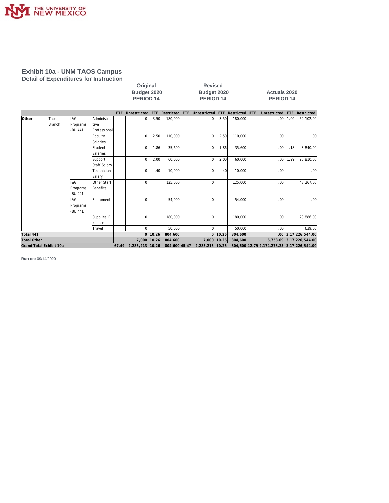

#### **Exhibit 10a - UNM TAOS Campus Detail of Expenditures for Instruction**

| Original             |
|----------------------|
| <b>Budget 2020</b>   |
| PERIOD <sub>14</sub> |

**Revised Budget 2020 Budget 2020 Actuals 2020 PERIOD 14 PERIOD 14 PERIOD 14**

|                         |               |          |                     | FTE | Unrestricted                        |             |         | FTE Restricted FTE Unrestricted FTE Restricted FTE |             |         | Unrestricted                               | FTE  | Restricted               |
|-------------------------|---------------|----------|---------------------|-----|-------------------------------------|-------------|---------|----------------------------------------------------|-------------|---------|--------------------------------------------|------|--------------------------|
| <b>Other</b>            | Taos          | I&G      | Administra          |     | $\Omega$                            | 3.50        | 180,000 | $\Omega$                                           | 3.50        | 180,000 | .00.                                       | 1.00 | 54,102.00                |
|                         | <b>Branch</b> | Programs | ltive               |     |                                     |             |         |                                                    |             |         |                                            |      |                          |
|                         |               | -BU 441  | Professional        |     |                                     |             |         |                                                    |             |         |                                            |      |                          |
|                         |               |          | Faculty             |     | $\Omega$                            | 2.50        | 110,000 | $\Omega$                                           | 2.50        | 110,000 | .00                                        |      | .00 <sub>1</sub>         |
|                         |               |          | Salaries            |     |                                     |             |         |                                                    |             |         |                                            |      |                          |
|                         |               |          | Student             |     | $\Omega$                            | 1.86        | 35,600  | $\mathbf 0$                                        | 1.86        | 35,600  | .00                                        | .18  | 3,840.00                 |
|                         |               |          | Salaries            |     |                                     |             |         |                                                    |             |         |                                            |      |                          |
|                         |               |          | Support             |     | $\Omega$                            | 2.00        | 60,000  | $\Omega$                                           | 2.00        | 60,000  | .00                                        | 1.99 | 90,810.00                |
|                         |               |          | <b>Staff Salary</b> |     |                                     |             |         |                                                    |             |         |                                            |      |                          |
|                         |               |          | Technician          |     | $\Omega$                            | .40         | 10,000  | $\mathbf 0$                                        | .40         | 10,000  | .00                                        |      | .00 <sub>1</sub>         |
|                         |               |          | Salary              |     |                                     |             |         |                                                    |             |         |                                            |      |                          |
|                         |               | I&G      | Other Staff         |     | $\Omega$                            |             | 125,000 | $\Omega$                                           |             | 125,000 | .00.                                       |      | 48,267.00                |
|                         |               | Programs | Benefits            |     |                                     |             |         |                                                    |             |         |                                            |      |                          |
|                         |               | -BU 441  |                     |     |                                     |             |         |                                                    |             |         |                                            |      |                          |
|                         |               | 1&G      | Equipment           |     | $\Omega$                            |             | 54,000  | $\Omega$                                           |             | 54,000  | .00                                        |      | .00 <sub>1</sub>         |
|                         |               | Programs |                     |     |                                     |             |         |                                                    |             |         |                                            |      |                          |
|                         |               | -BU 441  |                     |     |                                     |             |         |                                                    |             |         |                                            |      |                          |
|                         |               |          | Supplies_E          |     | $\Omega$                            |             | 180,000 | $\mathbf 0$                                        |             | 180,000 | .00                                        |      | 28,886.00                |
|                         |               |          | xpense              |     |                                     |             |         |                                                    |             |         |                                            |      |                          |
|                         |               |          | Travel              |     | $\Omega$                            |             | 50,000  | $\Omega$                                           |             | 50,000  | .00                                        |      | 639.00                   |
| Total 441               |               |          |                     |     |                                     | $0$   10.26 | 804,600 |                                                    | $0$   10.26 | 804,600 |                                            |      | $.00$ 3.17 226,544.00    |
| <b>Total Other</b>      |               |          |                     |     | 7,000   10.26                       |             | 804,600 | 7,000 10.26                                        |             | 804,600 |                                            |      | 6,758.09 3.17 226,544.00 |
| Grand Total Exhibit 10a |               |          |                     |     | 67.49 2,283,213 10.26 804,600 45.47 |             |         | 2,283,213 10.26                                    |             |         | 804,600 42.79 2,174,278.25 3.17 226,544.00 |      |                          |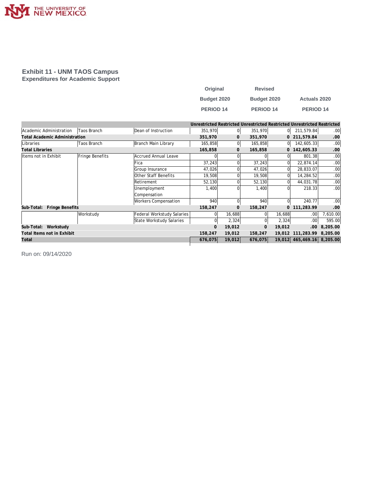

#### **Exhibit 11 - UNM TAOS Campus Expenditures for Academic Support**

| Original    | <b>Revised</b>   |                      |
|-------------|------------------|----------------------|
| Budget 2020 | Budget 2020      | <b>Actuals 2020</b>  |
| PERIOD 14   | <b>PERIOD 14</b> | PERIOD <sub>14</sub> |

|                                      |                 |                             |              |              |          |              | Unrestricted Restricted Unrestricted Restricted Unrestricted Restricted |                  |
|--------------------------------------|-----------------|-----------------------------|--------------|--------------|----------|--------------|-------------------------------------------------------------------------|------------------|
| Academic Administration              | Taos Branch     | Dean of Instruction         | 351,970      | $\Omega$     | 351,970  | 0            | 211,579.84                                                              | .00 <sub>1</sub> |
| <b>Total Academic Administration</b> |                 |                             | 351,970      | $\mathbf{0}$ | 351,970  |              | 0 211,579.84                                                            | .00              |
| Libraries                            | Taos Branch     | Branch Main Library         | 165,858      | 01           | 165,858  | 01           | 142,605.33                                                              | .00              |
| <b>Total Libraries</b>               |                 |                             | 165,858      | $\mathbf{0}$ | 165,858  | $\mathbf{0}$ | 142,605.33                                                              | .00              |
| Items not in Exhibit                 | Fringe Benefits | Accrued Annual Leave        |              |              |          |              | 801.38                                                                  | .00              |
|                                      |                 | lFica                       | 37,243       |              | 37,243   |              | 22,874.14                                                               | .00              |
|                                      |                 | Group Insurance             | 47,026       |              | 47,026   | 0            | 28,833.07                                                               | .00              |
|                                      |                 | Other Staff Benefits        | 19,508       |              | 19,508   | 0            | 14,284.52                                                               | .00              |
|                                      |                 | Retirement                  | 52,130       |              | 52,130   | 0            | 44,031.78                                                               | .00              |
|                                      |                 | Unemployment                | 1,400        |              | 1,400    |              | 218.33                                                                  | .00              |
|                                      |                 | Compensation                |              |              |          |              |                                                                         |                  |
|                                      |                 | <b>Workers Compensation</b> | 940          |              | 940      | 0            | 240.77                                                                  | .00 <sub>1</sub> |
| Fringe Benefits<br>Sub-Total:        |                 |                             | 158,247      | $\mathbf{0}$ | 158,247  | $\Omega$     | 111,283.99                                                              | .00              |
|                                      | Workstudy       | Federal Workstudy Salaries  | $\Omega$     | 16,688       | $\Omega$ | 16,688       | .00                                                                     | 7,610.00         |
|                                      |                 | State Workstudy Salaries    | $\Omega$     | 2,324        |          | 2,324        | .00                                                                     | 595.00           |
| Workstudy<br>Sub-Total:              |                 |                             | $\mathbf{O}$ | 19,012       |          | 19,012       | .00.                                                                    | 8,205.00         |
| Total Items not in Exhibit           |                 |                             | 158,247      | 19,012       | 158,247  | 19,012       | 111,283.99                                                              | 8,205.00         |
| Total                                |                 |                             | 676,075      | 19,012       | 676,075  |              | 19,012 465,469.16                                                       | 8,205.00         |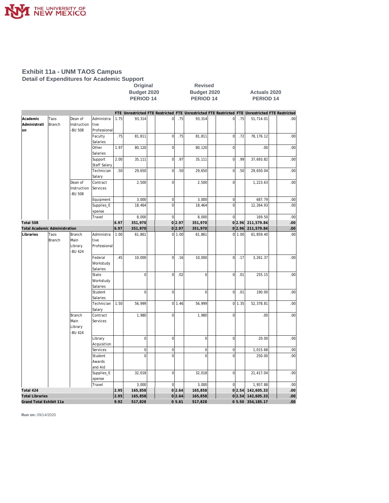

#### **Exhibit 11a - UNM TAOS Campus Detail of Expenditures for Academic Support**

|                                                   |                |                                         |                                    | Budget 2020<br>Budget 2020<br>PERIOD <sub>14</sub><br>PERIOD <sub>14</sub> |                   |                     |                    |                                                                                                 |                 | <b>Actuals 2020</b><br>PERIOD <sub>14</sub> |                         |            |  |  |
|---------------------------------------------------|----------------|-----------------------------------------|------------------------------------|----------------------------------------------------------------------------|-------------------|---------------------|--------------------|-------------------------------------------------------------------------------------------------|-----------------|---------------------------------------------|-------------------------|------------|--|--|
|                                                   |                |                                         |                                    |                                                                            |                   |                     |                    | FTE Unrestricted FTE Restricted FTE Unrestricted FTE Restricted FTE Unrestricted FTE Restricted |                 |                                             |                         |            |  |  |
| Academic<br>Administrati<br>on                    | Taos<br>Branch | Dean of<br>Instruction<br><b>BU 508</b> | Administra<br>tive<br>Professional | 1.75                                                                       | 93,314            | $\mathsf{O}\xspace$ | .75                | 93,314                                                                                          | $\overline{0}$  | .75                                         | 51,714.01               | .00        |  |  |
|                                                   |                |                                         | Faculty<br>Salaries                | .75                                                                        | 81,811            | $\mathbf 0$         | .75                | 81,811                                                                                          | $\mathbf{0}$    | .72                                         | 78,176.12               | .00        |  |  |
|                                                   |                |                                         | Other<br>Salaries                  | 1.97                                                                       | 80,120            | $\mathbf 0$         |                    | 80,120                                                                                          | $\mathbf 0$     |                                             | .00                     | .00        |  |  |
|                                                   |                |                                         | Support<br>Staff Salary            | 2.00                                                                       | 35,111            | $\mathbf 0$         | .97                | 35,111                                                                                          | $\mathbf{0}$    | .99                                         | 37,693.82               | .00        |  |  |
|                                                   |                |                                         | Technician<br>Salary               | .50                                                                        | 29,650            | $\mathsf{O}\xspace$ | .50                | 29,650                                                                                          | 0               | .50                                         | 29,650.04               | .00        |  |  |
|                                                   |                | Dean of<br>Instruction<br><b>BU 508</b> | Contract<br>Services               |                                                                            | 2,500             | $\mathbf 0$         |                    | 2,500                                                                                           | $\overline{0}$  |                                             | 1,223.63                | .00        |  |  |
|                                                   |                |                                         | Equipment                          |                                                                            | 3,000             | $\mathbf 0$         |                    | 3,000                                                                                           | $\vert 0 \vert$ |                                             | 687.79                  | .00        |  |  |
|                                                   |                |                                         | Supplies_E<br>xpense               |                                                                            | 18,464            | $\mathbf 0$         |                    | 18,464                                                                                          | $\mathbf 0$     |                                             | 12,264.93               | .00        |  |  |
|                                                   |                |                                         | Travel                             |                                                                            | 8,000             | $\mathbf 0$         |                    | 8,000                                                                                           | 0               |                                             | 169.50                  | .00        |  |  |
| Total 508                                         |                |                                         |                                    | 6.97                                                                       | 351,970           |                     | 0 2.97             | 351,970                                                                                         |                 | 0 2.96                                      | 211,579.84              | .00        |  |  |
| <b>Total Academic Administration</b><br>Libraries | Taos           | Branch                                  | Administra                         | 6.97<br>1.00                                                               | 351,970<br>61,861 |                     | 0 2.97<br>$0$ 1.00 | 351,970<br>61,861                                                                               |                 | 0 2.96 <br>0 1.00                           | 211,579.84<br>61,859.40 | .00<br>.00 |  |  |
|                                                   | Branch         | Main<br>Library<br>-BU 424              | tive<br>Professional               |                                                                            |                   |                     |                    |                                                                                                 |                 |                                             |                         |            |  |  |
|                                                   |                |                                         | Federal<br>Workstudy<br>Salaries   | .45                                                                        | 10,000            | $\mathbf 0$         | .16                | 10,000                                                                                          | $\overline{0}$  | .17                                         | 3,261.37                | .00        |  |  |
|                                                   |                |                                         | State<br>Workstudy<br>Salaries     |                                                                            | $\mathbf 0$       | $\mathbf 0$         | .02                | $\overline{0}$                                                                                  | $\overline{0}$  | .01                                         | 255.15                  | .00        |  |  |
|                                                   |                |                                         | Student<br>Salaries                |                                                                            | $\mathbf 0$       | $\mathbf 0$         |                    | 0                                                                                               | $\overline{0}$  | .01                                         | 190.00                  | .00        |  |  |
|                                                   |                |                                         | Technician<br>Salary               | 1.50                                                                       | 56,999            |                     | $0 \mid 1.46$      | 56,999                                                                                          |                 | 0 1.35                                      | 52,378.81               | .00        |  |  |
|                                                   |                | Branch<br>Main<br>Library<br>-BU 424    | Contract<br>Services               |                                                                            | 1,980             | $\mathbf 0$         |                    | 1,980                                                                                           | $\overline{0}$  |                                             | .00                     | .00        |  |  |
|                                                   |                |                                         | Library<br>Acquisition             |                                                                            | $\mathbf 0$       | $\mathbf 0$         |                    | $\overline{0}$                                                                                  | 0               |                                             | 20.00                   | .00        |  |  |
|                                                   |                |                                         | Services                           |                                                                            | $\mathbf 0$       | $\mathbf 0$         |                    | $\overline{0}$                                                                                  | $\vert 0 \vert$ |                                             | 1,015.68                | .00        |  |  |
|                                                   |                |                                         | Student<br>Awards<br>and Aid       |                                                                            | $\mathbf 0$       | $\mathbf 0$         |                    | $\mathbf 0$                                                                                     | $\mathbf 0$     |                                             | 250.00                  | .00        |  |  |
|                                                   |                |                                         | Supplies_E<br>xpense               |                                                                            | 32,018            | $\mathbf 0$         |                    | 32,018                                                                                          | 0               |                                             | 21,417.04               | .00        |  |  |
|                                                   |                |                                         | Travel                             |                                                                            | 3,000             | $\mathbf 0$         |                    | 3,000                                                                                           | $\Omega$        |                                             | 1,957.88                | .00        |  |  |
| Total 424                                         |                |                                         |                                    | 2.95                                                                       | 165,858           |                     | 0 2.64             | 165,858                                                                                         |                 |                                             | 0 2.54 142,605.33       | .00        |  |  |
| <b>Total Libraries</b>                            |                |                                         |                                    | 2.95                                                                       | 165,858           |                     | 0 2.64             | 165,858                                                                                         |                 |                                             | 0 2.54 142,605.33       | .00        |  |  |
| Grand Total Exhibit 11a                           |                |                                         |                                    | 9.92                                                                       | 517,828           |                     | 05.61              | 517,828                                                                                         |                 |                                             | 0 5.50 354, 185.17      | 00         |  |  |

**Original Revised**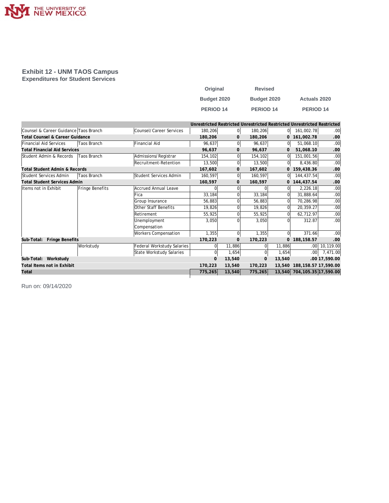

#### **Exhibit 12 - UNM TAOS Campus Expenditures for Student Services**

| Original         | <b>Revised</b>   |                     |
|------------------|------------------|---------------------|
| Budget 2020      | Budget 2020      | <b>Actuals 2020</b> |
| <b>PERIOD 14</b> | <b>PERIOD 14</b> | <b>PERIOD 14</b>    |

|                                          |                 |                             | Unrestricted Restricted Unrestricted Restricted Unrestricted Restricted |                |                |              |                             |                  |
|------------------------------------------|-----------------|-----------------------------|-------------------------------------------------------------------------|----------------|----------------|--------------|-----------------------------|------------------|
| Counsel & Career Guidance Taos Branch    |                 | Counsel/Career Services     | 180,206                                                                 | 0              | 180,206        | 01           | 161,002.78                  | .00 <sub>1</sub> |
| Total Counsel & Career Guidance          |                 |                             | 180,206                                                                 | $\mathbf{O}$   | 180,206        | $\mathbf{0}$ | 161,002.78                  | .00.             |
| Financial Aid Services                   | Taos Branch     | <b>Financial Aid</b>        | 96,637                                                                  | $\overline{0}$ | 96,637         | 0l           | 51,068.10                   | .00              |
| <b>Total Financial Aid Services</b>      |                 |                             | 96,637                                                                  | $\mathbf{0}$   | 96,637         | 0            | 51,068.10                   | .00              |
| Student Admin & Records                  | Taos Branch     | Admissions/Registrar        | 154,102                                                                 | 0l             | 154,102        | $\Omega$     | 151,001.56                  | .00              |
|                                          |                 | Recruitment-Retention       | 13,500                                                                  | $\Omega$       | 13,500         | 0            | 8,436.80                    | .00              |
| <b>Total Student Admin &amp; Records</b> |                 |                             | 167,602                                                                 | 0              | 167,602        | $\mathbf{0}$ | 159,438.36                  | .00              |
| Student Services Admin                   | Taos Branch     | Student Services Admin      | 160,597                                                                 | $\overline{0}$ | 160,597        | 0l           | 144,437.54                  | .00              |
| <b>Total Student Services Admin</b>      |                 |                             | 160,597                                                                 | $\overline{0}$ | 160,597        |              | 0 144,437.54                | .00              |
| Items not in Exhibit                     | Fringe Benefits | Accrued Annual Leave        | U                                                                       |                |                | $\Omega$     | 2,226.18                    | .00              |
|                                          |                 | Fica                        | 33,184                                                                  |                | 33,184         | $\Omega$     | 31,888.64                   | .00              |
|                                          |                 | Group Insurance             | 56,883                                                                  |                | 56,883         | $\Omega$     | 70,286.98                   | .00              |
|                                          |                 | Other Staff Benefits        | 19,826                                                                  |                | 19,826         | $\Omega$     | 20,359.27                   | .00 <sub>1</sub> |
|                                          |                 | Retirement                  | 55,925                                                                  | $\Omega$       | 55,925         | $\Omega$     | 62,712.97                   | .00 <sub>1</sub> |
|                                          |                 | Unemployment                | 3,050                                                                   |                | 3,050          | $\Omega$     | 312.87                      | .00 <sub>1</sub> |
|                                          |                 | Compensation                |                                                                         |                |                |              |                             |                  |
|                                          |                 | <b>Workers Compensation</b> | 1.355                                                                   | $\Omega$       | 1,355          | $\Omega$     | 371.66                      | .00              |
| Sub-Total: Fringe Benefits               |                 |                             | 170,223                                                                 | $\mathbf 0$    | 170,223        | $\Omega$     | 188, 158.57                 | .00              |
|                                          | Workstudy       | Federal Workstudy Salaries  | $\Omega$                                                                | 11,886         | $\Omega$       | 11,886       | .00 <sub>1</sub>            | 10,119.00        |
|                                          |                 | State Workstudy Salaries    | $\Omega$                                                                | 1,654          | $\Omega$       | 1,654        | .00 <sub>1</sub>            | 7,471.00         |
| Sub-Total: Workstudy                     |                 |                             | $\mathbf{O}$                                                            | 13,540         | $\overline{0}$ | 13,540       |                             | .00 17,590.00    |
| Total Items not in Exhibit               |                 |                             | 170,223                                                                 | 13,540         | 170,223        | 13,540       | 188, 158.57 17, 590.00      |                  |
| Total                                    |                 |                             | 775,265                                                                 | 13,540         | 775,265        |              | 13,540 704,105.35 17,590.00 |                  |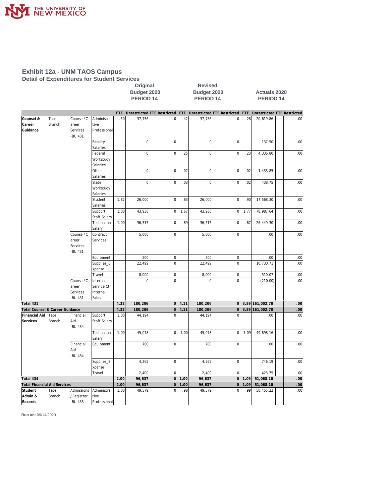

#### **Exhibit 12a - UNM TAOS Campus Detail of Expenditures for Student Services**

|                                     |                |                     |                         |            | Budget 2020<br>PERIOD <sub>14</sub> |                             | Budget 2020<br>PERIOD <sub>14</sub> |             |                             | <b>Actuals 2020</b><br><b>PERIOD 14</b> |                 |                                    |  |  |
|-------------------------------------|----------------|---------------------|-------------------------|------------|-------------------------------------|-----------------------------|-------------------------------------|-------------|-----------------------------|-----------------------------------------|-----------------|------------------------------------|--|--|
|                                     |                |                     |                         | <b>FTE</b> |                                     | Unrestricted FTE Restricted | FTE                                 |             | Unrestricted FTE Restricted | FTE                                     |                 | <b>Unrestricted FTE Restricted</b> |  |  |
| Counsel &                           | Taos           | Counsel/C           | Administra              | .50        | 37,756                              | $\vert$                     | .42                                 | 37,756      | $\pmb{0}$                   | .28                                     | 20,619.86       | .00                                |  |  |
| Career                              | Branch         | areer               | tive                    |            |                                     |                             |                                     |             |                             |                                         |                 |                                    |  |  |
| Guidance                            |                | Services<br>-BU 431 | Professional            |            |                                     |                             |                                     |             |                             |                                         |                 |                                    |  |  |
|                                     |                |                     | Faculty                 |            | $\overline{0}$                      | $\overline{0}$              |                                     | $\mathbf 0$ | $\mathbf 0$                 |                                         | 137.50          | .00                                |  |  |
|                                     |                |                     | Salaries                |            |                                     |                             |                                     |             |                             |                                         |                 |                                    |  |  |
|                                     |                |                     | Federal                 |            | $\overline{0}$                      | $\overline{0}$              | .25                                 | $\mathbf 0$ | $\mathbf 0$                 | .23                                     | 4,336.80        | .00                                |  |  |
|                                     |                |                     | Workstudy               |            |                                     |                             |                                     |             |                             |                                         |                 |                                    |  |  |
|                                     |                |                     | Salaries                |            |                                     |                             |                                     |             |                             |                                         |                 |                                    |  |  |
|                                     |                |                     | Other                   |            | $\overline{0}$                      | $\overline{0}$              | .02                                 | $\mathbf 0$ | $\mathbf 0$                 | .02                                     | 1,433.85        | .00                                |  |  |
|                                     |                |                     | Salaries                |            |                                     |                             |                                     |             |                             |                                         |                 |                                    |  |  |
|                                     |                |                     | State                   |            | $\overline{0}$                      | $\mathbf 0$                 | .03                                 | $\mathbf 0$ | $\mathbf 0$                 | .02                                     | 438.75          | .00                                |  |  |
|                                     |                |                     | Workstudy               |            |                                     |                             |                                     |             |                             |                                         |                 |                                    |  |  |
|                                     |                |                     | Salaries                |            |                                     |                             |                                     |             |                             |                                         |                 |                                    |  |  |
|                                     |                |                     | Student<br>Salaries     | 1.82       | 26,000                              | $\overline{0}$              | .83                                 | 26,000      | $\mathbf 0$                 | .90                                     | 17,568.30       | .00                                |  |  |
|                                     |                |                     | Support<br>Staff Salary | 1.00       | 43,936                              | $\overline{0}$              | 1.67                                | 43,936      | $\mathbf 0$                 | 1.77                                    | 78,987.64       | .00                                |  |  |
|                                     |                |                     | Technician              | 1.00       | 36,515                              | $\overline{0}$              | .89                                 | 36,515      | $\mathbf 0$                 | .67                                     | 26,449.30       | .00                                |  |  |
|                                     |                |                     | Salary                  |            |                                     |                             |                                     |             |                             |                                         |                 |                                    |  |  |
|                                     |                | Counsel/C           | Contract                |            | 5,000                               | $\overline{0}$              |                                     | 5,000       | $\bf 0$                     |                                         | .00             | .00                                |  |  |
|                                     |                | areer               | Services                |            |                                     |                             |                                     |             |                             |                                         |                 |                                    |  |  |
|                                     |                | Services            |                         |            |                                     |                             |                                     |             |                             |                                         |                 |                                    |  |  |
|                                     |                | -BU 431             |                         |            |                                     |                             |                                     |             |                             |                                         |                 |                                    |  |  |
|                                     |                |                     | Equipment               |            | 500                                 | $\vert$                     |                                     | 500         | $\pmb{0}$                   |                                         | .00             | .00                                |  |  |
|                                     |                |                     | Supplies_E              |            | 22,499                              | $\overline{0}$              |                                     | 22,499      | $\mathbf 0$                 |                                         | 10,730.71       | .00                                |  |  |
|                                     |                |                     | xpense                  |            |                                     |                             |                                     |             |                             |                                         |                 |                                    |  |  |
|                                     |                |                     | Travel                  |            | 8,000                               | $\overline{0}$              |                                     | 8,000       | $\bf 0$                     |                                         | 510.07          | .00                                |  |  |
|                                     |                | Counsel/C           | Internal                |            | $\overline{0}$                      | $\Omega$                    |                                     | $\Omega$    | $\mathbf 0$                 |                                         | (210.00)        | .00                                |  |  |
|                                     |                | areer               | Service Ctr             |            |                                     |                             |                                     |             |                             |                                         |                 |                                    |  |  |
|                                     |                | Services            | Internal                |            |                                     |                             |                                     |             |                             |                                         |                 |                                    |  |  |
|                                     |                | -BU 431             | Sales                   |            |                                     |                             |                                     |             |                             |                                         |                 |                                    |  |  |
| Total 431                           |                |                     |                         | 4.32       | 180,206                             | $\overline{0}$              | 4.11                                | 180,206     | $\mathbf 0$                 |                                         | 3.89 161,002.78 | .00                                |  |  |
| Total Counsel & Career Guidance     |                |                     |                         | 4.32       | 180,206                             | $\overline{0}$              | 4.11                                | 180,206     | $\mathbf 0$                 |                                         | 3.89 161,002.78 | .00                                |  |  |
| Financial Aid<br>Services           | Taos<br>Branch | Financial<br>Aid    | Support<br>Staff Salary | 1.00       | 44,194                              | $\overline{0}$              |                                     | 44,194      | $\Omega$                    |                                         | .00             | .00                                |  |  |
|                                     |                | -BU 434             |                         |            |                                     |                             |                                     |             |                             |                                         |                 |                                    |  |  |
|                                     |                |                     | Technician<br>Salary    | 1.00       | 45,078                              | $\overline{0}$              | 1.00                                | 45,078      | $\mathbf 0$                 | 1.09                                    | 49,898.16       | .00                                |  |  |
|                                     |                | Financial           | Equipment               |            | 700                                 | $\overline{0}$              |                                     | 700         | $\mathbf 0$                 |                                         | .00             | .00                                |  |  |
|                                     |                | Aid                 |                         |            |                                     |                             |                                     |             |                             |                                         |                 |                                    |  |  |
|                                     |                | -BU 434             |                         |            |                                     |                             |                                     |             |                             |                                         |                 |                                    |  |  |
|                                     |                |                     | Supplies_E              |            | 4,265                               | $\overline{0}$              |                                     | 4,265       | $\mathbf 0$                 |                                         | 746.19          | .00                                |  |  |
|                                     |                |                     | xpense                  |            |                                     |                             |                                     |             |                             |                                         |                 |                                    |  |  |
|                                     |                |                     | Travel                  |            | 2,400                               | $\overline{0}$              |                                     | 2,400       | $\mathbf 0$                 |                                         | 423.75          | .00                                |  |  |
| Total 434                           |                |                     |                         | 2.00       | 96,637                              | $\overline{0}$              | 1.00                                | 96,637      | $\mathbf 0$                 | 1.09                                    | 51,068.10       | .00                                |  |  |
| <b>Total Financial Aid Services</b> |                |                     |                         | 2.00       | 96,637                              | $\overline{0}$              | 1.00                                | 96,637      | $\mathsf{O}\xspace$         | 1.09                                    | 51,068.10       | 00                                 |  |  |
| Student                             | Taos           | Admissions          | Administra              | 1.00       | 49,579                              | $\mathbf 0$                 | .98                                 | 49,579      | $\mathbf 0$                 | .99                                     | 50,455.22       | .00                                |  |  |
| Admin &                             | Branch         | /Registrar          | tive                    |            |                                     |                             |                                     |             |                             |                                         |                 |                                    |  |  |
| Records                             |                | -BU 435             | Professional            |            |                                     |                             |                                     |             |                             |                                         |                 |                                    |  |  |

**Original Revised**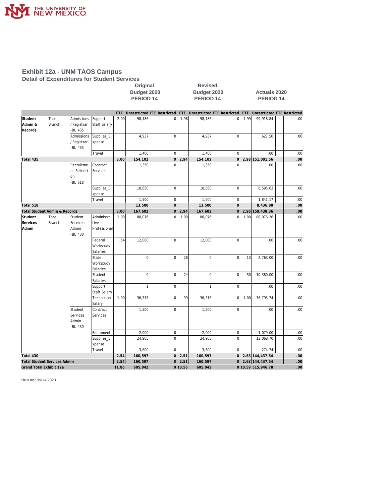

#### **Exhibit 12a - UNM TAOS Campus Detail of Expenditures for Student Services**

|                                     |                |                                           |                                  |         | Budget 2020<br>PERIOD <sub>14</sub> |                |         | Budget 2020<br><b>PERIOD 14</b> |                                                                                                 |                 | <b>Actuals 2020</b><br><b>PERIOD 14</b> |      |  |  |  |
|-------------------------------------|----------------|-------------------------------------------|----------------------------------|---------|-------------------------------------|----------------|---------|---------------------------------|-------------------------------------------------------------------------------------------------|-----------------|-----------------------------------------|------|--|--|--|
|                                     |                |                                           |                                  |         |                                     |                |         |                                 | FTE Unrestricted FTE Restricted FTE Unrestricted FTE Restricted FTE Unrestricted FTE Restricted |                 |                                         |      |  |  |  |
| Student<br>Admin &<br>Records       | Taos<br>Branch | Admissions<br>/Registrar<br><b>BU 435</b> | Support<br>Staff Salary          | 2.00    | 98,186                              | $\mathbf{0}$   | 1.96    | 98,186                          | $\overline{0}$                                                                                  | 1.99            | 99,918.84                               | .00  |  |  |  |
|                                     |                | Admissions<br>/Registrar<br><b>BU 435</b> | Supplies_E<br>xpense             |         | 4,937                               | $\mathbf 0$    |         | 4,937                           | $\Omega$                                                                                        |                 | 627.50                                  | .00  |  |  |  |
|                                     |                |                                           | Travel                           |         | 1,400                               | $\mathbf 0$    |         | 1,400                           | $\mathbf 0$                                                                                     |                 | .00                                     | .00  |  |  |  |
| Total 435                           |                |                                           |                                  | 3.00    | 154,102                             | 0              | 2.94    | 154,102                         | $\Omega$                                                                                        |                 | 2.98 151,001.56                         | .00  |  |  |  |
|                                     |                | Recruitme<br>nt-Retenti<br>on<br>-BU 518  | Contract<br>Services             |         | 1,350                               | $\Omega$       |         | 1,350                           | $\Omega$                                                                                        |                 | .001                                    | .00. |  |  |  |
|                                     |                |                                           | Supplies_E<br>xpense             |         | 10,650                              | $\mathbf 0$    |         | 10,650                          | $\overline{0}$                                                                                  |                 | 6,595.63                                | .00  |  |  |  |
|                                     |                |                                           | Travel                           |         | 1,500                               | 0              |         | 1,500                           | $\mathbf 0$                                                                                     |                 | 1,841.17                                | .00  |  |  |  |
| Total 518                           |                |                                           |                                  | 13,500  | $\Omega$                            |                | 13,500  | $\overline{0}$                  |                                                                                                 | 8,436.80        | .00                                     |      |  |  |  |
| Total Student Admin & Records       |                |                                           |                                  | 3.00    | 167,602                             | $\Omega$       | 2.94    | 167,602                         | $\overline{O}$                                                                                  |                 | 2.98 159,438.36                         | .00  |  |  |  |
| Student                             | Taos           | Student                                   | Administra                       | 1.00    | 80,076                              | $\mathbf 0$    | 1.00    | 80,076                          | $\mathbf 0$                                                                                     | 1.00            | 80,076.36                               | .00  |  |  |  |
| Services<br>Admin                   | Branch         | Services<br>Admin<br>-BU 430              | tive<br>Professional             |         |                                     |                |         |                                 |                                                                                                 |                 |                                         |      |  |  |  |
|                                     |                |                                           | Federal<br>Workstudy<br>Salaries | .54     | 12,000                              | $\mathbf 0$    |         | 12,000                          | $\mathbf 0$                                                                                     |                 | .00                                     | .00  |  |  |  |
|                                     |                |                                           | State<br>Workstudy<br>Salaries   |         | $\mathbf 0$                         | $\mathbf 0$    | .28     | $\mathbf 0$                     | $\mathbf 0$                                                                                     | .13             | 2,763.00                                | .00  |  |  |  |
|                                     |                |                                           | Student<br>Salaries              |         | $\mathbf 0$                         | $\overline{0}$ | .24     | $\mathbf 0$                     | $\overline{0}$                                                                                  | .50             | 10,380.00                               | .00  |  |  |  |
|                                     |                |                                           | Support<br>Staff Salary          |         | $\mathbf{1}$                        | $\overline{0}$ |         | $\overline{1}$                  | $\overline{0}$                                                                                  |                 | .00                                     | .00  |  |  |  |
|                                     |                |                                           | Technician<br>Salary             | 1.00    | 36,515                              | $\mathbf 0$    | .99     | 36,515                          | $\Omega$                                                                                        | 1.00            | 36,795.74                               | .00. |  |  |  |
|                                     |                | Student<br>Services<br>Admin<br>-BU 430   | Contract<br>Services             |         | 1,500                               | $\mathbf 0$    |         | 1,500                           | $\mathbf 0$                                                                                     |                 | .00                                     | .00  |  |  |  |
|                                     |                |                                           | Equipment                        |         | 2,000                               | $\vert$        |         | 2,000                           | $\mathbf 0$                                                                                     |                 | 1,079.00                                | .00. |  |  |  |
|                                     |                |                                           | Supplies_E<br>xpense             |         | 24,905                              | $\mathbf 0$    |         | 24,905                          | $\overline{0}$                                                                                  |                 | 13,068.70                               | .00  |  |  |  |
|                                     |                |                                           | Travel                           |         | 3,600                               | $\Omega$       |         | 3,600                           | $\overline{0}$                                                                                  |                 | 274.74                                  | .00  |  |  |  |
| Total 430                           |                |                                           |                                  | 2.54    | 160,597                             | <sub>0</sub>   | 2.51    | 160,597                         | $\overline{O}$                                                                                  |                 | 2.63 144,437.54                         | .00. |  |  |  |
| <b>Total Student Services Admin</b> |                |                                           | 2.54                             | 160,597 | 0                                   | 2.51           | 160,597 | 0                               |                                                                                                 | 2.63 144,437.54 | .00 <sub>1</sub>                        |      |  |  |  |
| Grand Total Exhibit 12a             |                |                                           |                                  | 11.86   | 605,042                             |                | 0 10.56 | 605,042                         |                                                                                                 |                 | 0 10.59 515,946.78                      | 00   |  |  |  |

**Original Revised**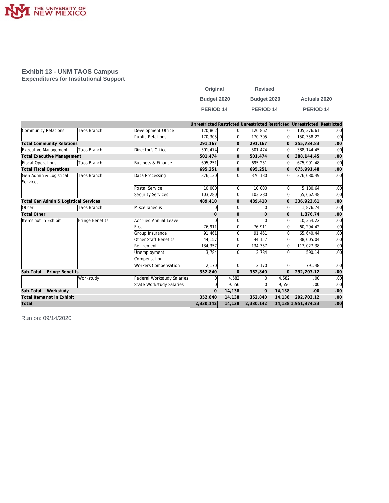

#### **Exhibit 13 - UNM TAOS Campus Expenditures for Institutional Support**

| Original             | <b>Revised</b>   |                      |
|----------------------|------------------|----------------------|
| Budget 2020          | Budget 2020      | <b>Actuals 2020</b>  |
| PERIOD <sub>14</sub> | <b>PERIOD 14</b> | PERIOD <sub>14</sub> |

|                                       |                    |                                   |              |                |              |                | Unrestricted Restricted Unrestricted Restricted Unrestricted Restricted |                  |
|---------------------------------------|--------------------|-----------------------------------|--------------|----------------|--------------|----------------|-------------------------------------------------------------------------|------------------|
| Community Relations                   | <b>Taos Branch</b> | Development Office                | 120.862      | $\Omega$       | 120,862      | 0l             | 105,376.61                                                              | .00 <sub>l</sub> |
|                                       |                    | Public Relations                  | 170,305      | $\overline{0}$ | 170.305      | 0l             | 150,358.22                                                              | .00              |
| <b>Total Community Relations</b>      |                    |                                   | 291,167      | $\mathbf{0}$   | 291,167      | 0              | 255,734.83                                                              | .00              |
| Executive Management                  | <b>Taos Branch</b> | Director's Office                 | 501.474      | $\overline{0}$ | 501.474      | 0l             | 388.144.45                                                              | .00              |
| <b>Total Executive Management</b>     |                    |                                   | 501,474      | $\mathbf{0}$   | 501,474      | $\mathbf{0}$   | 388, 144.45                                                             | .00              |
| <b>Fiscal Operations</b>              | <b>Taos Branch</b> | Business & Finance                | 695,251      | $\overline{0}$ | 695,251      | 0              | 675,991.48                                                              | .00              |
| <b>Total Fiscal Operations</b>        |                    |                                   | 695,251      | $\mathbf{0}$   | 695,251      | $\overline{0}$ | 675,991.48                                                              | .00              |
| Gen Admin & Logistical                | <b>Taos Branch</b> | Data Processing                   | 376,130      | $\overline{0}$ | 376,130      | $\Omega$       | 276,080.49                                                              | .00.             |
| Services                              |                    |                                   |              |                |              |                |                                                                         |                  |
|                                       |                    | Postal Service                    | 10,000       | $\Omega$       | 10,000       | $\Omega$       | 5,180.64                                                                | .00              |
|                                       |                    | Security Services                 | 103,280      | $\overline{0}$ | 103,280      | $\overline{0}$ | 55,662.48                                                               | .00              |
| Total Gen Admin & Logistical Services |                    |                                   | 489,410      | $\mathbf{0}$   | 489,410      | 0              | 336,923.61                                                              | .00              |
| Other                                 | Taos Branch        | Miscellaneous                     | 0            | $\overline{0}$ | $\Omega$     | $\overline{0}$ | 1,876.74                                                                | .00              |
| <b>Total Other</b>                    |                    |                                   | $\Omega$     | $\mathbf{0}$   | $\Omega$     | 0              | 1,876.74                                                                | .00              |
| Items not in Exhibit                  | Fringe Benefits    | <b>Accrued Annual Leave</b>       | $\Omega$     | 0              |              | $\Omega$       | 10,354.22                                                               | .00              |
|                                       |                    | Fica                              | 76,911       | $\overline{0}$ | 76.911       | 0              | 60,294.42                                                               | .00              |
|                                       |                    | Group Insurance                   | 91,461       | $\Omega$       | 91,461       | 0              | 65,640.44                                                               | .00              |
|                                       |                    | Other Staff Benefits              | 44,157       | $\mathbf 0$    | 44,157       | 0              | 38,005.04                                                               | .00              |
|                                       |                    | Retirement                        | 134,357      | 0              | 134,357      | 0              | 117,027.38                                                              | .00              |
|                                       |                    | Unemployment                      | 3,784        | $\Omega$       | 3,784        | 0              | 590.14                                                                  | .00              |
|                                       |                    | Compensation                      |              |                |              |                |                                                                         |                  |
|                                       |                    | <b>Workers Compensation</b>       | 2,170        | $\Omega$       | 2,170        | $\overline{0}$ | 791.48                                                                  | .00              |
| Sub-Total:<br>Fringe Benefits         |                    |                                   | 352,840      | $\mathbf{0}$   | 352,840      | 0              | 292,703.12                                                              | .00              |
|                                       | Workstudy          | <b>Federal Workstudy Salaries</b> | $\Omega$     | 4,582          | <sup>0</sup> | 4,582          | .00.                                                                    | .00              |
|                                       |                    | State Workstudy Salaries          | $\mathbf{0}$ | 9,556          | $\Omega$     | 9,556          | .00 <sub>1</sub>                                                        | .00              |
| Sub-Total: Workstudy                  |                    |                                   | $\Omega$     | 14,138         | $\Omega$     | 14,138         | .00                                                                     | .00              |
| Total Items not in Exhibit            |                    |                                   | 352.840      | 14,138         | 352.840      | 14,138         | 292.703.12                                                              | .00              |
| Total                                 |                    |                                   | 2,330,142    | 14,138         | 2,330,142    |                | 14, 138 1, 951, 374. 23                                                 | .00              |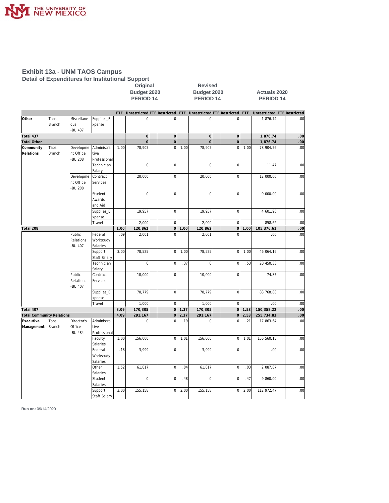

#### **Exhibit 13a - UNM TAOS Campus Detail of Expenditures for Institutional Support**

|                                  |                |                                   |                                  |      | . .                                                             | Original<br>Budget 2020<br>PERIOD <sub>14</sub> |                     |      | <b>Revised</b><br>Budget 2020<br>PERIOD <sub>14</sub> |  |                |      | <b>Actuals 2020</b><br>PERIOD <sub>14</sub> |     |
|----------------------------------|----------------|-----------------------------------|----------------------------------|------|-----------------------------------------------------------------|-------------------------------------------------|---------------------|------|-------------------------------------------------------|--|----------------|------|---------------------------------------------|-----|
|                                  |                |                                   |                                  | FTE  | Unrestricted FTE Restricted FTE Unrestricted FTE Restricted FTE |                                                 |                     |      |                                                       |  |                |      | Unrestricted FTE Restricted                 |     |
| Other                            | Taos<br>Branch | Miscellane<br>ous<br>-BU 437      | Supplies_E<br>xpense             |      | 0                                                               |                                                 | $\mathbf 0$         |      | 0                                                     |  | $\mathbf 0$    |      | 1,876.74                                    | .00 |
| Total 437                        |                |                                   |                                  |      | $\mathsf{O}\xspace$                                             |                                                 | $\mathbf 0$         |      | $\mathsf{O}\xspace$                                   |  | $\mathbf 0$    |      | 1,876.74                                    | .00 |
| <b>Total Other</b>               |                |                                   |                                  |      | $\overline{O}$                                                  |                                                 | $\mathsf{O}\xspace$ |      | $\mathbf 0$                                           |  | $\mathbf 0$    |      | 1,876.74                                    | .00 |
| Community<br>Relations           | Taos<br>Branch | Developme<br>nt Office            | Administra<br>tive               | 1.00 | 78,905                                                          |                                                 | $\mathbf 0$         | 1.00 | 78,905                                                |  | $\mathbf 0$    | 1.00 | 78,904.56                                   | .00 |
|                                  |                | -BU 208                           | Professional<br>Technician       |      | $\overline{0}$                                                  |                                                 | $\mathbf 0$         |      | $\mathsf 0$                                           |  | $\mathbf 0$    |      | 11.47                                       | .00 |
|                                  |                |                                   | Salary                           |      |                                                                 |                                                 |                     |      |                                                       |  |                |      |                                             |     |
|                                  |                | Developme<br>nt Office<br>-BU 208 | Contract<br>Services             |      | 20,000                                                          |                                                 | $\mathbf 0$         |      | 20,000                                                |  | $\mathbf 0$    |      | 12,000.00                                   | .00 |
|                                  |                |                                   | Student<br>Awards<br>and Aid     |      | $\mathbf 0$                                                     |                                                 | $\mathbf 0$         |      | $\mathsf 0$                                           |  | $\mathbf 0$    |      | 9,000.00                                    | .00 |
|                                  |                |                                   | Supplies_E<br>xpense             |      | 19,957                                                          |                                                 | $\mathbf 0$         |      | 19,957                                                |  | $\mathbf 0$    |      | 4,601.96                                    | .00 |
|                                  |                |                                   | Travel                           |      | 2,000                                                           |                                                 | $\mathbf 0$         |      | 2,000                                                 |  | $\mathbf 0$    |      | 858.62                                      | .00 |
| Total 208                        |                |                                   |                                  | 1.00 | 120,862                                                         |                                                 | 0                   | 1.00 | 120,862                                               |  | $\mathbf 0$    | 1.00 | 105,376.61                                  | .00 |
|                                  |                | Public<br>Relations<br>-BU 407    | Federal<br>Workstudy<br>Salaries | .09  | 2,001                                                           |                                                 | $\overline{0}$      |      | 2,001                                                 |  | $\mathbf 0$    |      | .00                                         | .00 |
|                                  |                |                                   | Support<br><b>Staff Salary</b>   | 3.00 | 78,525                                                          |                                                 | $\overline{0}$      | 1.00 | 78,525                                                |  | $\mathbf{0}$   | 1.00 | 46,064.16                                   | .00 |
|                                  |                |                                   | Technician<br>Salary             |      | $\mathbf 0$                                                     |                                                 | $\mathbf 0$         | .37  | $\mathbf 0$                                           |  | $\mathbf 0$    | .53  | 20,450.33                                   | .00 |
|                                  |                | Public<br>Relations<br>-BU 407    | Contract<br>Services             |      | 10,000                                                          |                                                 | $\overline{0}$      |      | 10,000                                                |  | $\mathbf 0$    |      | 74.85                                       | .00 |
|                                  |                |                                   | Supplies_E<br>xpense             |      | 78,779                                                          |                                                 | $\mathbf 0$         |      | 78,779                                                |  | $\mathbf 0$    |      | 83,768.88                                   | .00 |
|                                  |                |                                   | Travel                           |      | 1,000                                                           |                                                 | $\mathbf 0$         |      | 1,000                                                 |  | $\mathbf 0$    |      | .00                                         | .00 |
| Total 407                        |                |                                   |                                  | 3.09 | 170,305                                                         |                                                 | $\Omega$            | 1.37 | 170,305                                               |  | $\overline{0}$ | 1.53 | 150,358.22                                  | .00 |
| <b>Total Community Relations</b> |                |                                   |                                  | 4.09 | 291,167                                                         |                                                 | 0                   | 2.37 | 291,167                                               |  | $\mathbf 0$    | 2.53 | 255,734.83                                  | 00  |
| Executive<br>Management          | Taos<br>Branch | Director's<br>Office              | Administra<br>tive               |      | $\overline{0}$                                                  |                                                 | $\overline{0}$      | .19  | $\mathbf 0$                                           |  | $\overline{0}$ | .21  | 17,863.64                                   | .00 |
|                                  |                | -BU 484                           | Professional<br>Faculty          | 1.00 | 156,000                                                         |                                                 | $\mathbf 0$         | 1.01 | 156,000                                               |  | $\mathbf 0$    | 1.01 | 156,560.15                                  | .00 |
|                                  |                |                                   | Salaries<br>Federal              | .18  | 3,999                                                           |                                                 | $\mathbf 0$         |      | 3,999                                                 |  | $\mathbf 0$    |      | .00                                         | .00 |
|                                  |                |                                   | Workstudy<br>Salaries            |      |                                                                 |                                                 |                     |      |                                                       |  |                |      |                                             |     |
|                                  |                |                                   | Other<br>Salaries                | 1.52 | 61,817                                                          |                                                 | $\mathbf 0$         | .04  | 61,817                                                |  | $\mathbf 0$    | .03  | 2,087.87                                    | .00 |
|                                  |                |                                   | Student<br>Salaries              |      | $\mathbf 0$                                                     |                                                 | $\mathbf 0$         | .48  | $\mathsf 0$                                           |  | $\mathbf 0$    | .47  | 9,860.00                                    | .00 |
|                                  |                |                                   | Support<br><b>Staff Salary</b>   | 3.00 | 155,158                                                         |                                                 | $\overline{0}$      | 2.00 | 155,158                                               |  | $\mathbf 0$    | 2.00 | 112,972.47                                  | .00 |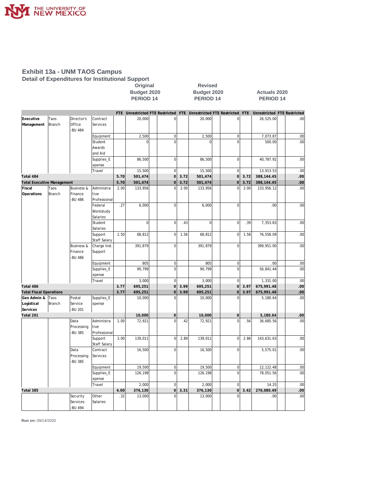

#### **Exhibit 13a - UNM TAOS Campus Detail of Expenditures for Institutional Support**

**Original Revised** 

**Budget 2020 Budget 2020 Actuals 2020** PERIOD 14 PERIOD 14 PERIOD 14

|                                   |        |                       |                       |      |                |                |      | FTE Unrestricted FTE Restricted FTE Unrestricted FTE Restricted FTE |                     |      | Unrestricted FTE Restricted |     |
|-----------------------------------|--------|-----------------------|-----------------------|------|----------------|----------------|------|---------------------------------------------------------------------|---------------------|------|-----------------------------|-----|
| Executive                         | Taos   | Director's            | Contract              |      | 20,000         | $\mathbf 0$    |      | 20,000                                                              | $\overline{0}$      |      | 26,525.00                   | .00 |
| Management                        | Branch | Office                | Services              |      |                |                |      |                                                                     |                     |      |                             |     |
|                                   |        | <b>BU 484</b>         |                       |      |                |                |      |                                                                     |                     |      |                             |     |
|                                   |        |                       | Equipment             |      | 2,500          | $\mathbf 0$    |      | 2,500                                                               | $\mathbf 0$         |      | 7,073.87                    | .00 |
|                                   |        |                       | Student               |      | $\Omega$       | $\Omega$       |      | $\Omega$                                                            | $\Omega$            |      | 500.00                      | .00 |
|                                   |        |                       | Awards                |      |                |                |      |                                                                     |                     |      |                             |     |
|                                   |        |                       | and Aid               |      |                |                |      |                                                                     |                     |      |                             |     |
|                                   |        |                       | Supplies E            |      | 86,500         | $\mathbf 0$    |      | 86,500                                                              | $\mathbf 0$         |      | 40,787.92                   | .00 |
|                                   |        |                       | xpense                |      |                |                |      |                                                                     |                     |      |                             |     |
|                                   |        |                       | Travel                |      | 15,500         | $\mathbf 0$    |      | 15,500                                                              | $\mathbf 0$         |      | 13,913.53                   | .00 |
| Total 484                         |        |                       |                       | 5.70 | 501,474        | $\overline{O}$ | 3.72 | 501,474                                                             | $\mathbf 0$         | 3.72 | 388, 144.45                 | .00 |
| <b>Total Executive Management</b> |        |                       |                       | 5.70 | 501,474        | $\overline{0}$ | 3.72 | 501,474                                                             | $\mathbf 0$         | 3.72 | 388, 144.45                 | .00 |
| Fiscal                            | Taos   | <b>Business &amp;</b> | Administra            | 2.00 | 133,956        | $\Omega$       | 2.00 | 133,956                                                             | $\overline{0}$      | 2.00 | 133,956.12                  | .00 |
| Operations                        | Branch | Finance               | tive                  |      |                |                |      |                                                                     |                     |      |                             |     |
|                                   |        | <b>BU 486</b>         | Professional          |      |                |                |      |                                                                     |                     |      |                             |     |
|                                   |        |                       | Federal               | .27  | 6,000          | $\mathbf 0$    |      | 6,000                                                               | $\mathbf 0$         |      | .00                         | .00 |
|                                   |        |                       | Workstudy<br>Salaries |      |                |                |      |                                                                     |                     |      |                             |     |
|                                   |        |                       | Student               |      | $\overline{0}$ | $\mathbf 0$    | .43  | $\overline{0}$                                                      | $\mathbf 0$         | .39  | 7,353.83                    | .00 |
|                                   |        |                       | Salaries              |      |                |                |      |                                                                     |                     |      |                             |     |
|                                   |        |                       | Support               | 1.50 | 68,812         | $\mathbf 0$    | 1.56 | 68,812                                                              | $\mathbf 0$         | 1.58 | 76,558.09                   | .00 |
|                                   |        |                       | Staff Salary          |      |                |                |      |                                                                     |                     |      |                             |     |
|                                   |        | <b>Business &amp;</b> | Charge Inst.          |      | 391,879        | $\overline{0}$ |      | 391,879                                                             | $\mathbf 0$         |      | 399,951.00                  | .00 |
|                                   |        | Finance               | Support               |      |                |                |      |                                                                     |                     |      |                             |     |
|                                   |        | -BU 486               |                       |      |                |                |      |                                                                     |                     |      |                             |     |
|                                   |        |                       | Equipment             |      | 805            | $\mathbf 0$    |      | 805                                                                 | $\mathbf 0$         |      | .00.                        | .00 |
|                                   |        |                       | Supplies_E            |      | 90,799         | $\overline{0}$ |      | 90,799                                                              | $\overline{0}$      |      | 56,841.44                   | .00 |
|                                   |        |                       | xpense                |      |                |                |      |                                                                     |                     |      |                             |     |
|                                   |        |                       | Travel                |      | 3,000          | $\mathbf 0$    |      | 3,000                                                               | $\mathbf 0$         |      | 1,331.00                    | .00 |
| Total 486                         |        |                       |                       | 3.77 | 695,251        | $\overline{O}$ | 3.99 | 695,251                                                             | $\overline{O}$      | 3.97 | 675,991.48                  | .00 |
| <b>Total Fiscal Operations</b>    |        |                       |                       | 3.77 | 695,251        | $\overline{0}$ | 3.99 | 695,251                                                             | $\mathsf{O}\xspace$ | 3.97 | 675,991.48                  | .00 |
| Gen Admin &                       | Taos   | Postal                | Supplies_E            |      | 10,000         | $\mathbf 0$    |      | 10,000                                                              | $\overline{0}$      |      | 5,180.64                    | .00 |
| Logistical                        | Branch | Service               | xpense                |      |                |                |      |                                                                     |                     |      |                             |     |
| Services                          |        | -BU 201               |                       |      |                |                |      |                                                                     |                     |      |                             |     |
| Total 201                         |        |                       |                       |      | 10,000         | $\mathbf 0$    |      | 10,000                                                              | $\mathbf 0$         |      | 5,180.64                    | .00 |
|                                   |        | Data                  | Administra            | 1.00 | 72,921         | $\overline{0}$ | .42  | 72,921                                                              | $\overline{0}$      | .56  | 36,685.56                   | .00 |
|                                   |        | Processing            | tive                  |      |                |                |      |                                                                     |                     |      |                             |     |
|                                   |        | <b>BU 385</b>         | Professional          |      |                |                |      |                                                                     |                     |      |                             |     |
|                                   |        |                       | Support               | 3.00 | 139,011        | $\overline{0}$ | 2.89 | 139,011                                                             | $\overline{0}$      | 2.86 | 143,631.63                  | .00 |
|                                   |        |                       | Staff Salary          |      |                |                |      |                                                                     |                     |      |                             |     |
|                                   |        | Data                  | Contract              |      | 16,500         | $\mathbf 0$    |      | 16,500                                                              | $\mathbf 0$         |      | 5,575.01                    | .00 |
|                                   |        | Processing            | Services              |      |                |                |      |                                                                     |                     |      |                             |     |
|                                   |        | <b>BU 385</b>         |                       |      |                |                |      |                                                                     |                     |      |                             |     |
|                                   |        |                       | Equipment             |      | 19,500         | $\mathbf 0$    |      | 19,500                                                              | $\mathbf 0$         |      | 12, 122.48                  | .00 |
|                                   |        |                       | Supplies_E            |      | 126,198        | $\overline{0}$ |      | 126,198                                                             | $\overline{0}$      |      | 78,051.56                   | .00 |
|                                   |        |                       | xpense                |      |                |                |      |                                                                     |                     |      |                             |     |
|                                   |        |                       | Travel                |      | 2,000          | $\mathbf 0$    |      | 2,000                                                               | $\overline{0}$      |      | 14.25                       | .00 |
| Total 385                         |        |                       |                       | 4.00 | 376,130        | $\mathbf 0$    | 3.31 | 376,130                                                             | $\overline{0}$      | 3.42 | 276,080.49                  | .00 |
|                                   |        | Security              | Other                 | .32  | 13,000         | $\overline{0}$ |      | 13,000                                                              | $\overline{0}$      |      | .00                         | .00 |
|                                   |        | Services              | Salaries              |      |                |                |      |                                                                     |                     |      |                             |     |
|                                   |        | <b>BU 494</b>         |                       |      |                |                |      |                                                                     |                     |      |                             |     |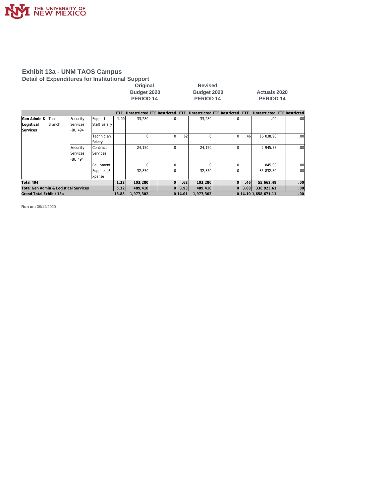

#### **Exhibit 13a - UNM TAOS Campus Detail of Expenditures for Institutional Support**

| Original           |  |
|--------------------|--|
| <b>Budget 2020</b> |  |
| <b>PERIOD 14</b>   |  |

**Revised Budget 2020 Actuals 2020**<br>**PERIOD 14 PERIOD 14 PERIOD 14 PERIOD 14 PERIOD 14**

|                                       |        |                 |                 | FTF.  | Unrestricted FTE Restricted |    | FTE     | Unrestricted FTE Restricted FTE |          |      | Unrestricted FTE Restricted |                  |
|---------------------------------------|--------|-----------------|-----------------|-------|-----------------------------|----|---------|---------------------------------|----------|------|-----------------------------|------------------|
| Gen Admin &                           | Taos   | Security        | Support         | 1.001 | 33,280                      |    |         | 33.280                          |          |      | .00 <sub>1</sub>            | .00 <sub>1</sub> |
| Logistical                            | Branch | <b>Services</b> | Staff Salary    |       |                             |    |         |                                 |          |      |                             |                  |
| Services                              |        | -BU 494         |                 |       |                             |    |         |                                 |          |      |                             |                  |
|                                       |        |                 | Technician      |       |                             |    | .62     | 0                               |          | .46  | 16,038.90                   | .00 <sub>1</sub> |
|                                       |        |                 | Salary          |       |                             |    |         |                                 |          |      |                             |                  |
|                                       |        | Security        | <b>Contract</b> |       | 24.150                      |    |         | 24.150                          |          |      | 2.945.78                    | .00 <sub>1</sub> |
|                                       |        | Services        | Services        |       |                             |    |         |                                 |          |      |                             |                  |
|                                       |        | -BU 494         |                 |       |                             |    |         |                                 |          |      |                             |                  |
|                                       |        |                 | Equipment       |       |                             |    |         |                                 |          |      | 845.00                      | .00              |
|                                       |        |                 | Supplies_E      |       | 32,850                      |    |         | 32,850                          |          |      | 35,832.80                   | .00              |
|                                       |        |                 | xpense          |       |                             |    |         |                                 |          |      |                             |                  |
| Total 494                             |        |                 |                 | 1.32  | 103,280                     |    | .62     | 103,280                         | $\Omega$ | .46  | 55,662.48                   | .00              |
| Total Gen Admin & Logistical Services |        |                 |                 | 5.32  | 489,410                     | οl | 3.93    | 489,410                         | $\Omega$ | 3.88 | 336,923.61                  | .00              |
| Grand Total Exhibit 13a               |        |                 |                 | 18.88 | 1,977,302                   |    | 0 14.01 | 1.977.302                       |          |      | 0 14.10 1,658,671.11        | .00              |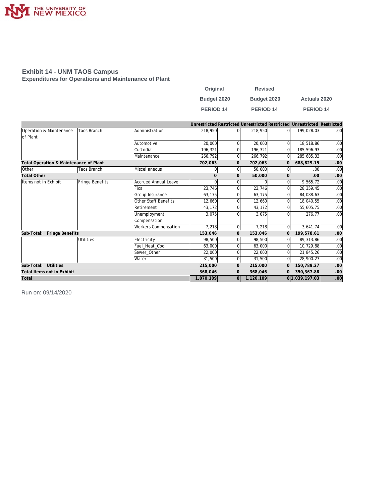

#### **Exhibit 14 - UNM TAOS Campus Expenditures for Operations and Maintenance of Plant**

| Original    | <b>Revised</b>   |                      |
|-------------|------------------|----------------------|
| Budget 2020 | Budget 2020      | <b>Actuals 2020</b>  |
| PERIOD 14   | <b>PERIOD 14</b> | PERIOD <sub>14</sub> |

|                                        |                    |                             |           |                |           |                | Unrestricted Restricted Unrestricted Restricted Unrestricted Restricted |                  |
|----------------------------------------|--------------------|-----------------------------|-----------|----------------|-----------|----------------|-------------------------------------------------------------------------|------------------|
| Operation & Maintenance<br>lof Plant   | Taos Branch        | Administration              | 218,950   | $\Omega$       | 218,950   | $\Omega$       | 199,028.03                                                              | .00              |
|                                        |                    | Automotive                  |           |                |           |                |                                                                         |                  |
|                                        |                    |                             | 20,000    | 0              | 20,000    | $\Omega$       | 18,518.86                                                               | .00              |
|                                        |                    | Custodial                   | 196,321   | 0              | 196,321   | $\Omega$       | 185,596.93                                                              | .00              |
|                                        |                    | Maintenance                 | 266,792   | $\overline{0}$ | 266,792   | $\overline{0}$ | 285,685.33                                                              | .00              |
| Total Operation & Maintenance of Plant |                    |                             | 702,063   | 0              | 702,063   | $\mathbf{0}$   | 688,829.15                                                              | .00.             |
| Other                                  | <b>Taos Branch</b> | Miscellaneous               | 0         | $\Omega$       | 50,000    | 0l             | .00                                                                     | .00              |
| <b>Total Other</b>                     |                    |                             |           | $\mathbf{0}$   | 50,000    | $\mathbf{O}$   | .00                                                                     | .00              |
| Items not in Exhibit                   | Fringe Benefits    | Accrued Annual Leave        |           |                |           | 0              | 9,565.72                                                                | .00              |
|                                        |                    | Fica                        | 23,746    |                | 23,746    | 0              | 28,359.45                                                               | .00              |
|                                        |                    | Group Insurance             | 63.175    | 0              | 63.175    | 0              | 84,088.63                                                               | .00              |
|                                        |                    | Other Staff Benefits        | 12,660    |                | 12,660    | $\Omega$       | 18,040.55                                                               | .00 <sub>1</sub> |
|                                        |                    | Retirement                  | 43,172    | 0              | 43,172    | 0              | 55,605.75                                                               | .00              |
|                                        |                    | Unemployment                | 3,075     |                | 3,075     | O              | 276.77                                                                  | .00              |
|                                        |                    | Compensation                |           |                |           |                |                                                                         |                  |
|                                        |                    | <b>Workers Compensation</b> | 7,218     | $\overline{0}$ | 7,218     | $\Omega$       | 3,641.74                                                                | .00 <sub>1</sub> |
| Fringe Benefits<br>Sub-Total:          |                    |                             | 153,046   | $\mathbf{0}$   | 153,046   | 0              | 199,578.61                                                              | .00              |
|                                        | Utilities          | Electricity                 | 98,500    |                | 98,500    | $\Omega$       | 89,313.86                                                               | .00              |
|                                        |                    | Fuel_Heat_Cool              | 63,000    | 0              | 63,000    | 0              | 10,729.88                                                               | .00 <sub>1</sub> |
|                                        |                    | Sewer_Other                 | 22,000    | $\Omega$       | 22,000    | 0              | 21,845.26                                                               | .00 <sub>1</sub> |
|                                        |                    | Water                       | 31,500    | $\overline{0}$ | 31,500    | 0l             | 28,900.27                                                               | .00 <sub>1</sub> |
| Sub-Total: Utilities                   |                    |                             | 215,000   | $\mathbf{0}$   | 215,000   | $\mathbf{0}$   | 150,789.27                                                              | .00              |
| Total Items not in Exhibit             |                    |                             | 368,046   | 0              | 368,046   |                | 350, 367.88                                                             | .00              |
| Total                                  |                    |                             | 1,070,109 | 0l             | 1,120,109 |                | 0 1,039,197.03                                                          | $.00\,$          |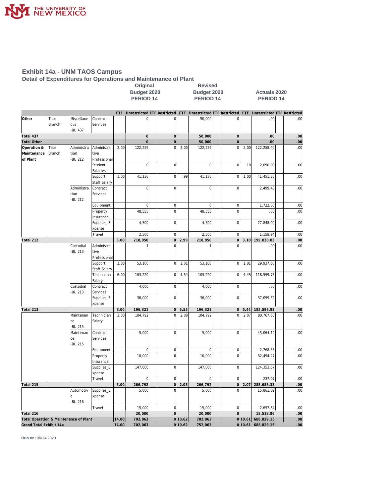

## **Exhibit 14a - UNM TAOS Campus**

**Detail of Expenditures for Operations and Maintenance of Plant**

|                                        |        |                            |                                |       |                     | Original<br><b>Revised</b><br>Budget 2020<br>Budget 2020                                        |         |                      |  | <b>Actuals 2020</b> |      |                    |                  |
|----------------------------------------|--------|----------------------------|--------------------------------|-------|---------------------|-------------------------------------------------------------------------------------------------|---------|----------------------|--|---------------------|------|--------------------|------------------|
|                                        |        |                            |                                |       | <b>PERIOD 14</b>    |                                                                                                 |         | PERIOD <sub>14</sub> |  |                     |      | <b>PERIOD 14</b>   |                  |
|                                        |        |                            |                                |       |                     | FTE Unrestricted FTE Restricted FTE Unrestricted FTE Restricted FTE Unrestricted FTE Restricted |         |                      |  |                     |      |                    |                  |
| Other                                  | Taos   | Miscellane                 | Contract                       |       | $\mathbf 0$         | $\mathbf 0$                                                                                     |         | 50.000               |  | $\mathbf 0$         |      | .00                | .00              |
|                                        | Branch | ous<br>-BU 437             | Services                       |       |                     |                                                                                                 |         |                      |  |                     |      |                    |                  |
| Total 437                              |        |                            |                                |       | $\mathsf{O}\xspace$ | $\mathsf{O}\xspace$                                                                             |         | 50,000               |  | $\mathsf{O}\xspace$ |      | .00                | .00              |
| <b>Total Other</b>                     |        |                            |                                |       | $\mathbf 0$         | $\mathbf 0$                                                                                     |         | 50,000               |  | $\mathbf 0$         |      | .00                | .00              |
| Operation &                            | Taos   | Administra                 | Administra                     | 2.00  | 122,259             | $\mathbf 0$                                                                                     | 2.00    | 122,259              |  | $\mathbf 0$         | 2.00 | 122,258.40         | .00              |
| Maintenance                            | Branch | tion                       | tive                           |       |                     |                                                                                                 |         |                      |  |                     |      |                    |                  |
| of Plant                               |        | <b>BU 212</b>              | Professional                   |       |                     |                                                                                                 |         |                      |  |                     |      |                    |                  |
|                                        |        |                            | Student                        |       | $\mathbf 0$         | $\mathbf 0$                                                                                     |         | $\mathbf 0$          |  | $\mathbf 0$         | .10  | 2,090.00           | .00              |
|                                        |        |                            | Salaries                       |       |                     |                                                                                                 |         |                      |  |                     |      |                    |                  |
|                                        |        |                            | Support                        | 1.00  | 41,136              | $\mathbf 0$                                                                                     | .99     | 41.136               |  | $\overline{0}$      | 1.00 | 41,451.26          | .00              |
|                                        |        |                            | <b>Staff Salary</b>            |       |                     |                                                                                                 |         |                      |  |                     |      |                    |                  |
|                                        |        | Administra                 | Contract                       |       | $\mathbf 0$         | $\mathbf 0$                                                                                     |         | $\overline{0}$       |  | $\mathbf 0$         |      | 2,499.43           | .00              |
|                                        |        | tion<br>-BU 212            | Services                       |       |                     |                                                                                                 |         |                      |  |                     |      |                    |                  |
|                                        |        |                            | Equipment                      |       | $\bf 0$             | $\pmb{0}$                                                                                       |         | $\boldsymbol{0}$     |  | $\mathbf 0$         |      | 1,722.00           | .00              |
|                                        |        |                            | Property                       |       | 48,555              | $\mathbf 0$                                                                                     |         | 48,555               |  | $\mathbf 0$         |      | .00                | .00              |
|                                        |        |                            | Insurance                      |       |                     |                                                                                                 |         |                      |  |                     |      |                    |                  |
|                                        |        |                            | Supplies_E                     |       | 4,500               | $\mathbf 0$                                                                                     |         | 4,500                |  | $\bf 0$             |      | 27,848.00          | .00              |
|                                        |        |                            | xpense                         |       |                     |                                                                                                 |         |                      |  |                     |      |                    |                  |
|                                        |        |                            | Travel                         |       | 2,500               | $\mathbf 0$                                                                                     |         | 2,500                |  | $\mathbf 0$         |      | 1,158.94           | .00              |
| Total 212                              |        |                            |                                | 3.00  | 218,950             | 0                                                                                               | 2.99    | 218,950              |  | 0                   | 3.10 | 199,028.03         | .00              |
|                                        |        | Custodial                  | Administra                     |       |                     | $\overline{0}$                                                                                  |         |                      |  | $\Omega$            |      | .00                | .00              |
|                                        |        | <b>BU 213</b>              | tive<br>Professional           |       |                     |                                                                                                 |         |                      |  |                     |      |                    |                  |
|                                        |        |                            | Support<br><b>Staff Salary</b> | 2.00  | 53,100              | $\mathbf 0$                                                                                     | 1.01    | 53,100               |  | $\overline{0}$      | 1.01 | 29,937.68          | .00              |
|                                        |        |                            | Technician                     | 6.00  | 103,220             | $\mathbf 0$                                                                                     | 4.54    | 103,220              |  | $\mathbf 0$         | 4.43 | 118,599.73         | .00              |
|                                        |        | Custodial                  | Salary<br>Contract             |       | 4,000               | $\mathbf 0$                                                                                     |         | 4,000                |  | $\mathbf 0$         |      | .00                | .00              |
|                                        |        | <b>BU 213</b>              | Services                       |       |                     |                                                                                                 |         |                      |  |                     |      |                    |                  |
|                                        |        |                            | Supplies_E                     |       | 36,000              | $\mathbf 0$                                                                                     |         | 36,000               |  | $\bf 0$             |      | 37,059.52          | .00              |
|                                        |        |                            | xpense                         |       |                     |                                                                                                 |         |                      |  |                     |      |                    |                  |
| Total 213                              |        |                            |                                | 8.00  | 196,321             | $\overline{0}$                                                                                  | 5.55    | 196,321              |  | 0                   | 5.44 | 185,596.93         | .00              |
|                                        |        | Maintenan<br>ce<br>-BU 215 | Technician<br>Salary           | 3.00  | 104,792             | $\mathbf 0$                                                                                     | 2.08    | 104,792              |  | $\Omega$            | 2.07 | 80,767.60          | .00              |
|                                        |        | Maintenan<br>ce<br>-BU 215 | Contract<br>Services           |       | 5,000               | $\mathbf 0$                                                                                     |         | 5,000                |  | $\mathbf 0$         |      | 45,064.14          | .00              |
|                                        |        |                            | Equipment                      |       | $\bf 0$             | $\boldsymbol{0}$                                                                                |         | $\bf 0$              |  | $\bf 0$             |      | 2,768.58           | .00              |
|                                        |        |                            | Property                       |       | 10,000              | $\mathbf 0$                                                                                     |         | 10,000               |  | $\mathbf 0$         |      | 32,494.27          | .00              |
|                                        |        |                            | Insurance                      |       |                     |                                                                                                 |         |                      |  |                     |      |                    |                  |
|                                        |        |                            | Supplies_E<br>xpense           |       | 147,000             | $\mathbf 0$                                                                                     |         | 147,000              |  | $\overline{0}$      |      | 124,353.67         | .00              |
|                                        |        |                            | Travel                         |       | $\overline{0}$      | $\bf 0$                                                                                         |         | $\boldsymbol{0}$     |  | $\overline{0}$      |      | 237.07             | .00              |
| Total 215                              |        |                            |                                | 3.00  | 266,792             | 0                                                                                               | 2.08    | 266,792              |  | 0                   | 2.07 | 285,685.33         | .00              |
|                                        |        | Automotiv                  | Supplies_E                     |       | 5,000               | $\mathbf 0$                                                                                     |         | 5,000                |  | $\mathbf 0$         |      | 15,861.02          | .00              |
|                                        |        | e<br>-BU 216               | xpense                         |       |                     |                                                                                                 |         |                      |  |                     |      |                    |                  |
|                                        |        |                            | Travel                         |       | 15,000              | $\mathbf 0$                                                                                     |         | 15,000               |  | $\overline{0}$      |      | 2,657.84           | .00              |
| Total 216                              |        |                            |                                |       | 20,000              | $\overline{0}$                                                                                  |         | 20,000               |  | $\overline{O}$      |      | 18,518.86          | .00.             |
| Total Operation & Maintenance of Plant |        |                            |                                | 14.00 | 702,063             |                                                                                                 | 0 10.62 | 702,063              |  |                     |      | 0 10.61 688,829.15 | .00 <sub>1</sub> |
| Grand Total Exhibit 14a                |        |                            |                                | 14.00 | 702,063             |                                                                                                 | 010.62  | 752,063              |  |                     |      | 0 10.61 688,829.15 | .00.             |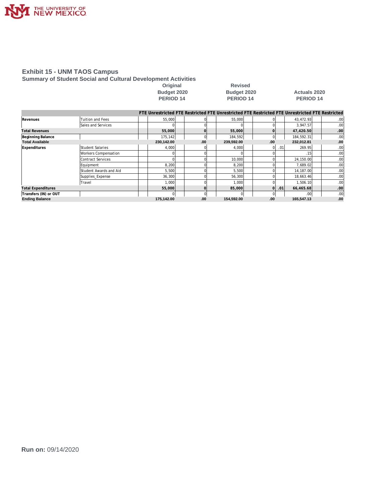

#### **Exhibit 15 - UNM TAOS Campus**

**Summary of Student Social and Cultural Development Activities**

Original Revised<br>Budget 2020 **Budget 2020** 

**PERIOD 14** 

## **Budget 2020 Budget 2020 Actuals 2020**

|                           |                          |            |          | FTE Unrestricted FTE Restricted FTE Unrestricted FTE Restricted FTE Unrestricted FTE Restricted |     |     |                  |                  |
|---------------------------|--------------------------|------------|----------|-------------------------------------------------------------------------------------------------|-----|-----|------------------|------------------|
| Revenues                  | Tuition and Fees         | 55,000     |          | 55,000                                                                                          |     |     | 43,472.93        | .00              |
|                           | Sales and Services       |            |          |                                                                                                 |     |     | 3.947.57         | .00.             |
| <b>Total Revenues</b>     |                          | 55,000     |          | 55,000                                                                                          |     |     | 47,420.50        | .00              |
| Beginning Balance         |                          | 175,142    | $\Omega$ | 184,592                                                                                         |     |     | 184,592.31       | .00 <sub>1</sub> |
| <b>Total Available</b>    |                          | 230,142.00 | .00      | 239,592.00                                                                                      | .00 |     | 232,012.81       | .00.             |
| Expenditures              | <b>Student Salaries</b>  | 4,000      |          | 4,000                                                                                           | 01  | .01 | 269.95           | .00              |
|                           | Workers Compensation     |            |          |                                                                                                 |     |     | .15              | .001             |
|                           | <b>Contract Services</b> |            |          | 10,000                                                                                          |     |     | 24,150.00        | .00              |
|                           | Equipment                | 8,200      |          | 8,200                                                                                           |     |     | 7.689.02         | .00              |
|                           | Student Awards and Aid   | 5,500      |          | 5,500                                                                                           |     |     | 14, 187.00       | .00              |
|                           | Supplies Expense         | 36,300     |          | 56,300                                                                                          |     |     | 18,663.46        | .00              |
|                           | Travel                   | 1,000      |          | 1,000                                                                                           |     |     | 1,506.10         | .00              |
| <b>Total Expenditures</b> |                          | 55,000     |          | 85,000                                                                                          | Οl  | .01 | 66,465.68        | .00              |
| Transfers (IN) or OUT     |                          |            | $\Omega$ |                                                                                                 |     |     | .00 <sub>l</sub> | .00 <sub>1</sub> |
| <b>Ending Balance</b>     |                          | 175,142.00 | .00      | 154,592.00                                                                                      | .00 |     | 165,547.13       | .00.             |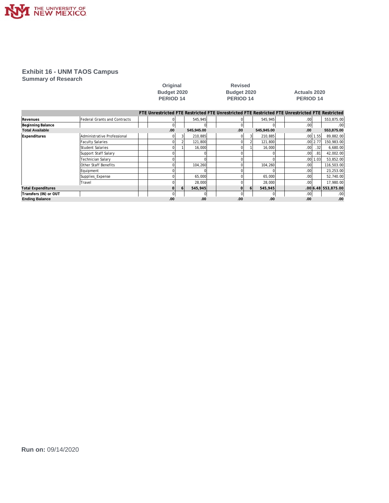

## **Exhibit 16 - UNM TAOS Campus**

**Summary of Research**

|                           |                                     | Budget 2020<br><b>PERIOD 14</b>                                                                 |   |            | Budget 2020<br>PERIOD 14 |    |            | <b>Actuals 2020</b><br>PERIOD 14 |              |                     |
|---------------------------|-------------------------------------|-------------------------------------------------------------------------------------------------|---|------------|--------------------------|----|------------|----------------------------------|--------------|---------------------|
|                           |                                     | FTE Unrestricted FTE Restricted FTE Unrestricted FTE Restricted FTE Unrestricted FTE Restricted |   |            |                          |    |            |                                  |              |                     |
| Revenues                  | <b>Federal Grants and Contracts</b> |                                                                                                 |   | 545,945    |                          |    | 545,945    | .00                              |              | 553,875.00          |
| Beginning Balance         |                                     |                                                                                                 |   |            |                          |    |            | .00 <sub>l</sub>                 |              | .00                 |
| <b>Total Available</b>    |                                     | .00                                                                                             |   | 545,945.00 | .00                      |    | 545,945.00 | .00                              |              | 553,875.00          |
| Expenditures              | Administrative Professional         |                                                                                                 |   | 210,885    |                          |    | 210,885    |                                  | $.00$   1.55 | 89,882.00           |
|                           | <b>Faculty Salaries</b>             |                                                                                                 |   | 121,800    |                          |    | 121,800    |                                  | $.00$   2.77 | 150,983.00          |
|                           | Student Salaries                    |                                                                                                 |   | 16.000     |                          |    | 16,000     | .00 <sub>l</sub>                 | .32          | 6,680.00            |
|                           | Support Staff Salary                |                                                                                                 |   |            |                          |    |            | .001                             | .81          | 42,002.00           |
|                           | Technician Salary                   |                                                                                                 |   |            |                          |    |            |                                  | .0011.03     | 53,852.00           |
|                           | Other Staff Benefits                |                                                                                                 |   | 104,260    |                          |    | 104,260    | .00                              |              | 116,503.00          |
|                           | Equipment                           |                                                                                                 |   |            |                          |    |            | .00                              |              | 23,253.00           |
|                           | Supplies_Expense                    |                                                                                                 |   | 65,000     |                          |    | 65,000     | .00                              |              | 52,740.00           |
|                           | Travel                              |                                                                                                 |   | 28,000     |                          |    | 28,000     | .00                              |              | 17,980.00           |
| <b>Total Expenditures</b> |                                     |                                                                                                 | b | 545,945    | ΩI                       | 61 | 545,945    |                                  |              | .00 6.48 553.875.00 |
| Transfers (IN) or OUT     |                                     |                                                                                                 |   |            | $\Omega$                 |    |            | .00 <sub>l</sub>                 |              | .00                 |
| <b>Ending Balance</b>     |                                     | .00                                                                                             |   | .00        | .00.                     |    | .00        | .00                              |              | .00                 |

**Original Revised**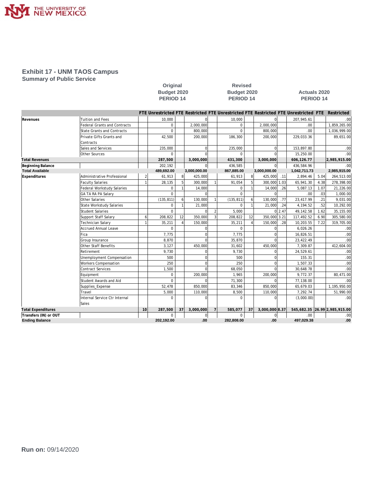

## **Exhibit 17 - UNM TAOS Campus**

Sales

**Summary of Public Service**

|                        |                                     | Original<br>Budget 2020<br>PERIOD <sub>14</sub> |                                                                                                 |    | <b>Revised</b><br>Budget 2020<br>PERIOD <sub>14</sub> |                |            |              | <b>Actuals 2020</b><br>PERIOD <sub>14</sub> |      |              |      |              |
|------------------------|-------------------------------------|-------------------------------------------------|-------------------------------------------------------------------------------------------------|----|-------------------------------------------------------|----------------|------------|--------------|---------------------------------------------|------|--------------|------|--------------|
|                        |                                     |                                                 | FTE Unrestricted FTE Restricted FTE Unrestricted FTE Restricted FTE Unrestricted FTE Restricted |    |                                                       |                |            |              |                                             |      |              |      |              |
| Revenues               | <b>Tuition and Fees</b>             |                                                 | 10,000                                                                                          |    |                                                       |                | 10,000     |              |                                             |      | 207,945.61   |      | .00          |
|                        | <b>Federal Grants and Contracts</b> |                                                 | $\mathbf 0$                                                                                     |    | 2,000,000                                             |                | $\Omega$   |              | 2,000,000                                   |      | .00.         |      | 1,859,265.00 |
|                        | <b>State Grants and Contracts</b>   |                                                 | $\Omega$                                                                                        |    | 800.000                                               |                | $\Omega$   |              | 800.000                                     |      | .00.         |      | 1,036,999.00 |
|                        | Private Gifts Grants and            |                                                 | 42,500                                                                                          |    | 200.000                                               |                | 186,300    |              | 200,000                                     |      | 229,033.36   |      | 89,651.00    |
|                        | Contracts                           |                                                 |                                                                                                 |    |                                                       |                |            |              |                                             |      |              |      |              |
|                        | Sales and Services                  |                                                 | 235,000                                                                                         |    |                                                       |                | 235,000    |              | $\Omega$                                    |      | 153,897.80   |      | .00          |
|                        | Other Sources                       |                                                 | $\Omega$                                                                                        |    |                                                       |                | $\Omega$   |              |                                             |      | 15,250.00    |      | .00          |
| <b>Total Revenues</b>  |                                     |                                                 | 287,500                                                                                         |    | 3,000,000                                             |                | 431,300    |              | 3,000,000                                   |      | 606,126.77   |      | 2,985,915.00 |
| Beginning Balance      |                                     |                                                 | 202,192                                                                                         |    |                                                       |                | 436.585    |              | O                                           |      | 436.584.96   |      | .00          |
| <b>Total Available</b> |                                     |                                                 | 489,692.00                                                                                      |    | 3,000,000.00                                          |                | 867,885.00 |              | 3,000,000.00                                |      | 1,042,711.73 |      | 2,985,915.00 |
| Expenditures           | Administrative Professional         | 2                                               | 61,913                                                                                          | 8  | 425,000                                               |                | 61,913     | $\mathbf{8}$ | 425,000                                     | .11  | 2,894.46     | 5.04 | 264,513.00   |
|                        | <b>Faculty Salaries</b>             | $\overline{1}$                                  | 28,135                                                                                          |    | 300,000                                               |                | 91,054     |              | 300,000                                     | 1.03 | 65,941.30    | 4.38 | 278,398.00   |
|                        | Federal Workstudy Salaries          |                                                 | $\mathbf 0$                                                                                     |    | 14,000                                                |                | 0          |              | 14,000                                      | .26  | 5,087.13     | 1.07 | 21,226.00    |
|                        | <b>GA TA RA PA Salary</b>           |                                                 | $\mathbf 0$                                                                                     |    |                                                       |                | $\Omega$   |              |                                             |      | .00          | .03  | 1,000.00     |
|                        | Other Salaries                      |                                                 | (135, 811)                                                                                      | 6  | 130,000                                               |                | (135, 811) | 6            | 130,000                                     | .77  | 23,417.99    | .21  | 9,031.00     |
|                        | <b>State Workstudy Salaries</b>     |                                                 | $\mathbf 0$                                                                                     |    | 21,000                                                |                | $\Omega$   |              | 21,000                                      | .24  | 4,194.52     | .52  | 10,292.00    |
|                        | Student Salaries                    |                                                 | $\Omega$                                                                                        |    |                                                       |                | 5,000      |              | $\Omega$                                    | 2.47 | 49,142.58    | 1.62 | 35,155.00    |
|                        | Support Staff Salary                | 6                                               | 208,822                                                                                         | 12 | 350,000                                               | $\overline{3}$ | 208,822    | 12           | 350,000                                     | 3.21 | 117,492.52   | 6.90 | 305,580.00   |
|                        | <b>Technician Salarv</b>            |                                                 | 35,211                                                                                          |    | 150,000                                               |                | 35,211     |              | 150,000                                     | .28  | 10.203.55    | 7.22 | 319,705.00   |
|                        | Accrued Annual Leave                |                                                 | $\Omega$                                                                                        |    |                                                       |                | $\Omega$   |              |                                             |      | 6,026.26     |      | .00          |
|                        | Fica                                |                                                 | 7,775                                                                                           |    |                                                       |                | 7,775      |              |                                             |      | 16,826.51    |      | .00          |
|                        | Group Insurance                     |                                                 | 8,870                                                                                           |    |                                                       |                | 35,870     |              |                                             |      | 23,422.49    |      | .00          |
|                        | Other Staff Benefits                |                                                 | 3,127                                                                                           |    | 450,000                                               |                | 31,602     |              | 450,000                                     |      | 7,309.87     |      | 412,604.00   |
|                        | Retirement                          |                                                 | 9,730                                                                                           |    |                                                       |                | 9,730      |              |                                             |      | 24,529.61    |      | .00          |
|                        | Unemployment Compensation           |                                                 | 500                                                                                             |    |                                                       |                | 500        |              |                                             |      | 155.31       |      | .00          |
|                        | Workers Compensation                |                                                 | 250                                                                                             |    | U                                                     |                | 250        |              | $\Omega$                                    |      | 1,507.33     |      | .00          |
|                        | Contract Services                   |                                                 | 1,500                                                                                           |    |                                                       |                | 68.050     |              | $\cap$                                      |      | 30,648.78    |      | .00          |
|                        | Equipment                           |                                                 | $\mathbf 0$                                                                                     |    | 200,000                                               |                | 1,965      |              | 200,000                                     |      | 9,772.37     |      | 80,471.00    |
|                        | Student Awards and Aid              |                                                 | $\Omega$                                                                                        |    |                                                       |                | 71,300     |              |                                             |      | 77,138.00    |      | .00          |
|                        | Supplies_Expense                    |                                                 | 52,478                                                                                          |    | 850,000                                               |                | 83,346     |              | 850,000                                     |      | 65,679.03    |      | 1,195,950.00 |

**Total Expenditures 10 287,500 37 3,000,000 7 585,077 37 3,000,000 8.37 545,682.35 26.99 2,985,915.00 Transfers (IN) or OUT** 0 0 0 0 .00 .00 **Ending Balance 202,192.00 .00 282,808.00 .00 497,029.38 .00**

Travel 5,000 110,000 8,500 110,000 7,292.74 51,990.00 **Internal Service Ctr Internal a b b b b c c c c c f c c c c f c c c c f c c c f c f c c f c f c f c f c f c f c f c f c f c**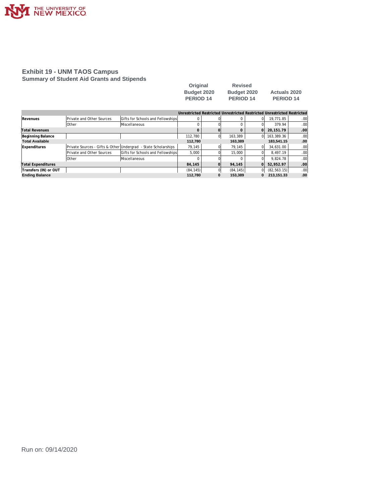

#### **Exhibit 19 - UNM TAOS Campus Summary of Student Aid Grants and Stipends**

| Original         | <b>Revised</b>   |                     |
|------------------|------------------|---------------------|
| Budget 2020      | Budget 2020      | <b>Actuals 2020</b> |
| <b>PERIOD 14</b> | <b>PERIOD 14</b> | <b>PERIOD 14</b>    |

|                           |                           |                                                                |           |                | Unrestricted Restricted Unrestricted Restricted Unrestricted Restricted |          |              |     |
|---------------------------|---------------------------|----------------------------------------------------------------|-----------|----------------|-------------------------------------------------------------------------|----------|--------------|-----|
| Revenues                  | Private and Other Sources | Gifts for Schools and Fellowships                              | 0         |                |                                                                         |          | 19.771.85    | .00 |
|                           | <b>Other</b>              | <b>Miscellaneous</b>                                           |           |                |                                                                         |          | 379.94       | .00 |
| <b>Total Revenues</b>     |                           |                                                                |           |                |                                                                         |          | 20.151.79    | .00 |
| Beginning Balance         |                           |                                                                | 112.780   | 0              | 163.389                                                                 | 01       | 163,389.36   | .00 |
| <b>Total Available</b>    |                           |                                                                | 112.780   |                | 163.389                                                                 |          | 183,541.15   | .00 |
| Expenditures              |                           | Private Sources - Gifts & Other Undergrad - State Scholarships | 79.145    |                | 79.145                                                                  |          | 34.631.00    | .00 |
|                           | Private and Other Sources | Gifts for Schools and Fellowships                              | 5.000     |                | 15,000                                                                  |          | 8.497.19     | .00 |
|                           | <b>Other</b>              | <b>Miscellaneous</b>                                           | 0         |                |                                                                         |          | 9.824.78     | .00 |
| <b>Total Expenditures</b> |                           |                                                                | 84.145    | $\overline{O}$ | 94.145                                                                  | $\Omega$ | 52.952.97    | .00 |
| Transfers (IN) or OUT     |                           |                                                                | (84, 145) |                | (84, 145)                                                               | ΩI       | (82, 563.15) | .00 |
| <b>Ending Balance</b>     |                           |                                                                | 112.780   | 0              | 153.389                                                                 | 0        | 213.151.33   | .00 |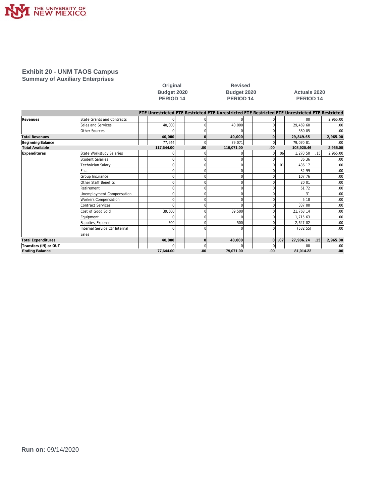

#### **Exhibit 20 - UNM TAOS Campus Summary of Auxiliary Enterprises**

| Original           |
|--------------------|
| <b>Budget 2020</b> |
| <b>PERIOD 14</b>   |

**Revised PERIOD 14 PERIOD 14 PERIOD 14**

## **Budget 2020 Budget 2020 Actuals 2020**

|                           |                               | FTE Unrestricted FTE Restricted FTE Unrestricted FTE Restricted FTE Unrestricted FTE Restricted |          |            |                |                  |            |     |                  |
|---------------------------|-------------------------------|-------------------------------------------------------------------------------------------------|----------|------------|----------------|------------------|------------|-----|------------------|
| Revenues                  | State Grants and Contracts    |                                                                                                 |          |            |                |                  | .00.       |     | 2,965.00         |
|                           | Sales and Services            | 40,000                                                                                          |          | 40.000     | $\Omega$       |                  | 29.469.60  |     | .00 <sub>1</sub> |
|                           | Other Sources                 |                                                                                                 |          |            |                |                  | 380.05     |     | .00 <sub>1</sub> |
| <b>Total Revenues</b>     |                               | 40.000                                                                                          | $\Omega$ | 40.000     | $\Omega$       |                  | 29.849.65  |     | 2,965.00         |
| Beginning Balance         |                               | 77,644                                                                                          |          | 79,071     | $\overline{0}$ |                  | 79,070.81  |     | .00              |
| <b>Total Available</b>    |                               | 117,644.00                                                                                      | .00      | 119,071.00 | .00.           |                  | 108,920.46 |     | 2,965.00         |
| <b>Expenditures</b>       | State Workstudy Salaries      |                                                                                                 |          |            | 01             | .06 <sup>1</sup> | 1,270.50   | .15 | 2,965.00         |
|                           | <b>Student Salaries</b>       |                                                                                                 | $\Omega$ | $\Omega$   | 0              |                  | 36.36      |     | .00              |
|                           | Technician Salary             |                                                                                                 | U        | $\Omega$   | $\Omega$       | .01              | 436.17     |     | .00 <sub>1</sub> |
|                           | Fica                          |                                                                                                 | $\Omega$ | $\Omega$   | $\Omega$       |                  | 32.99      |     | .00              |
|                           | Group Insurance               | U                                                                                               | $\Omega$ | $\Omega$   | $\Omega$       |                  | 107.76     |     | .00 <sub>1</sub> |
|                           | Other Staff Benefits          | U                                                                                               | 0        | $\Omega$   | $\Omega$       |                  | 20.01      |     | .00              |
|                           | Retirement                    |                                                                                                 | U        | $\Omega$   | $\Omega$       |                  | 61.72      |     | .00 <sub>1</sub> |
|                           | Unemployment Compensation     | U                                                                                               | $\Omega$ | $\Omega$   | $\Omega$       |                  | .31        |     | .00              |
|                           | <b>Workers Compensation</b>   | O                                                                                               |          | $\Omega$   | $\Omega$       |                  | 5.18       |     | .00 <sub>1</sub> |
|                           | Contract Services             | n                                                                                               | O        | $\Omega$   | $\Omega$       |                  | 337.00     |     | .00              |
|                           | Cost of Good Sold             | 39,500                                                                                          |          | 39,500     | $\Omega$       |                  | 21,768.14  |     | .00              |
|                           | Equipment                     | U                                                                                               | $\Omega$ | $\Omega$   | $\Omega$       |                  | 1.715.63   |     | .00 <sub>1</sub> |
|                           | Supplies_Expense              | 500                                                                                             | $\Omega$ | 500        | $\Omega$       |                  | 2,647.02   |     | .00              |
|                           | Internal Service Ctr Internal |                                                                                                 |          | n          | $\Omega$       |                  | (532.55)   |     | .00 <sub>1</sub> |
|                           | Sales                         |                                                                                                 |          |            |                |                  |            |     |                  |
| <b>Total Expenditures</b> |                               | 40,000                                                                                          | $\Omega$ | 40,000     | οl             | .07              | 27,906.24  | .15 | 2,965.00         |
| Transfers (IN) or OUT     |                               |                                                                                                 | $\Omega$ |            | $\Omega$       |                  | .00.       |     | .00              |
| <b>Ending Balance</b>     |                               | 77.644.00                                                                                       | .00      | 79.071.00  | .00            |                  | 81.014.22  |     | .00              |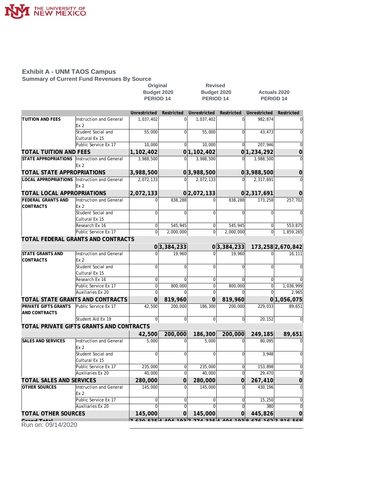

## **Exhibit A - UNM TAOS Campus**

**Summary of Current Fund Revenues By Source**

|                                              |                                            | Original             |                        | <b>Revised</b>   |                |                     |                      |  |  |
|----------------------------------------------|--------------------------------------------|----------------------|------------------------|------------------|----------------|---------------------|----------------------|--|--|
|                                              |                                            | Budget 2020          |                        |                  | Budget 2020    | <b>Actuals 2020</b> |                      |  |  |
|                                              |                                            | PERIOD <sub>14</sub> |                        | <b>PERIOD 14</b> |                | <b>PERIOD 14</b>    |                      |  |  |
|                                              |                                            |                      |                        |                  |                |                     |                      |  |  |
|                                              |                                            | Unrestricted         | Restricted             | Unrestricted     | Restricted     | Unrestricted        | Restricted           |  |  |
| TUITION AND FEES                             | Instruction and General<br>Ex <sub>2</sub> | 1,037,402            | $\Omega$               | 1,037,402        | $\Omega$       | 982,874             | $\overline{0}$       |  |  |
|                                              | Student Social and<br>Cultural Ex 15       | 55,000               | $\overline{0}$         | 55,000           | $\Omega$       | 43,473              | $\overline{0}$       |  |  |
|                                              | Public Service Ex 17                       | 10,000               | 0                      | 10,000           | $\overline{0}$ | 207,946             | 0                    |  |  |
| <b>TOTAL TUITION AND FEES</b>                |                                            | 1,102,402            |                        | 0 1,102,402      |                | 0 1,234,292         | 0                    |  |  |
| STATE APPROPRIATIONS                         | Instruction and General                    | 3,988,500            | 0                      | 3,988,500        |                | 3,988,500           | 0                    |  |  |
|                                              | Ex 2                                       |                      |                        |                  |                |                     |                      |  |  |
| TOTAL STATE APPROPRIATIONS                   |                                            | 3,988,500            |                        | 0 3,988,500      |                | 0 3,988,500         | 0                    |  |  |
| LOCAL APPROPRIATIONS Instruction and General | Ex 2                                       | 2,072,133            | $\Omega$               | 2,072,133        | $\Omega$       | 2,317,691           | $\Omega$             |  |  |
| TOTAL LOCAL APPROPRIATIONS                   |                                            | 2,072,133            |                        | 0 2,072,133      |                | 02,317,691          | 0                    |  |  |
| FEDERAL GRANTS AND<br><b>CONTRACTS</b>       | Instruction and General<br>Ex <sub>2</sub> | $\Omega$             | 838,288                | $\Omega$         | 838,288        | 173,258             | 257,702              |  |  |
|                                              | Student Social and<br>Cultural Ex 15       | $\mathbf 0$          | 0                      | $\Omega$         | $\Omega$       | $\mathbf 0$         | $\mathbf 0$          |  |  |
|                                              | Research Ex 16                             | $\boldsymbol{0}$     | 545,945                | 0                | 545,945        | $\mathbf 0$         | 553,875              |  |  |
|                                              | Public Service Ex 17                       | $\boldsymbol{0}$     | $\overline{2,000,000}$ | $\mathbf 0$      | 2,000,000      | $\mathbf 0$         | 1,859,265            |  |  |
|                                              | TOTAL FEDERAL GRANTS AND CONTRACTS         |                      |                        |                  |                |                     |                      |  |  |
|                                              |                                            |                      | 0 3,384,233            |                  | 0 3,384,233    |                     | 173,258 2,670,842    |  |  |
| <b>STATE GRANTS AND</b>                      | Instruction and General                    | $\Omega$             | 19,960                 | $\Omega$         | 19,960         | $\Omega$            | 16,111               |  |  |
| <b>CONTRACTS</b>                             | Ex <sub>2</sub>                            |                      |                        |                  |                |                     |                      |  |  |
|                                              | Student Social and                         | 0                    | $\overline{0}$         | $\Omega$         | $\overline{0}$ | $\mathbf 0$         | $\overline{0}$       |  |  |
|                                              | Cultural Ex 15                             |                      |                        |                  |                |                     |                      |  |  |
|                                              | Research Ex 16                             | 0                    | 0                      | $\mathbf 0$      | 0              | $\mathbf 0$         | $\Omega$             |  |  |
|                                              | Public Service Ex 17                       | $\mathbf 0$          | 800,000                | $\mathbf{0}$     | 800,000        | $\mathbf 0$         | 1,036,999            |  |  |
|                                              | Auxiliaries Ex 20                          | $\Omega$             |                        |                  |                |                     | 2,965                |  |  |
|                                              | TOTAL STATE GRANTS AND CONTRACTS           | $\overline{0}$       | 819,960                | $\Omega$         | 819,960        |                     | 0 1,056,075          |  |  |
| <b>PRIVATE GIFTS GRANTS</b><br>AND CONTRACTS | Public Service Ex 17                       | 42,500               | 200,000                | 186,300          | 200,000        | 229,033             | 89,651               |  |  |
|                                              | Student Aid Ex 19                          | $\pmb{0}$            | $\overline{0}$         | $\boldsymbol{0}$ | $\overline{0}$ | 20,152              | 0                    |  |  |
|                                              | TOTAL PRIVATE GIFTS GRANTS AND CONTRACTS   |                      |                        |                  |                |                     |                      |  |  |
|                                              |                                            | 42,500               | 200,000                | 186,300          | 200,000        | 249,185             | 89,651               |  |  |
| <b>SALES AND SERVICES</b>                    | Instruction and General<br>Ex <sub>2</sub> | 5.000                | $\Omega$               | 5.000            | $\Omega$       | 80,095              | $\overline{0}$       |  |  |
|                                              | Student Social and                         | $\Omega$             | $\Omega$               | $\Omega$         |                | 3,948               | 0                    |  |  |
|                                              | Cultural Ex 15                             |                      |                        |                  |                |                     |                      |  |  |
|                                              | Public Service Ex 17                       | 235,000              | 0l                     | 235,000          | <sub>0</sub>   | 153,898             | $\overline{0}$       |  |  |
|                                              | Auxiliaries Ex 20                          | 40,000               | $\overline{0}$         | 40,000           | $\overline{0}$ | 29,470              | 0                    |  |  |
| TOTAL SALES AND SERVICES                     |                                            | 280,000              | 0                      | 280,000          | 0              | 267,410             | $\mathbf 0$          |  |  |
| <b>OTHER SOURCES</b>                         | Instruction and General                    | 145,000              | $\Omega$               | 145,000          | $\Omega$       | 430,196             | $\overline{0}$       |  |  |
|                                              | Ex 2                                       |                      |                        |                  |                |                     |                      |  |  |
|                                              | Public Service Ex 17                       | 0                    | 0                      | 0                | 0              | 15,250              | 0                    |  |  |
|                                              | Auxiliaries Ex 20                          |                      | $\Omega$               |                  | 0              | 380                 | $\overline{0}$       |  |  |
| <b>TOTAL OTHER SOURCES</b>                   |                                            | 145,000              | 0                      | 145,000          | 0              | 445,826             | 0                    |  |  |
| Cropel Total<br><u>an: 00/11/2020</u>        |                                            | 220EZ                | 1011027                | 771225           | 102 $\circ$    |                     | $L7L$ 1422 014 $ELO$ |  |  |

**Grand Total 7,630,535 4,404,193 7,774,335 4,404,193 8,676,162 3,816,568** Run on: 09/14/2020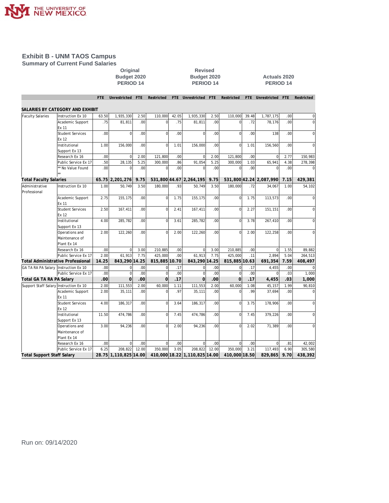

#### **Exhibit B - UNM TAOS Campus Summary of Current Fund Salaries**

## **Original Revised PERIOD 14 PERIOD 14 PERIOD 14**

# **Budget 2020 Budget 2020 Actuals 2020**

|                                        |                                   | FTE.             | Unrestricted          | <b>FTE</b>       | Restricted    |                  | FTE Unrestricted              | <b>FTE</b>       | Restricted     | FTE   | Unrestricted FTE        |      | Restricted     |
|----------------------------------------|-----------------------------------|------------------|-----------------------|------------------|---------------|------------------|-------------------------------|------------------|----------------|-------|-------------------------|------|----------------|
|                                        |                                   |                  |                       |                  |               |                  |                               |                  |                |       |                         |      |                |
|                                        | SALARIES BY CATEGORY AND EXHIBIT  |                  |                       |                  |               |                  |                               |                  |                |       |                         |      |                |
| <b>Faculty Salaries</b>                | Instruction Ex 10                 | 63.50            | 1,935,330             | 2.50             | 110,000       | 42.05            | 1,935,330                     | 2.50             | 110,000        | 39.48 | 1,787,175               | .00  | 0              |
|                                        | Academic Support                  | .75              | 81,811                | .00              | $\Omega$      | .75              | 81.811                        | .00              | $\Omega$       | .72   | 78,176                  | .00  | $\overline{0}$ |
|                                        | Ex 11                             |                  |                       |                  |               |                  |                               |                  |                |       |                         |      |                |
|                                        | <b>Student Services</b>           | .00.             | $\Omega$              | .00              | $\Omega$      | .00 <sub>1</sub> | $\Omega$                      | .00.             | $\Omega$       | .00   | 138                     | .00. | 0              |
|                                        | Ex 12                             |                  |                       |                  |               |                  |                               |                  |                |       |                         |      |                |
|                                        | Institutional                     | 1.00             | 156,000               | .00 <sub>1</sub> | $\mathbf 0$   | 1.01             | 156,000                       | .00.             | $\Omega$       | 1.01  | 156,560                 | .00. | $\Omega$       |
|                                        | Support Ex 13                     |                  |                       |                  |               |                  |                               |                  |                |       |                         |      |                |
|                                        | Research Ex 16                    | .00.             | $\overline{0}$        | 2.00             | 121.800       | .00 <sub>1</sub> | $\Omega$                      | 2.00             | 121.800        | .00   | $\mathbf 0$             | 2.77 | 150,983        |
|                                        | Public Service Ex 17              | .50              | 28,135                | 5.25             | 300,000       | .86              | 91,054                        | 5.25             | 300,000        | 1.03  | 65,941                  | 4.38 | 278,398        |
|                                        | * No Value Found                  | .00              | $\Omega$              | .00              | $\Omega$      | .00              | $\Omega$                      | .00.             | $\Omega$       | .00   | $\Omega$                | .00. |                |
|                                        |                                   |                  |                       |                  |               |                  |                               |                  |                |       |                         |      |                |
| <b>Total Faculty Salaries</b>          |                                   |                  | 65.75 2,201,276       | 9.75             |               |                  | 531,800 44.67 2,264,195       | 9.75             |                |       | 531,800 42.24 2,087,990 | 7.15 | 429,381        |
| Administrative<br>Professional         | Instruction Ex 10                 | 1.00             | 50,749                | 3.50             | 180,000       | .93              | 50,749                        | 3.50             | 180,000        | .72   | 34,067                  | 1.00 | 54,102         |
|                                        | Academic Support                  | 2.75             | 155,175               | .00 <sub>1</sub> | $\mathbf 0$   | 1.75             | 155,175                       | .00              | $\mathbf 0$    | 1.75  | 113,573                 | .00  | $\mathbf 0$    |
|                                        | Ex 11<br><b>Student Services</b>  | 2.50             |                       | .00              | $\Omega$      |                  |                               | .00              | $\Omega$       |       |                         | .00  | $\overline{0}$ |
|                                        | Ex 12                             |                  | 167,411               |                  |               | 2.41             | 167,411                       |                  |                | 2.27  | 151,151                 |      |                |
|                                        | Institutional                     | 4.00             | 285,782               | .00 <sub>1</sub> | $\mathbf 0$   | 3.61             | 285,782                       | .00 <sub>1</sub> | $\mathbf 0$    | 3.78  | 267,410                 | .00  | $\overline{0}$ |
|                                        | Support Ex 13                     |                  |                       |                  |               |                  |                               |                  |                |       |                         |      |                |
|                                        | Operations and                    | 2.00             | 122,260               | .00 <sub>1</sub> | $\Omega$      | 2.00             | 122,260                       | .00              | $\Omega$       | 2.00  | 122,258                 | .00. | $\Omega$       |
|                                        | Maintenance of                    |                  |                       |                  |               |                  |                               |                  |                |       |                         |      |                |
|                                        | Plant Ex 14                       |                  |                       |                  |               |                  |                               |                  |                |       |                         |      |                |
|                                        | Research Ex 16                    | .00              | $\overline{0}$        | 3.00             | 210.885       | .00 <sub>1</sub> | $\Omega$                      | 3.00             | 210,885        | .00   | $\overline{0}$          | 1.55 | 89,882         |
|                                        | Public Service Ex 17              | 2.00             | 61.913                | 7.75             | 425.000       | .00 <sub>l</sub> | 61.913                        | 7.75             | 425.000        | .11   | 2.894                   | 5.04 | 264,513        |
|                                        | Total Administrative Professional | 14.25            | 843,290 14.25         |                  | 815,885 10.70 |                  | 843,290 14.25                 |                  | 815,885 10.63  |       | 691,354                 | 7.59 | 408,497        |
| GA TA RA PA Salary Instruction Ex 10   |                                   | .00 <sub>1</sub> | $\overline{0}$        | .00              | $\mathbf 0$   | .17              | $\Omega$                      | .00              | $\mathbf 0$    | .17   | 4,455                   | .00  |                |
|                                        | Public Service Ex 17              | .00.             | $\Omega$              | .00              | $\Omega$      | .00              | $\Omega$                      | .00              | $\Omega$       | .00   | $\Omega$                | .03  | 1,000          |
| Total GA TA RA PA Salary               |                                   | .00              | $\Omega$              | .00              | $\Omega$      | .17              | $\overline{O}$                | .00              | $\Omega$       | .17   | 4,455                   | .03  | 1,000          |
| Support Staff Salary Instruction Ex 10 |                                   | 2.00             | 111,553               | 2.00             | 60,000        | 1.11             | 111,553                       | 2.00             | 60,000         | 1.08  | 45,157                  | 1.99 | 90,810         |
|                                        | Academic Support                  | 2.00             | 35,111                | $.00 \,$         | $\Omega$      | .97              | 35,111                        | .00              | $\Omega$       | .99   | 37.694                  | .00. | 0              |
|                                        | Ex 11                             |                  |                       |                  |               |                  |                               |                  |                |       |                         |      |                |
|                                        | <b>Student Services</b>           | 4.00             | 186,317               | .00              | $\Omega$      | 3.64             | 186,317                       | .00              | $\overline{0}$ | 3.75  | 178,906                 | .00  | 0              |
|                                        | Ex 12                             |                  |                       |                  |               |                  |                               |                  |                |       |                         |      |                |
|                                        | Institutional                     | 11.50            | 474.786               | .00 <sub>1</sub> | $\mathbf 0$   | 7.45             | 474.786                       | .00.             | $\mathbf 0$    | 7.45  | 379.226                 | .00. | 0              |
|                                        | Support Ex 13                     |                  |                       |                  |               |                  |                               |                  |                |       |                         |      |                |
|                                        | Operations and                    | 3.00             | 94,236                | .00              | $\Omega$      | 2.00             | 94,236                        | .00              | $\Omega$       | 2.02  | 71,389                  | .00. | $\Omega$       |
|                                        | Maintenance of                    |                  |                       |                  |               |                  |                               |                  |                |       |                         |      |                |
|                                        | Plant Ex 14                       |                  |                       |                  |               |                  |                               |                  |                |       |                         |      |                |
|                                        | Research Ex 16                    | .00              | $\Omega$              | $.00 \,$         | $\Omega$      | $.00 \,$         | $\Omega$                      | .00              | $\Omega$       | .00   | $\Omega$                | .81  | 42,002         |
|                                        | Public Service Ex 17              | 6.25             | 208,822               | 12.00            | 350.000       | 3.05             | 208,822                       | 12.00            | 350.000        | 3.21  | 117.493                 | 6.90 | 305,580        |
| <b>Total Support Staff Salary</b>      |                                   |                  | 28.75 1,110,825 14.00 |                  |               |                  | 410,000 18.22 1,110,825 14.00 |                  | 410,000 18.50  |       | 829,865                 | 9.70 | 438,392        |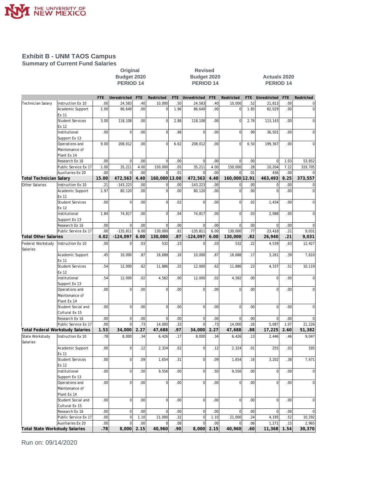

#### **Exhibit B - UNM TAOS Campus Summary of Current Fund Salaries**

# **Original Revised**

### **Budget 2020 Budget 2020 Actuals 2020 PERIOD 14 PERIOD 14 PERIOD 14**

|                                       |                                        | <b>FTE</b>       | Unrestricted   | <b>FTE</b>              | Restricted                 | <b>FTE</b>       | Unrestricted         | <b>FTE</b>       | Restricted                 | FTE              | Unrestricted                  | <b>FTE</b> | Restricted               |
|---------------------------------------|----------------------------------------|------------------|----------------|-------------------------|----------------------------|------------------|----------------------|------------------|----------------------------|------------------|-------------------------------|------------|--------------------------|
| Technician Salary                     | Instruction Ex 10                      | .00              | 24,583         | 40 <sup>1</sup>         | 10,000                     | 50               | 24,583               | .40              | 10,000                     | .52              | 21,813                        | .00        | $\overline{0}$           |
|                                       | Academic Support                       | 2.00             | 86,649         | .00                     | $\overline{0}$             | 1.96             | 86,649               | .00              | $\Omega$                   | 1.85             | 82,029                        | .00        | $\mathbf 0$              |
|                                       | Ex 11                                  |                  |                |                         |                            |                  |                      |                  |                            |                  |                               |            |                          |
|                                       | <b>Student Services</b>                | 3.00             | 118,108        | .00 <sub>1</sub>        | $\mathbf 0$                | 2.88             | 118,108              | .00              | $\mathbf 0$                | 2.76             | 113,143                       | .00        | $\mathbf 0$              |
|                                       | Ex 12                                  |                  |                |                         |                            |                  |                      |                  |                            |                  |                               |            |                          |
|                                       | Institutional                          | .00              | $\mathbf 0$    | .00 <sub>1</sub>        | $\mathbf 0$                | .98              | $\mathbf 0$          | .00              | $\Omega$                   | .99              | 36,501                        | .00        | $\mathbf 0$              |
|                                       | Support Ex 13                          |                  |                | .00 <sub>1</sub>        | $\mathbf 0$                |                  |                      |                  | $\Omega$                   |                  |                               |            |                          |
|                                       | Operations and<br>Maintenance of       | 9.00             | 208,012        |                         |                            | 6.62             | 208,012              | .00              |                            | 6.50             | 199,367                       | .00        | $\mathsf{O}\xspace$      |
|                                       |                                        |                  |                |                         |                            |                  |                      |                  |                            |                  |                               |            |                          |
|                                       | Plant Ex 14                            | .00              | $\mathbf 0$    | .00                     | $\mathbf 0$                | .00              | $\mathbf 0$          | .00              | $\mathbf 0$                | .00              | 0                             | 1.03       | 53,852                   |
|                                       | Research Ex 16<br>Public Service Ex 17 | 1.00             | 35,211         | 4.00                    | 150,000                    | .05              | 35,211               | 4.00             | 150,000                    | .28              | 10,204                        | 7.22       | 319,705                  |
|                                       | Auxiliaries Ex 20                      | .00              | $\mathbf 0$    | .00                     | $\Omega$                   | .01              | $\mathbf 0$          | .00              | $\Omega$                   | .01              | 436                           | .00        | $\mathbf 0$              |
| <b>Total Technician Salary</b>        |                                        | 15.00            | 472,563        | 4.40                    | 160,000 13.00              |                  | 472,563              | 4.40             | 160,000 12.91              |                  | 463,493                       | 8.25       | 373,557                  |
|                                       | Instruction Ex 10                      |                  | $-143,223$     |                         |                            |                  |                      |                  |                            | .00              |                               |            |                          |
| Other Salaries                        | Academic Support                       | .21<br>1.97      | 80,120         | .00<br>.00 <sub>1</sub> | $\mathbf 0$<br>$\mathbf 0$ | 00<br>.00        | $-143,223$<br>80,120 | .00<br>.00       | $\mathbf 0$<br>$\mathbf 0$ | .00              | $\mathbf 0$<br>$\overline{0}$ | .00<br>.00 | $\pmb{0}$<br>$\mathbf 0$ |
|                                       | Ex 11                                  |                  |                |                         |                            |                  |                      |                  |                            |                  |                               |            |                          |
|                                       | <b>Student Services</b>                | .00              | $\overline{0}$ | .00 <sub>1</sub>        | $\mathbf 0$                | .02              | $\mathbf 0$          | .00              | $\Omega$                   | .02              | 1,434                         | .00        | $\mathbf 0$              |
|                                       | Ex 12                                  |                  |                |                         |                            |                  |                      |                  |                            |                  |                               |            |                          |
|                                       | Institutional                          | 1.84             | 74,817         | .00 <sub>1</sub>        | $\mathbf 0$                | .04              | 74,817               | .00              | $\overline{0}$             | .03              | 2,088                         | .00        | $\mathbf 0$              |
|                                       | Support Ex 13                          |                  |                |                         |                            |                  |                      |                  |                            |                  |                               |            |                          |
|                                       | Research Ex 16                         | .00              | 0              | .00                     | $\mathbf 0$                | .00              | $\mathbf 0$          | .00              | $\Omega$                   | .00              | $\mathbf 0$                   | .00        | $\mathbf 0$              |
|                                       | Public Service Ex 17                   | .00              | $-135,811$     | 6.00                    | 130,000                    | .81              | $-135.811$           | 6.00             | 130,000                    | .77              | 23,418                        | .21        | 9,031                    |
| <b>Total Other Salaries</b>           |                                        | 4.02             | $-124,097$     | 6.00                    | 130,000                    | .87              | $-124,097$           | 6.00             | 130,000                    | .82              | 26,940                        | .21        | 9,031                    |
| Federal Workstudy                     | Instruction Ex 10                      | .00              | $\Omega$       | .03                     | 532                        | .23              | 0                    | .03              | 532                        | .22              | 4,539                         | .63        | 12,427                   |
| Salaries                              |                                        |                  |                |                         |                            |                  |                      |                  |                            |                  |                               |            |                          |
|                                       | Academic Support                       | .45              | 10,000         | .87                     | 16,688                     | .16              | 10,000               | .87              | 16,688                     | .17              | 3,261                         | .39        | 7,610                    |
|                                       | Ex 11                                  |                  |                |                         |                            |                  |                      |                  |                            |                  |                               |            |                          |
|                                       | <b>Student Services</b>                | .54              | 12,000         | .62                     | 11,886                     | .25              | 12,000               | .62              | 11,886                     | .23              | 4,337                         | .51        | 10,119                   |
|                                       | Ex 12                                  |                  |                |                         |                            |                  |                      |                  |                            |                  |                               |            |                          |
|                                       | Institutional                          | .54              | 12,000         | .02                     | 4,582                      | .00              | 12,000               | .02              | 4,582                      | .00              | $\overline{0}$                | .00.       | $\mathbf 0$              |
|                                       | Support Ex 13                          |                  |                |                         |                            |                  |                      |                  |                            |                  |                               |            |                          |
|                                       | Operations and                         | .00.             | $\mathbf 0$    | .00                     | $\mathbf 0$                | .00              | $\overline{0}$       | .00              | $\Omega$                   | .00              | $\overline{0}$                | .00        | $\mathbf 0$              |
|                                       | Maintenance of                         |                  |                |                         |                            |                  |                      |                  |                            |                  |                               |            |                          |
|                                       | Plant Ex 14                            |                  |                |                         |                            |                  |                      |                  |                            |                  |                               |            |                          |
|                                       | Student Social and                     | .00              | $\mathbf 0$    | .00                     | $\mathbf 0$                | .00              | $\mathbf 0$          | .00              | $\Omega$                   | .00              | $\overline{0}$                | .00        | $\mathbf 0$              |
|                                       | Cultural Ex 15                         |                  |                |                         |                            |                  |                      |                  |                            |                  |                               |            |                          |
|                                       | Research Ex 16                         | .00              | 0              | .00                     | $\mathbf 0$                | .00              | $\mathbf 0$          | .00              | $\mathbf{0}$               | .00              | $\mathbf 0$                   | .00        | $\mathbf 0$              |
|                                       | Public Service Ex 17                   | .00              | $\mathbf 0$    | .73                     | 14,000                     | .33              | $\mathbf 0$          | .73              | 14,000                     | .26              | 5,087                         | 1.07       | 21,226                   |
|                                       | Total Federal Workstudy Salaries       | 1.53             | 34,000         | 2.27                    | 47,688                     | .97              | 34,000               | 2.27             | 47,688                     | .88              | 17,225                        | 2.60       | 51,382                   |
| State Workstudy                       | Instruction Ex 10                      | .78              | 8,000          | .34                     | 6,426                      | .17              | 8,000                | .34              | 6,426                      | .13              | 2,446                         | .46        | 9,047                    |
| Salaries                              |                                        |                  |                |                         |                            |                  |                      |                  |                            |                  |                               |            |                          |
|                                       | Academic Support                       | .00              | $\mathbf 0$    | .12                     | 2,324                      | .02              | $\mathbf 0$          | .12              | 2,324                      | .01              | 255                           | .03        | 595                      |
|                                       | Ex 11                                  |                  |                |                         |                            |                  |                      |                  |                            |                  |                               |            |                          |
|                                       | <b>Student Services</b>                | .00              | $\overline{0}$ | .09                     | 1,654                      | .31              | $\overline{0}$       | .09              | 1,654                      | .16              | 3,202                         | .38        | 7,471                    |
|                                       | Ex 12                                  |                  |                |                         |                            |                  |                      |                  |                            |                  |                               |            |                          |
|                                       | Institutional                          | .00              | $\overline{0}$ | 50                      | 9,556                      | .00              | $\overline{0}$       | .50              | 9,556                      | .00              | $\overline{0}$                | .00        | $\mathbf 0$              |
|                                       | Support Ex 13                          |                  |                |                         |                            |                  |                      |                  |                            |                  |                               |            |                          |
|                                       | Operations and                         | .00 <sub>1</sub> | 0              | .00                     | $\overline{0}$             | .00 <sub>1</sub> | 0                    | .00 <sub>1</sub> | 0                          | .00              | $\overline{0}$                | .00        | $\overline{0}$           |
|                                       | Maintenance of                         |                  |                |                         |                            |                  |                      |                  |                            |                  |                               |            |                          |
|                                       | Plant Ex 14                            |                  |                |                         |                            |                  |                      |                  |                            |                  |                               |            |                          |
|                                       | Student Social and                     | .00              | 0              | .00 <sub>1</sub>        | $\bf 0$                    | .00              | $\overline{0}$       | .00              | 0                          | .00 <sub>1</sub> | $\mathbf 0$                   | .00        | $\overline{0}$           |
|                                       | Cultural Ex 15                         |                  |                |                         |                            |                  |                      |                  |                            |                  |                               |            |                          |
|                                       | Research Ex 16                         | .00              | 0              | .00 <sub>1</sub>        | $\bf 0$                    | .00              | $\overline{0}$       | .00              | $\overline{0}$             | .00              | $\mathbf 0$                   | .00        | $\mathbf 0$              |
|                                       | Public Service Ex 17                   | .00              | $\mathbf 0$    | 1.10                    | 21,000                     | 32               | $\mathbf 0$          | 1.10             | 21,000                     | .24              | 4,195                         | .52        | 10,292                   |
|                                       | Auxiliaries Ex 20                      | .00              | $\overline{0}$ | .00 <sub>1</sub>        | $\mathbf 0$                | .08              | $\mathbf 0$          | .00              | $\mathbf 0$                | .06              | 1,271                         | .15        | 2,965                    |
| <b>Total State Workstudy Salaries</b> |                                        | .78              | 8,000 2.15     |                         | 40,960                     | .90              |                      | 8,000 2.15       | 40,960                     | .60              | 11,368                        | 1.54       | 30,370                   |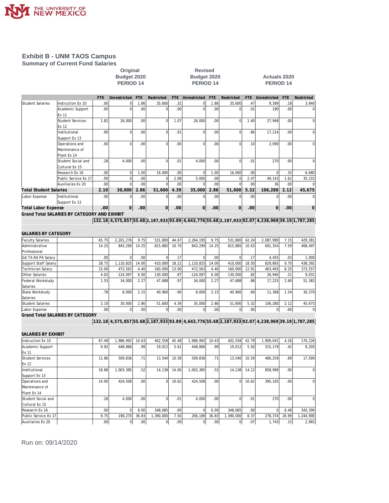

### **Exhibit B - UNM TAOS Campus Summary of Current Fund Salaries**

# Original Revised<br>Budget 2020 **Budget 2020**

## **Budget 2020 Budget 2020 Actuals 2020 PERIOD 14 PERIOD 14 PERIOD 14**

|                               |                                              | FTE.             | Unrestricted | <b>FTE</b>       | Restricted | <b>FTE</b>       | Unrestricted | <b>FTE</b>       | Restricted | FTE.             | Unrestricted                                                                                     | <b>FTE</b>       | Restricted |
|-------------------------------|----------------------------------------------|------------------|--------------|------------------|------------|------------------|--------------|------------------|------------|------------------|--------------------------------------------------------------------------------------------------|------------------|------------|
| Student Salaries              | Instruction Ex 10                            | .00              | ΩI           | 1.86             | 35,600     | .32              | $\Omega$     | 1.86             | 35,600     | .47              | 9,389                                                                                            | .18              | 3,840      |
|                               | Academic Support                             | .00 <sub>1</sub> | $\Omega$     | .00              | O          | .00 <sub>1</sub> | $\Omega$     | .00              |            | .01              | 190                                                                                              | .00 <sub>l</sub> |            |
|                               | <b>Ex 11</b>                                 |                  |              |                  |            |                  |              |                  |            |                  |                                                                                                  |                  |            |
|                               | Student Services                             | 1.82             | 26,000       | .00 <sub>1</sub> | $\Omega$   | 1.07             | 26.000       | .00 <sub>1</sub> | $\Omega$   | 1.40             | 27,948                                                                                           | .00              | C          |
|                               | Ex 12                                        |                  |              |                  |            |                  |              |                  |            |                  |                                                                                                  |                  |            |
|                               | Institutional                                | .00 <sub>1</sub> | ΩI           | .00 <sub>1</sub> | $\Omega$   | .91              | $\Omega$     | .00 <sub>1</sub> | $\Omega$   | .86              | 17,214                                                                                           | .00              | C          |
|                               | Support Ex 13                                |                  |              |                  |            |                  |              |                  |            |                  |                                                                                                  |                  |            |
|                               | Operations and                               | .00              | $\Omega$     | .00 <sub>1</sub> | $\Omega$   | .00 <sub>1</sub> | $\Omega$     | .00 <sub>l</sub> | $\Omega$   | .10              | 2,090                                                                                            | .00              | C          |
|                               | Maintenance of                               |                  |              |                  |            |                  |              |                  |            |                  |                                                                                                  |                  |            |
|                               | Plant Ex 14                                  |                  |              |                  |            |                  |              |                  |            |                  |                                                                                                  |                  |            |
|                               | Student Social and                           | .28              | 4.000        | .00              | $\Omega$   | .01              | 4.000        | .00 <sub>1</sub> |            | .01              | 270                                                                                              | .00              | C          |
|                               | Cultural Ex 15                               |                  |              |                  |            |                  |              |                  |            |                  |                                                                                                  |                  |            |
|                               | Research Ex 16                               | .00              | ΩI           | 1.00             | 16,000     | .00 <sub>1</sub> | $\Omega$     | 1.00             | 16,000     | .00              |                                                                                                  | .32              | 6,680      |
|                               | Public Service Ex 17                         | .00              | ΩI           | .00              | 0          | 2.08             | 5,000        | .00              |            | 2.47             | 49,143                                                                                           | 1.62             | 35,155     |
|                               | Auxiliaries Ex 20                            | .00              | $\Omega$     | .00              |            | .00 <sub>1</sub> |              | .00              |            | .00              | 36                                                                                               | .00              |            |
| <b>Total Student Salaries</b> |                                              | 2.10             | 30,000       | 2.86             | 51,600     | 4.39             | 35,000       | 2.86             | 51,600     | 5.32             | 106,280                                                                                          | 2.12             | 45,675     |
| Labor Expense                 | Institutional                                | .00              | Ωl           | .00              |            | .00 <sub>1</sub> | $\Omega$     | .00 <sub>1</sub> |            | .00              |                                                                                                  | .00              | C          |
|                               | Support Ex 13                                |                  |              |                  |            |                  |              |                  |            |                  |                                                                                                  |                  |            |
| <b>Total Labor Expense</b>    |                                              | .00 <sub>1</sub> | 0            | .00 <sub>1</sub> | 0          | .00              | $\Omega$     | .00              | 0          | .00 <sub>1</sub> | 0                                                                                                | .00              | 0          |
|                               | Grand Total SALARIES BY CATEGORY AND EXHIBIT |                  |              |                  |            |                  |              |                  |            |                  |                                                                                                  |                  |            |
|                               |                                              |                  |              |                  |            |                  |              |                  |            |                  | 132.18 4,575,857 55.68 2,187,933 93.89 4,643,776 55.68 2,187,933 92.07 4,238,969 39.19 1,787,285 |                  |            |
|                               |                                              |                  |              |                  |            |                  |              |                  |            |                  |                                                                                                  |                  |            |
| SALARIES BY CATEGORY          |                                              |                  |              |                  |            |                  |              |                  |            |                  |                                                                                                  |                  |            |
| <b>Faculty Salaries</b>       |                                              | 65.75            | 2.201.276    | 9.75             | 531,800    | 44.67            | 2.264.195    | 9.75             | 531.800    | 42.24            | 2.087.990                                                                                        | 7.15             | 429,381    |

| <b>Faculty Salaries</b>                 | 65.75            | 2.201.276  | 9.75  | 531.800 | 44.67            | 2.264.195  | 9.75             | 531.800 | 42.24            | 2.087.990 | 7.15             | 429,381        |
|-----------------------------------------|------------------|------------|-------|---------|------------------|------------|------------------|---------|------------------|-----------|------------------|----------------|
| Administrative                          | 14.25            | 843.290    | 14.25 | 815,885 | 10.70            | 843.290    | 14.25            | 815,885 | 10.63            | 691,354   | 7.59             | 408,497        |
| Professional                            |                  |            |       |         |                  |            |                  |         |                  |           |                  |                |
| <b>GA TA RA PA Salary</b>               | .00 <sub>1</sub> |            | .001  | ΩI      | .17 <sup>1</sup> |            | .00              |         | .17'             | 4.455     | .03              | 1,000          |
| Support Staff Salary                    | 28.75            | 1.110.825  | 14.00 | 410,000 | 18.22            | 1.110.825  | 14.00            | 410.000 | 18.50            | 829.865   | 9.70             | 438,392        |
| Technician Salarv                       | 15.00            | 472.563    | 4.40  | 160.000 | 13.00            | 472.563    | 4.40             | 160.000 | 12.91            | 463.493   | 8.25             | 373,557        |
| Other Salaries                          | 4.02             | $-124.097$ | 6.00  | 130,000 | .87'             | $-124.097$ | 6.00             | 130,000 | .82              | 26.940    | .21              | 9,031          |
| Federal Workstudy                       | 1.53             | 34,000     | 2.27  | 47.688  | .97              | 34,000     | 2.27             | 47.688  | .88              | 17,225    | 2.60             | 51,382         |
| Salaries                                |                  |            |       |         |                  |            |                  |         |                  |           |                  |                |
| <b>State Workstudy</b>                  | .78              | 8.000      | 2.15  | 40.960  | .90 <sub>1</sub> | 8.000      | 2.15             | 40.960  | .60              | 11.368    | 1.54             | 30,370         |
| Salaries                                |                  |            |       |         |                  |            |                  |         |                  |           |                  |                |
| Student Salaries                        | 2.10             | 30,000     | 2.86  | 51.600  | 4.39             | 35,000     | 2.86             | 51.600  | 5.32             | 106.280   | 2.12             | 45,675         |
| Labor Expense                           | .00 <sub>1</sub> |            | .00   | 01      | .00 <sub>1</sub> | 01         | .00 <sub>1</sub> | 01      | .00 <sub>1</sub> |           | .00 <sub>l</sub> | $\overline{0}$ |
| <b>Grand Total SALARIES BY CATEGORY</b> |                  |            |       |         |                  |            |                  |         |                  |           |                  |                |

**132.18 4,575,857 55.68 2,187,933 93.89 4,643,776 55.68 2,187,933 92.07 4,238,969 39.19 1,787,285**

| SALARIES BY EXHIBIT     |       |           |                  |           |                  |              |                  |           |                  |           |       |             |
|-------------------------|-------|-----------|------------------|-----------|------------------|--------------|------------------|-----------|------------------|-----------|-------|-------------|
| Instruction Ex 10       | 67.49 | 1,986,992 | 10.63            | 402,558   | 45.48            | 1.986.992    | 10.63            | 402,558   | 42.79            | 1,909,041 | 4.26  | 170,226     |
| Academic Support        | 9.92  | 448.866   | .99 <sup>1</sup> | 19.012    | 5.61             | 448.866      | .99              | 19.012    | 5.50             | 315,179   | .42   | 8,205       |
| Ex 11                   |       |           |                  |           |                  |              |                  |           |                  |           |       |             |
| <b>Student Services</b> | 11.86 | 509.836   | .71              | 13.540    | 10.58            | 509.836      | .71              | 13,540    | 10.59            | 480,259   | .89   | 17,590      |
| Ex 12                   |       |           |                  |           |                  |              |                  |           |                  |           |       |             |
| Institutional           | 18.88 | 1,003,385 | .52              | 14,138    | 14.00            | 1,003,385    | .52              | 14,138    | 14.12            | 858,999   | .00   | $\mathbf 0$ |
| Support Ex 13           |       |           |                  |           |                  |              |                  |           |                  |           |       |             |
| Operations and          | 14.00 | 424.508   | .00              | ΩI        | 10.62            | 424,508      | .00              | $\Omega$  | 10.62            | 395,105   | .00   | $\mathbf 0$ |
| Maintenance of          |       |           |                  |           |                  |              |                  |           |                  |           |       |             |
| Plant Ex 14             |       |           |                  |           |                  |              |                  |           |                  |           |       |             |
| Student Social and      | .28   | 4,000     | .00              | ΩI        | .01              | 4,000        | .00              | ΩI        | .01'             | 270       | .00   | $\mathbf 0$ |
| Cultural Ex 15          |       |           |                  |           |                  |              |                  |           |                  |           |       |             |
| Research Ex 16          | .00.  |           | 6.00             | 348.685   | .00 <sub>1</sub> | <sup>0</sup> | 6.00             | 348.685   | .00 <sub>1</sub> |           | 6.48  | 343,399     |
| Public Service Ex 17    | 9.75  | 198.270   | 36.83            | 1,390,000 | 7.50             | 266,189      | 36.83            | 1,390,000 | 8.37             | 278,374   | 26.99 | 1,244,900   |
| Auxiliaries Ex 20       | .00   |           | .00              | 01        | .09 <sup>1</sup> |              | .00 <sub>1</sub> |           | .07              | 1,743     | .15   | 2,965       |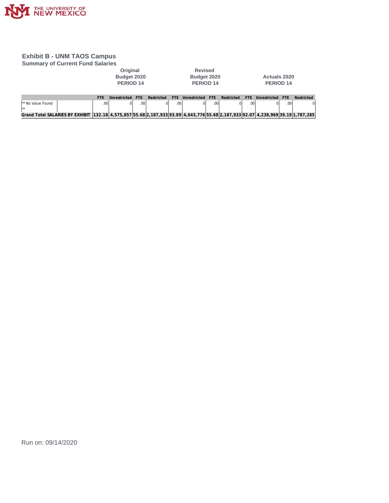

## **Exhibit B - UNM TAOS Campus**

| <b>Summary of Current Fund Salaries</b>                                                                                              |            |                                                 |            |            |                  |                                                       |            |            |            |                                  |            |            |
|--------------------------------------------------------------------------------------------------------------------------------------|------------|-------------------------------------------------|------------|------------|------------------|-------------------------------------------------------|------------|------------|------------|----------------------------------|------------|------------|
|                                                                                                                                      |            | Original<br>Budget 2020<br>PERIOD <sub>14</sub> |            |            |                  | <b>Revised</b><br>Budget 2020<br>PERIOD <sub>14</sub> |            |            |            | <b>Actuals 2020</b><br>PERIOD 14 |            |            |
|                                                                                                                                      | <b>FTF</b> | Unrestricted                                    | <b>FTF</b> | Restricted | FTF.             | Unrestricted                                          | <b>FTF</b> | Restricted | <b>FTF</b> | Unrestricted                     | <b>FTF</b> | Restricted |
| I** No Value Found<br>$\star\star$                                                                                                   |            | .00<br>$\Omega$                                 | .00        |            | .00 <sup>1</sup> | Ωl                                                    | .00        |            | .001       |                                  | .00        | $\Omega$   |
| Grand Total SALARIES BY EXHIBIT  132.18  4,575,857 55.68 2,187,933 93.89  4,643,776 55.68 2,187,933 92.07  4,238,969 39.19 1,787,285 |            |                                                 |            |            |                  |                                                       |            |            |            |                                  |            |            |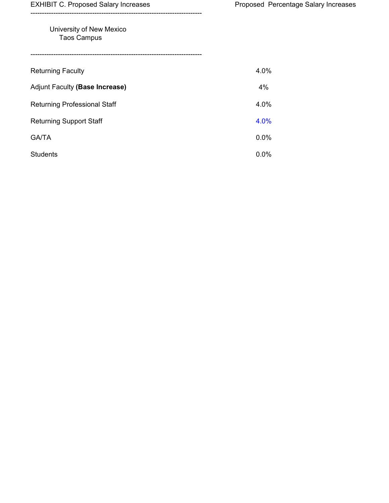EXHIBIT C. Proposed Salary Increases **Proposed Percentage Salary Increases** 

## University of New Mexico Taos Campus

---------------------------------------------------------------------------

| <b>Returning Faculty</b>            | 4.0%    |
|-------------------------------------|---------|
| Adjunt Faculty (Base Increase)      | 4%      |
| <b>Returning Professional Staff</b> | 4.0%    |
| <b>Returning Support Staff</b>      | 4.0%    |
| <b>GA/TA</b>                        | 0.0%    |
| <b>Students</b>                     | $0.0\%$ |

---------------------------------------------------------------------------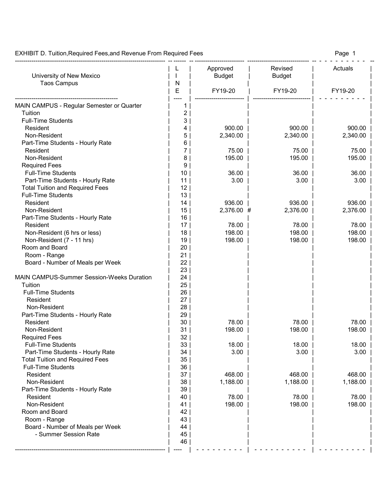EXHIBIT D. Tuition, Required Fees, and Revenue From Required Fees Page 1

| University of New Mexico                         | N        | Approved<br><b>Budget</b> | <b>Revised</b><br><b>Budget</b> | Actuals  |
|--------------------------------------------------|----------|---------------------------|---------------------------------|----------|
| <b>Taos Campus</b>                               | Ε        | FY19-20                   | FY19-20                         | FY19-20  |
| <b>MAIN CAMPUS - Regular Semester or Quarter</b> |          |                           |                                 |          |
| Tuition                                          | 2        |                           |                                 |          |
| <b>Full-Time Students</b>                        | 3        |                           |                                 |          |
| Resident                                         | 4        | 900.00                    | 900.00                          | 900.00   |
| Non-Resident                                     | 5        | 2,340.00                  | 2,340.00                        | 2,340.00 |
| Part-Time Students - Hourly Rate                 | 6        |                           |                                 |          |
| Resident                                         |          | 75.00                     | 75.00                           | 75.00    |
| Non-Resident                                     | 8        | 195.00                    | 195.00                          | 195.00   |
| <b>Required Fees</b>                             | 9        |                           |                                 |          |
| <b>Full-Time Students</b>                        | 10       | 36.00                     | 36.00                           | 36.00    |
| Part-Time Students - Hourly Rate                 | 11       | 3.00                      | 3.00                            | 3.00     |
| <b>Total Tuition and Required Fees</b>           | 12       |                           |                                 |          |
| <b>Full-Time Students</b>                        | 13       |                           |                                 |          |
| Resident                                         | 14       | 936.00                    | 936.00                          | 936.00   |
| Non-Resident                                     | 15<br>16 | 2,376.00 #                | 2,376.00                        | 2,376.00 |
| Part-Time Students - Hourly Rate<br>Resident     | 17       | 78.00                     | 78.00                           | 78.00    |
| Non-Resident (6 hrs or less)                     | 18       | 198.00                    | 198.00                          | 198.00   |
| Non-Resident (7 - 11 hrs)                        | 19       | 198.00                    | 198.00                          | 198.00   |
| Room and Board                                   | 20       |                           |                                 |          |
| Room - Range                                     | 21       |                           |                                 |          |
| Board - Number of Meals per Week                 | 22       |                           |                                 |          |
|                                                  | 23       |                           |                                 |          |
| <b>MAIN CAMPUS-Summer Session-Weeks Duration</b> | 24       |                           |                                 |          |
| Tuition                                          | 25       |                           |                                 |          |
| <b>Full-Time Students</b>                        | 26       |                           |                                 |          |
| Resident                                         | 27       |                           |                                 |          |
| Non-Resident                                     | 28       |                           |                                 |          |
| Part-Time Students - Hourly Rate                 | 29       |                           |                                 |          |
| Resident                                         | 30       | 78.00                     | 78.00                           | 78.00    |
| Non-Resident                                     | 31       | 198.00                    | 198.00                          | 198.00   |
| <b>Required Fees</b>                             | 32       |                           |                                 |          |
| <b>Full-Time Students</b>                        | 33       | 18.00                     | 18.00                           | 18.00    |
| Part-Time Students - Hourly Rate                 | 34       | 3.00                      | 3.00                            | 3.00     |
| <b>Total Tuition and Required Fees</b>           | 35       |                           |                                 |          |
| <b>Full-Time Students</b>                        | 36       |                           |                                 |          |
| Resident<br>Non-Resident                         | 37       | 468.00                    | 468.00                          | 468.00   |
|                                                  | 38<br>39 | 1,188.00                  | 1,188.00                        | 1,188.00 |
| Part-Time Students - Hourly Rate<br>Resident     | 40       | 78.00                     | 78.00                           | 78.00    |
| Non-Resident                                     | 41       | 198.00                    | 198.00                          | 198.00   |
| Room and Board                                   | 42       |                           |                                 |          |
| Room - Range                                     | 43       |                           |                                 |          |
| Board - Number of Meals per Week                 | 44       |                           |                                 |          |
| - Summer Session Rate                            | 45       |                           |                                 |          |
|                                                  | 46       |                           |                                 |          |
|                                                  |          |                           |                                 |          |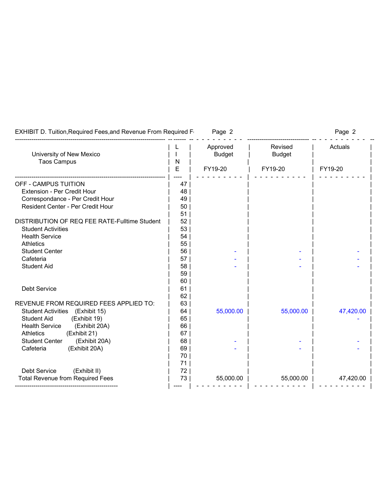| <b>EXHIBIT D. Tuition, Required Fees, and Revenue From Required F</b> |          | Page 2                    |                          | Page 2    |
|-----------------------------------------------------------------------|----------|---------------------------|--------------------------|-----------|
| University of New Mexico                                              |          | Approved<br><b>Budget</b> | Revised<br><b>Budget</b> | Actuals   |
| <b>Taos Campus</b>                                                    | N<br>E   | FY19-20                   | FY19-20                  | FY19-20   |
|                                                                       |          |                           |                          |           |
| <b>OFF - CAMPUS TUITION</b>                                           | 47       |                           |                          |           |
| <b>Extension - Per Credit Hour</b>                                    | 48       |                           |                          |           |
| Correspondance - Per Credit Hour                                      | 49       |                           |                          |           |
| <b>Resident Center - Per Credit Hour</b>                              | 50       |                           |                          |           |
|                                                                       | 51       |                           |                          |           |
| <b>DISTRIBUTION OF REQ FEE RATE-Fulltime Student</b>                  | 52       |                           |                          |           |
| <b>Student Activities</b>                                             | 53       |                           |                          |           |
| <b>Health Service</b>                                                 | 54       |                           |                          |           |
| <b>Athletics</b>                                                      | 55       |                           |                          |           |
| <b>Student Center</b>                                                 | 56       |                           |                          |           |
| Cafeteria                                                             | 57       |                           |                          |           |
| <b>Student Aid</b>                                                    | 58       |                           |                          |           |
|                                                                       | 59       |                           |                          |           |
|                                                                       | 60       |                           |                          |           |
| <b>Debt Service</b>                                                   | 61       |                           |                          |           |
|                                                                       | 62       |                           |                          |           |
| REVENUE FROM REQUIRED FEES APPLIED TO:                                | 63       |                           |                          |           |
| <b>Student Activities</b><br>(Exhibit 15)                             | 64       | 55,000.00                 | 55,000.00                | 47,420.00 |
| <b>Student Aid</b><br>(Exhibit 19)                                    | 65       |                           |                          |           |
| (Exhibit 20A)<br><b>Health Service</b>                                | 66       |                           |                          |           |
| (Exhibit 21)<br><b>Athletics</b>                                      | 67       |                           |                          |           |
| <b>Student Center</b><br>(Exhibit 20A)                                | 68       |                           |                          |           |
| Cafeteria<br>(Exhibit 20A)                                            | 69<br>70 |                           |                          |           |
|                                                                       | 71       |                           |                          |           |
| <b>Debt Service</b><br>(Exhibit II)                                   | 72       |                           |                          |           |
| <b>Total Revenue from Required Fees</b>                               | 73       | 55,000.00                 | 55,000.00                | 47,420.00 |
|                                                                       |          |                           |                          |           |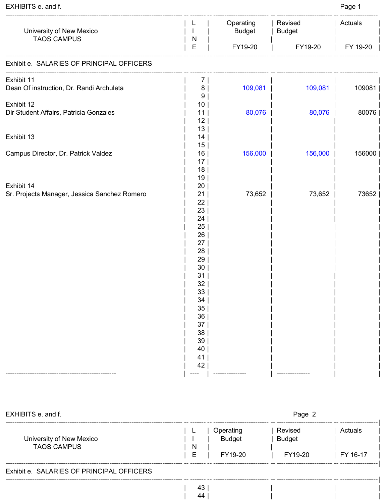| EXHIBITS e. and f.                                         |                                          |                            |                          | Page 1   |
|------------------------------------------------------------|------------------------------------------|----------------------------|--------------------------|----------|
| University of New Mexico<br><b>TAOS CAMPUS</b>             |                                          | Operating<br><b>Budget</b> | Revised<br><b>Budget</b> | Actuals  |
|                                                            | N<br>E                                   | FY19-20                    | FY19-20                  | FY 19-20 |
| Exhibit e. SALARIES OF PRINCIPAL OFFICERS                  |                                          |                            |                          |          |
| Exhibit 11<br>Dean Of instruction, Dr. Randi Archuleta     | 7 <sup>1</sup><br>8<br>9                 | 109,081                    | 109,081                  | 109081   |
| Exhibit 12<br>Dir Student Affairs, Patricia Gonzales       | 10 <sub>1</sub><br>11<br>12 <sub>2</sub> | 80,076                     | 80,076                   | 80076    |
| Exhibit 13                                                 | 13<br>14<br>15                           |                            |                          |          |
| Campus Director, Dr. Patrick Valdez                        | 16<br>17<br>18                           | 156,000                    | 156,000                  | 156000   |
| Exhibit 14<br>Sr. Projects Manager, Jessica Sanchez Romero | 19<br>20<br>21                           | 73,652                     | 73,652                   | 73652    |
|                                                            | 22<br>23<br>24                           |                            |                          |          |
|                                                            | 25<br>26<br>27                           |                            |                          |          |
|                                                            | 28<br>29<br>30                           |                            |                          |          |
|                                                            | 31<br>32<br>33                           |                            |                          |          |
|                                                            | 34<br>35                                 |                            |                          |          |
|                                                            | 36<br>37<br>38                           |                            |                          |          |
|                                                            | 39<br>40<br>41                           |                            |                          |          |
|                                                            | 42                                       | -------------              |                          |          |

| EXHIBITS e. and f.                             |        |                                       | Page 2                              |                     |
|------------------------------------------------|--------|---------------------------------------|-------------------------------------|---------------------|
| University of New Mexico<br><b>TAOS CAMPUS</b> | N<br>E | Operating<br><b>Budget</b><br>FY19-20 | Revised<br><b>Budget</b><br>FY19-20 | Actuals<br>FY 16-17 |
| Exhibit e. SALARIES OF PRINCIPAL OFFICERS      |        |                                       |                                     |                     |

| 43 | | | | | | | |

| 44 | | | | | | | |